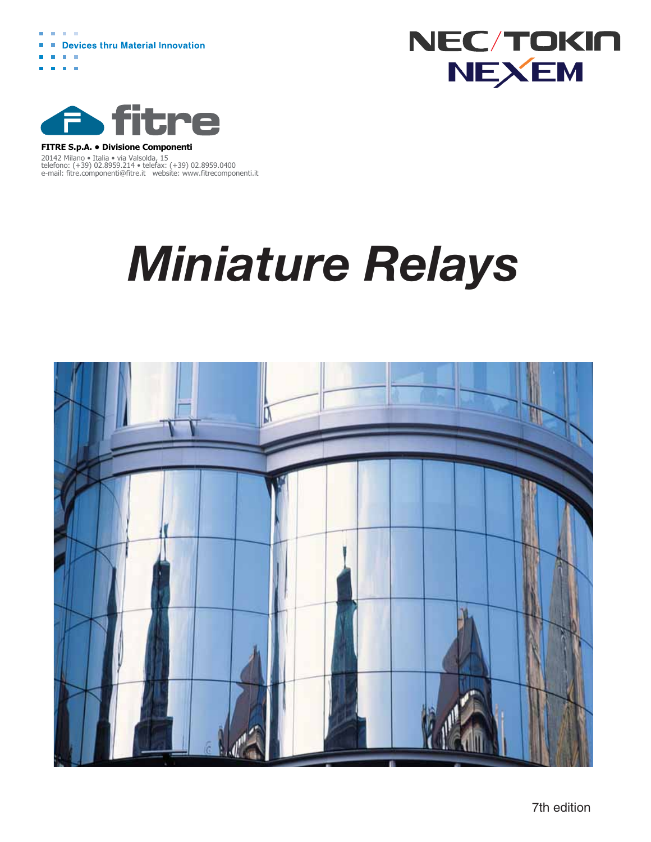





#### 20142 Milano • Italia • via Valsolda, 15 **FITRE S.p.A. • Divisione Componenti**

telefono: (+39) 02.8959.214 • telefax: (+39) 02.8959.0400 e-mail: fitre.componenti@fitre.it website: www.fitrecomponenti.it

# *Miniature Relays*



7th edition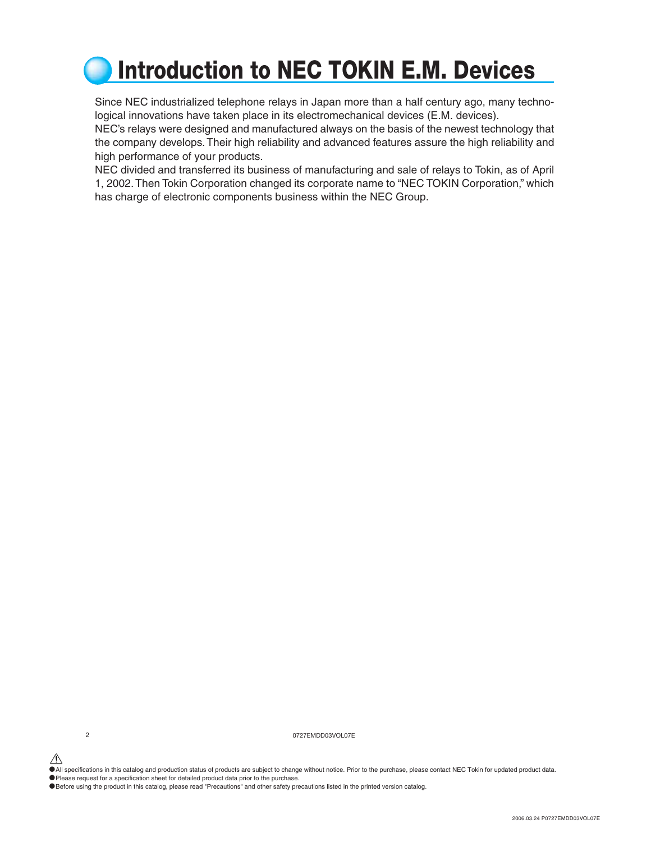### **Introduction to NEC TOKIN E.M. Devices**

Since NEC industrialized telephone relays in Japan more than a half century ago, many technological innovations have taken place in its electromechanical devices (E.M. devices).

NEC's relays were designed and manufactured always on the basis of the newest technology that the company develops. Their high reliability and advanced features assure the high reliability and high performance of your products.

NEC divided and transferred its business of manufacturing and sale of relays to Tokin, as of April 1, 2002. Then Tokin Corporation changed its corporate name to "NEC TOKIN Corporation," which has charge of electronic components business within the NEC Group.

2 0727EMDD03VOL07E

•All specifications in this catalog and production status of products are subject to change without notice. Prior to the purchase, please contact NEC Tokin for updated product data.

•Please request for a specification sheet for detailed product data prior to the purchase.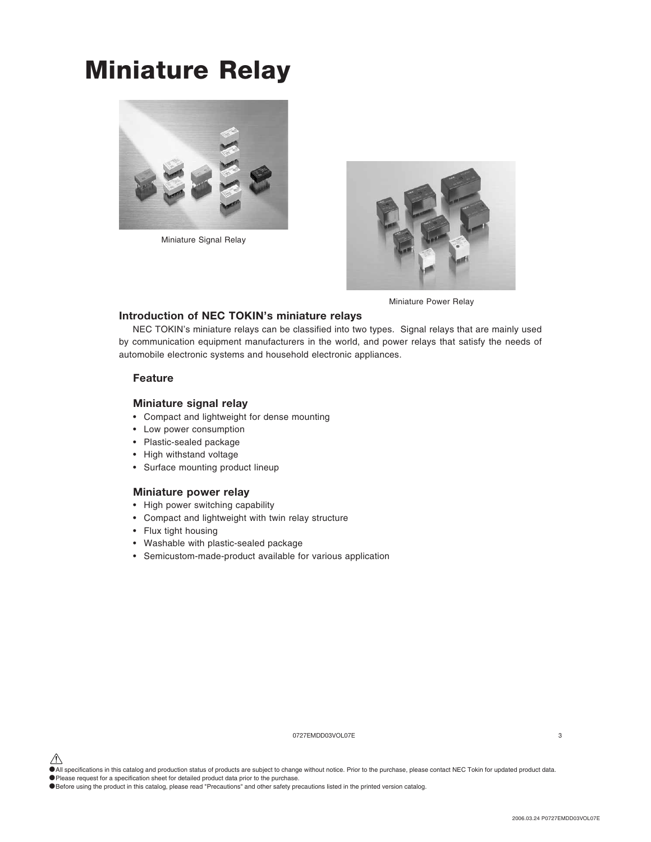### **Miniature Relay**



Miniature Signal Relay



Miniature Power Relay

#### **Introduction of NEC TOKIN's miniature relays**

 NEC TOKIN's miniature relays can be classified into two types. Signal relays that are mainly used by communication equipment manufacturers in the world, and power relays that satisfy the needs of automobile electronic systems and household electronic appliances.

#### **Feature**

#### **Miniature signal relay**

- Compact and lightweight for dense mounting
- Low power consumption
- Plastic-sealed package
- High withstand voltage
- Surface mounting product lineup

#### **Miniature power relay**

- High power switching capability
- Compact and lightweight with twin relay structure
- Flux tight housing
- Washable with plastic-sealed package
- Semicustom-made-product available for various application

0727EMDD03VOL07E 3

<sup>•</sup>All specifications in this catalog and production status of products are subject to change without notice. Prior to the purchase, please contact NEC Tokin for updated product data.

<sup>•</sup>Please request for a specification sheet for detailed product data prior to the purchase.

<sup>•</sup>Before using the product in this catalog, please read "Precautions" and other safety precautions listed in the printed version catalog.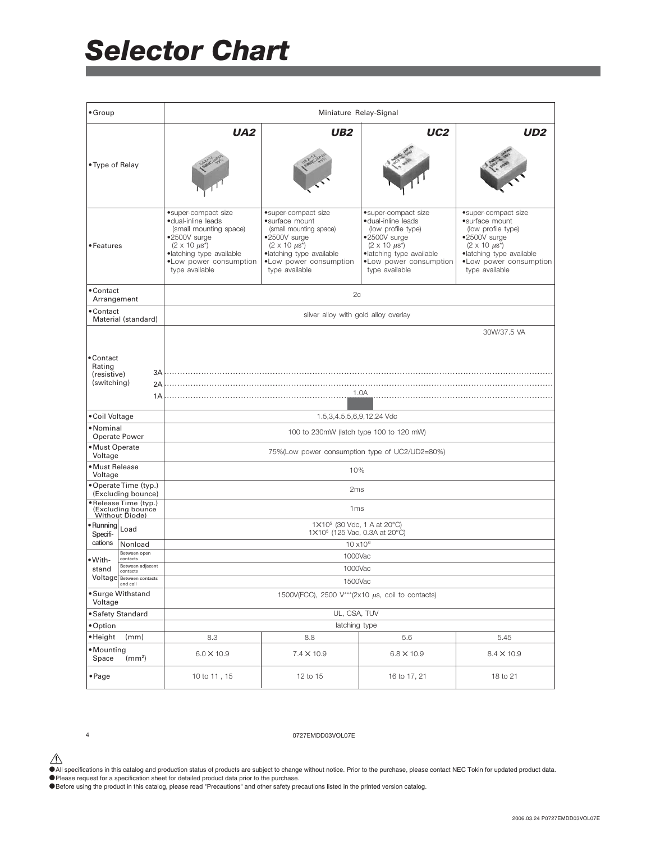| $•$ Group                                                           |                                                                                                                                                                                        | Miniature Relay-Signal                                                                                                                                                             |                                                                                                                                                                                     |                                                                                                                                                                                |
|---------------------------------------------------------------------|----------------------------------------------------------------------------------------------------------------------------------------------------------------------------------------|------------------------------------------------------------------------------------------------------------------------------------------------------------------------------------|-------------------------------------------------------------------------------------------------------------------------------------------------------------------------------------|--------------------------------------------------------------------------------------------------------------------------------------------------------------------------------|
| • Type of Relay                                                     | UA <sub>2</sub>                                                                                                                                                                        | UB2                                                                                                                                                                                | UC <sub>2</sub>                                                                                                                                                                     | UD2                                                                                                                                                                            |
| • Features                                                          | •super-compact size<br>·dual-inline leads<br>(small mounting space)<br>•2500V surge<br>$(2 \times 10 \mu s^*)$<br>·latching type available<br>.Low power consumption<br>type available | •super-compact size<br>•surface mount<br>(small mounting space)<br>•2500V surge<br>$(2 \times 10 \mu s^*)$<br>·latching type available<br>.Low power consumption<br>type available | • super-compact size<br>·dual-inline leads<br>(low profile type)<br>•2500V surge<br>$(2 \times 10 \mu s^*)$<br>·latching type available<br>.Low power consumption<br>type available | •super-compact size<br>•surface mount<br>(low profile type)<br>•2500V surge<br>$(2 \times 10 \mu s^*)$<br>·latching type available<br>.Low power consumption<br>type available |
| • Contact<br>Arrangement                                            |                                                                                                                                                                                        | 2c                                                                                                                                                                                 |                                                                                                                                                                                     |                                                                                                                                                                                |
| • Contact<br>Material (standard)                                    |                                                                                                                                                                                        | silver alloy with gold alloy overlay                                                                                                                                               |                                                                                                                                                                                     |                                                                                                                                                                                |
| • Contact<br>Rating<br>3A<br>(resistive)<br>(switching)<br>2A<br>1A | 30W/37.5 VA<br>1.0A                                                                                                                                                                    |                                                                                                                                                                                    |                                                                                                                                                                                     |                                                                                                                                                                                |
| • Coil Voltage                                                      |                                                                                                                                                                                        | 1.5,3,4.5,5,6,9,12,24 Vdc                                                                                                                                                          |                                                                                                                                                                                     |                                                                                                                                                                                |
| • Nominal<br><b>Operate Power</b>                                   |                                                                                                                                                                                        | 100 to 230mW (latch type 100 to 120 mW)                                                                                                                                            |                                                                                                                                                                                     |                                                                                                                                                                                |
| · Must Operate<br>Voltage                                           |                                                                                                                                                                                        | 75%(Low power consumption type of UC2/UD2=80%)                                                                                                                                     |                                                                                                                                                                                     |                                                                                                                                                                                |
| • Must Release<br>Voltage                                           |                                                                                                                                                                                        | 10%                                                                                                                                                                                |                                                                                                                                                                                     |                                                                                                                                                                                |
| • Operate Time (typ.)<br>(Excluding bounce)                         |                                                                                                                                                                                        | 2 <sub>ms</sub>                                                                                                                                                                    |                                                                                                                                                                                     |                                                                                                                                                                                |
| ·Release Time (typ.)<br>(Excluding bounce<br>Without Diode)         |                                                                                                                                                                                        | 1 <sub>ms</sub>                                                                                                                                                                    |                                                                                                                                                                                     |                                                                                                                                                                                |
| $\bullet$ Running<br>Load<br>Specifi-                               |                                                                                                                                                                                        | 1×10 <sup>5</sup> (30 Vdc, 1 A at 20°C)<br>1×10 <sup>5</sup> (125 Vac, 0.3A at 20°C)                                                                                               |                                                                                                                                                                                     |                                                                                                                                                                                |
| cations<br>Nonload<br>Between open                                  |                                                                                                                                                                                        | 10 x10 <sup>6</sup>                                                                                                                                                                |                                                                                                                                                                                     |                                                                                                                                                                                |
| contacts<br>•With-<br>Between adjacent<br>stand                     |                                                                                                                                                                                        | 1000Vac                                                                                                                                                                            |                                                                                                                                                                                     |                                                                                                                                                                                |
| contacts<br>Voltage Between contacts                                | 1000Vac<br>1500Vac                                                                                                                                                                     |                                                                                                                                                                                    |                                                                                                                                                                                     |                                                                                                                                                                                |
| • Surge Withstand<br>Voltage                                        |                                                                                                                                                                                        | 1500V(FCC), 2500 V***(2x10 $\mu$ s, coil to contacts)                                                                                                                              |                                                                                                                                                                                     |                                                                                                                                                                                |
| • Safety Standard                                                   |                                                                                                                                                                                        | UL, CSA, TUV                                                                                                                                                                       |                                                                                                                                                                                     |                                                                                                                                                                                |
| • Option                                                            |                                                                                                                                                                                        | latching type                                                                                                                                                                      |                                                                                                                                                                                     |                                                                                                                                                                                |
| • Height<br>(mm)                                                    | 8.3                                                                                                                                                                                    | 8.8                                                                                                                                                                                | 5.6                                                                                                                                                                                 | 5.45                                                                                                                                                                           |
| • Mounting<br>Space<br>(mm <sup>2</sup> )                           | $6.0 \times 10.9$                                                                                                                                                                      | $7.4 \times 10.9$                                                                                                                                                                  | $6.8 \times 10.9$                                                                                                                                                                   | $8.4 \times 10.9$                                                                                                                                                              |
| $\bullet$ Page                                                      | 10 to 11, 15                                                                                                                                                                           | 12 to 15                                                                                                                                                                           | 16 to 17, 21                                                                                                                                                                        | 18 to 21                                                                                                                                                                       |

#### 4 0727EMDD03VOL07E

- $\bigwedge$  All specifications in this catalog and production status of products are subject to change without notice. Prior to the purchase, please contact NEC Tokin for updated product data.
- Please request for a specification sheet for detailed product data prior to the purchase.
- •Before using the product in this catalog, please read "Precautions" and other safety precautions listed in the printed version catalog.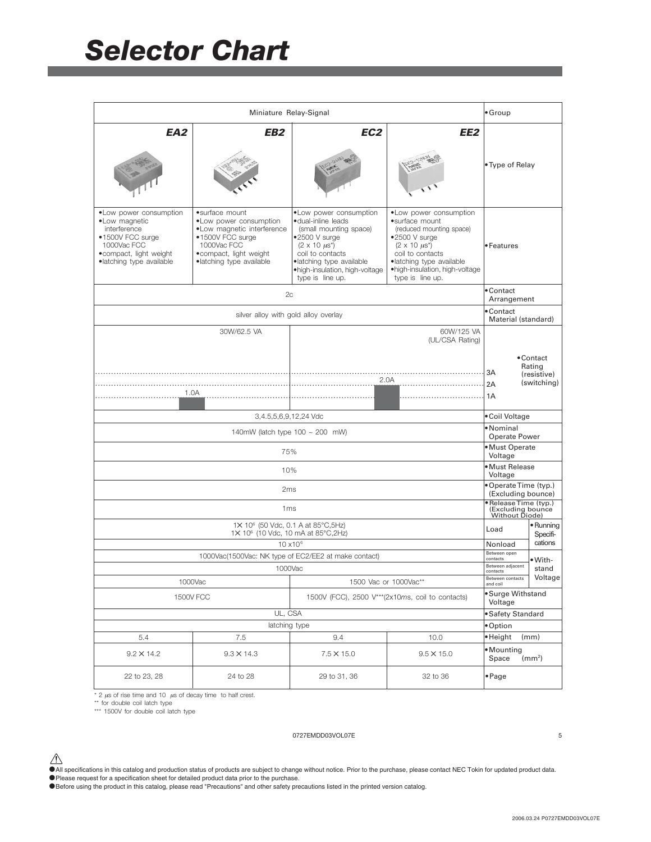|                                                                                                                                                    | Miniature Relay-Signal                                                                                                                                            |                                                                                                                                                                                                                             |                                                                                                                                                                                                                                          | $\bullet$ Group                                              |                                                   |
|----------------------------------------------------------------------------------------------------------------------------------------------------|-------------------------------------------------------------------------------------------------------------------------------------------------------------------|-----------------------------------------------------------------------------------------------------------------------------------------------------------------------------------------------------------------------------|------------------------------------------------------------------------------------------------------------------------------------------------------------------------------------------------------------------------------------------|--------------------------------------------------------------|---------------------------------------------------|
| EA2                                                                                                                                                | EB2                                                                                                                                                               | EC <sub>2</sub>                                                                                                                                                                                                             | EE <sub>2</sub>                                                                                                                                                                                                                          | • Type of Relay                                              |                                                   |
| • Low power consumption<br>•Low magnetic<br>interference<br>•1500V FCC surge<br>1000Vac FCC<br>• compact, light weight<br>·latching type available | •surface mount<br>• Low power consumption<br>.Low magnetic interference<br>•1500V FCC surge<br>1000Vac FCC<br>• compact, light weight<br>·latching type available | • Low power consumption<br>·dual-inline leads<br>(small mounting space)<br>$•2500$ V surge<br>$(2 \times 10 \mu s^*)$<br>coil to contacts<br>·latching type available<br>.high-insulation, high-voltage<br>type is line up. | • Low power consumption<br>•surface mount<br>(reduced mounting space)<br>$•2500$ V surge<br>$(2 \times 10 \text{ } \mu\text{s}^*)$<br>coil to contacts<br>·latching type available<br>.high-insulation, high-voltage<br>type is line up. | • Features                                                   |                                                   |
|                                                                                                                                                    | 2c                                                                                                                                                                |                                                                                                                                                                                                                             |                                                                                                                                                                                                                                          | • Contact<br>Arrangement                                     |                                                   |
|                                                                                                                                                    | silver alloy with gold alloy overlay                                                                                                                              |                                                                                                                                                                                                                             |                                                                                                                                                                                                                                          | • Contact<br>Material (standard)                             |                                                   |
| 1.0A                                                                                                                                               | 30W/62.5 VA                                                                                                                                                       | .                                                                                                                                                                                                                           | 60W/125 VA<br>(UL/CSA Rating)<br>2.0A                                                                                                                                                                                                    | 3A<br>2A<br>1A                                               | • Contact<br>Rating<br>(resistive)<br>(switching) |
|                                                                                                                                                    | 3,4.5,5,6,9,12,24 Vdc                                                                                                                                             |                                                                                                                                                                                                                             |                                                                                                                                                                                                                                          | • Coil Voltage                                               |                                                   |
|                                                                                                                                                    | 140mW (latch type $100 \sim 200$ mW)                                                                                                                              |                                                                                                                                                                                                                             |                                                                                                                                                                                                                                          | •Nominal<br>Operate Power                                    |                                                   |
|                                                                                                                                                    | 75%                                                                                                                                                               |                                                                                                                                                                                                                             |                                                                                                                                                                                                                                          | · Must Operate<br>Voltage                                    |                                                   |
|                                                                                                                                                    | 10%                                                                                                                                                               |                                                                                                                                                                                                                             |                                                                                                                                                                                                                                          | • Must Release<br>Voltage                                    |                                                   |
|                                                                                                                                                    | 2 <sub>ms</sub>                                                                                                                                                   |                                                                                                                                                                                                                             |                                                                                                                                                                                                                                          | • Operate Time (typ.)<br>(Excluding bounce)                  |                                                   |
|                                                                                                                                                    | 1 <sub>ms</sub>                                                                                                                                                   |                                                                                                                                                                                                                             |                                                                                                                                                                                                                                          | · Release Time (typ.)<br>(Excluding bounce<br>Without Diode) |                                                   |
|                                                                                                                                                    | 1X 10 <sup>6</sup> (50 Vdc, 0.1 A at 85°C, 5Hz)<br>1X 10 <sup>6</sup> (10 Vdc, 10 mA at 85°C, 2Hz)                                                                |                                                                                                                                                                                                                             |                                                                                                                                                                                                                                          | Load                                                         | $\bullet$ Running<br>Specifi-                     |
|                                                                                                                                                    | $10 \times 10^{6}$                                                                                                                                                |                                                                                                                                                                                                                             |                                                                                                                                                                                                                                          | Nonload<br>Between open                                      | cations                                           |
| 1000Vac(1500Vac: NK type of EC2/EE2 at make contact)                                                                                               |                                                                                                                                                                   |                                                                                                                                                                                                                             |                                                                                                                                                                                                                                          | contacts                                                     | $• With-$                                         |
| 1000Vac<br>1000Vac<br>1500 Vac or 1000Vac**                                                                                                        |                                                                                                                                                                   |                                                                                                                                                                                                                             | Between adjacent<br>contacts<br>Between contacts                                                                                                                                                                                         | stand<br>Voltage                                             |                                                   |
| 1500V (FCC), 2500 V*** (2x10ms, coil to contacts)<br><b>1500V FCC</b>                                                                              |                                                                                                                                                                   |                                                                                                                                                                                                                             | and coil<br>· Surge Withstand<br>Voltage                                                                                                                                                                                                 |                                                              |                                                   |
| UL, CSA                                                                                                                                            |                                                                                                                                                                   |                                                                                                                                                                                                                             | • Safety Standard                                                                                                                                                                                                                        |                                                              |                                                   |
| latching type                                                                                                                                      |                                                                                                                                                                   |                                                                                                                                                                                                                             |                                                                                                                                                                                                                                          | · Option                                                     |                                                   |
| 5.4                                                                                                                                                | 7.5                                                                                                                                                               | 9.4                                                                                                                                                                                                                         | 10.0                                                                                                                                                                                                                                     | ·Height                                                      | (mm)                                              |
| $9.2 \times 14.2$                                                                                                                                  | $9.3 \times 14.3$                                                                                                                                                 | $7.5 \times 15.0$                                                                                                                                                                                                           | $9.5 \times 15.0$                                                                                                                                                                                                                        | · Mounting<br>Space                                          | (mm <sup>2</sup> )                                |
| 22 to 23, 28                                                                                                                                       | 24 to 28                                                                                                                                                          | 29 to 31, 36                                                                                                                                                                                                                | 32 to 36                                                                                                                                                                                                                                 | • Page                                                       |                                                   |

 $\frac{1}{12}$  us of rise time and 10  $\mu$ s of decay time to half crest.

\*\* for double coil latch type \*\*\* 1500V for double coil latch type

#### 0727EMDD03VOL07E 5

 $\hat{\P}$  All specifications in this catalog and production status of products are subject to change without notice. Prior to the purchase, please contact NEC Tokin for updated product data. • Please request for a specification sheet for detailed product data prior to the purchase.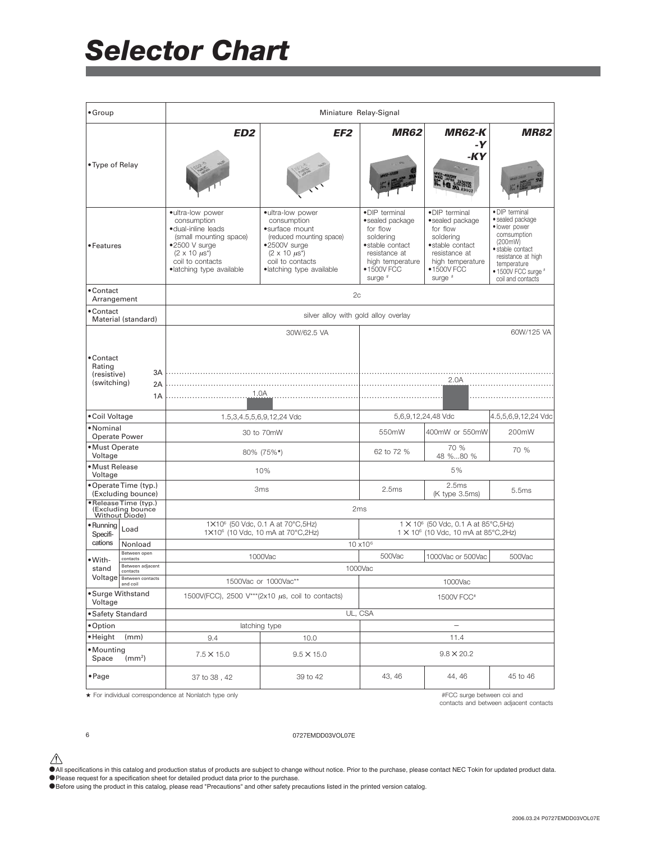| $•$ Group                                         |                                                            |                                                                                                                                                                                |                                                                                                                                                                          | Miniature Relay-Signal                                                                                                                       |                                                                                                                                               |                                                                                                                                                                                    |
|---------------------------------------------------|------------------------------------------------------------|--------------------------------------------------------------------------------------------------------------------------------------------------------------------------------|--------------------------------------------------------------------------------------------------------------------------------------------------------------------------|----------------------------------------------------------------------------------------------------------------------------------------------|-----------------------------------------------------------------------------------------------------------------------------------------------|------------------------------------------------------------------------------------------------------------------------------------------------------------------------------------|
| • Type of Relay                                   |                                                            | ED <sub>2</sub>                                                                                                                                                                | EF2                                                                                                                                                                      |                                                                                                                                              | <b>MR62-K</b><br>-У<br>-KY                                                                                                                    | <i><b>MR82</b></i>                                                                                                                                                                 |
| • Features                                        |                                                            | • ultra-low power<br>consumption<br>·dual-inline leads<br>(small mounting space)<br>$•2500$ V surge<br>$(2 \times 10 \mu s^*)$<br>coil to contacts<br>•latching type available | ·ultra-low power<br>consumption<br>·surface mount<br>(reduced mounting space)<br>·2500V surge<br>$(2 \times 10 \mu s^*)$<br>coil to contacts<br>•latching type available | •DIP terminal<br>·sealed package<br>for flow<br>soldering<br>·stable contact<br>resistance at<br>high temperature<br>$•1500V$ FCC<br>surge # | •DIP terminal<br>• sealed package<br>for flow<br>soldering<br>·stable contact<br>resistance at<br>high temperature<br>$•1500V$ FCC<br>surge # | • DIP terminal<br>• sealed package<br>· lower power<br>comsumption<br>(200mW)<br>· stable contact<br>resistance at high<br>temperature<br>• 1500V FCC surge #<br>coil and contacts |
| • Contact<br>Arrangement                          |                                                            |                                                                                                                                                                                | 2c                                                                                                                                                                       |                                                                                                                                              |                                                                                                                                               |                                                                                                                                                                                    |
| • Contact                                         | Material (standard)                                        |                                                                                                                                                                                | silver alloy with gold alloy overlay                                                                                                                                     |                                                                                                                                              |                                                                                                                                               |                                                                                                                                                                                    |
|                                                   |                                                            |                                                                                                                                                                                | 30W/62.5 VA                                                                                                                                                              |                                                                                                                                              |                                                                                                                                               | 60W/125 VA                                                                                                                                                                         |
| • Contact<br>Rating<br>(resistive)<br>(switching) | 3A<br>2A<br>1A                                             | 1.0A                                                                                                                                                                           |                                                                                                                                                                          |                                                                                                                                              | 2.0A                                                                                                                                          |                                                                                                                                                                                    |
| • Coil Voltage                                    |                                                            | 1.5,3,4.5,5,6,9,12,24 Vdc                                                                                                                                                      |                                                                                                                                                                          |                                                                                                                                              | 5,6,9,12,24,48 Vdc                                                                                                                            | 4.5,5,6,9,12,24 Vdc                                                                                                                                                                |
| • Nominal<br><b>Operate Power</b>                 |                                                            |                                                                                                                                                                                | 30 to 70mW                                                                                                                                                               | 550mW                                                                                                                                        | 400mW or 550mW                                                                                                                                | 200mW                                                                                                                                                                              |
| • Must Operate<br>Voltage                         |                                                            |                                                                                                                                                                                | 80% (75%*)                                                                                                                                                               | 62 to 72 %                                                                                                                                   | 70 %<br>48 %80 %                                                                                                                              | 70 %                                                                                                                                                                               |
| • Must Release<br>Voltage                         |                                                            |                                                                                                                                                                                | 10%                                                                                                                                                                      | 5%                                                                                                                                           |                                                                                                                                               |                                                                                                                                                                                    |
|                                                   | • Operate Time (typ.)<br>(Excluding bounce)                |                                                                                                                                                                                | 3ms                                                                                                                                                                      | 2.5ms                                                                                                                                        | 2.5ms<br>(K type 3.5ms)                                                                                                                       | 5.5ms                                                                                                                                                                              |
|                                                   | ·ReleaseTime (typ.)<br>(Excluding bounce<br>Without Diode) |                                                                                                                                                                                |                                                                                                                                                                          | 2 <sub>ms</sub>                                                                                                                              |                                                                                                                                               |                                                                                                                                                                                    |
| • Running<br>Specifi-                             | Load                                                       |                                                                                                                                                                                | 1X10 <sup>6</sup> (50 Vdc, 0.1 A at 70°C, 5Hz)<br>1×10 <sup>6</sup> (10 Vdc, 10 mA at 70°C,2Hz)                                                                          | 1 × 10 <sup>6</sup> (50 Vdc, 0.1 A at 85°C, 5Hz)<br>1 × 10 <sup>6</sup> (10 Vdc, 10 mA at 85°C, 2Hz)                                         |                                                                                                                                               |                                                                                                                                                                                    |
| cations                                           | Nonload                                                    |                                                                                                                                                                                |                                                                                                                                                                          | $10 \times 10^{6}$                                                                                                                           |                                                                                                                                               |                                                                                                                                                                                    |
| •With-                                            | Between open<br>contacts                                   |                                                                                                                                                                                | 1000Vac                                                                                                                                                                  | 500Vac                                                                                                                                       | 1000Vac or 500Vac                                                                                                                             | 500Vac                                                                                                                                                                             |
| stand                                             | Between adjacent<br>contacts                               |                                                                                                                                                                                |                                                                                                                                                                          | 1000Vac                                                                                                                                      |                                                                                                                                               |                                                                                                                                                                                    |
|                                                   | Voltage Between contacts                                   | 1500Vac or 1000Vac**                                                                                                                                                           |                                                                                                                                                                          | 1000Vac                                                                                                                                      |                                                                                                                                               |                                                                                                                                                                                    |
| Voltage                                           | • Surge Withstand                                          | 1500V(FCC), 2500 $V^{**}(2x10 \mu s, \text{ coil to contacts})$<br>1500V FCC <sup>#</sup>                                                                                      |                                                                                                                                                                          |                                                                                                                                              |                                                                                                                                               |                                                                                                                                                                                    |
| • Safety Standard                                 |                                                            |                                                                                                                                                                                |                                                                                                                                                                          | UL, CSA                                                                                                                                      |                                                                                                                                               |                                                                                                                                                                                    |
| • Option                                          |                                                            |                                                                                                                                                                                | latching type                                                                                                                                                            |                                                                                                                                              |                                                                                                                                               |                                                                                                                                                                                    |
| • Height                                          | (mm)                                                       | 9.4                                                                                                                                                                            | 10.0                                                                                                                                                                     |                                                                                                                                              | 11.4                                                                                                                                          |                                                                                                                                                                                    |
| • Mounting<br>Space                               | (mm <sup>2</sup> )                                         | $7.5 \times 15.0$                                                                                                                                                              | $9.5 \times 15.0$                                                                                                                                                        |                                                                                                                                              | $9.8 \times 20.2$                                                                                                                             |                                                                                                                                                                                    |
| $\bullet$ Page                                    |                                                            | 37 to 38, 42                                                                                                                                                                   | 39 to 42                                                                                                                                                                 | 43, 46<br>44, 46                                                                                                                             |                                                                                                                                               | 45 to 46                                                                                                                                                                           |

★ For individual correspondence at Nonlatch type only

#FCC surge between coi and

contacts and between adjacent contacts

#### 6 0727EMDD03VOL07E

All specifications in this catalog and production status of products are subject to change without notice. Prior to the purchase, please contact NEC Tokin for updated product data.<br>• Please request for a specification shee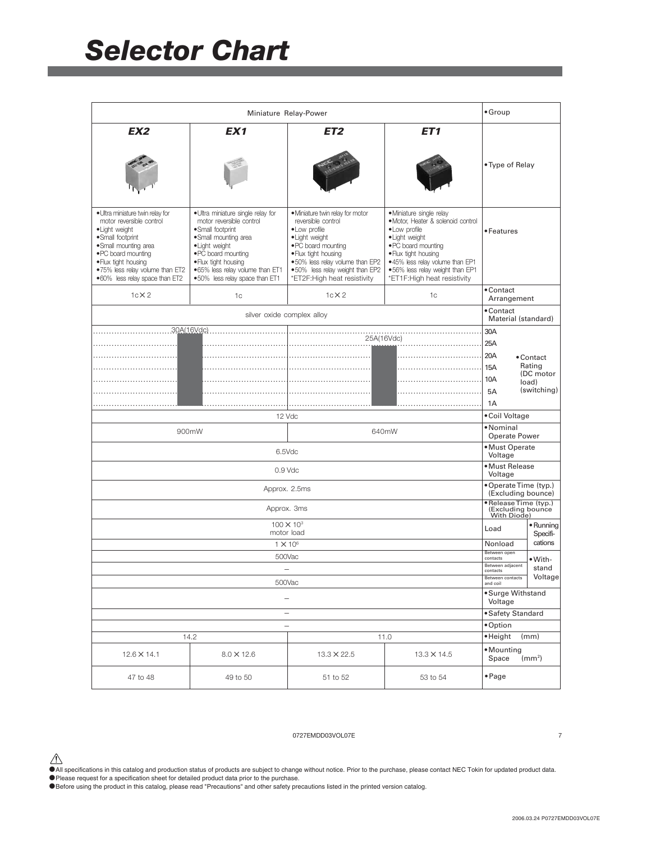|                                                                                                                                                                                                                                               |                                                                                                                                                                                                                                                  | Miniature Relay-Power                                                                                                                                                                                                                          |                                                                                                                                                                                                                                                        | $•$ Group                                                 |                                   |
|-----------------------------------------------------------------------------------------------------------------------------------------------------------------------------------------------------------------------------------------------|--------------------------------------------------------------------------------------------------------------------------------------------------------------------------------------------------------------------------------------------------|------------------------------------------------------------------------------------------------------------------------------------------------------------------------------------------------------------------------------------------------|--------------------------------------------------------------------------------------------------------------------------------------------------------------------------------------------------------------------------------------------------------|-----------------------------------------------------------|-----------------------------------|
| EX <sub>2</sub>                                                                                                                                                                                                                               | EX <sub>1</sub>                                                                                                                                                                                                                                  | ET2                                                                                                                                                                                                                                            | ET <sub>1</sub>                                                                                                                                                                                                                                        | • Type of Relay                                           |                                   |
| • Ultra miniature twin relay for<br>motor reversible control<br>·Light weight<br>·Small footprint<br>•Small mounting area<br>. PC board mounting<br>. Flux tight housing<br>.75% less relay volume than ET2<br>.60% less relay space than ET2 | • Ultra miniature single relay for<br>motor reversible control<br>·Small footprint<br>•Small mounting area<br>• Light weight<br>. PC board mounting<br>. Flux tight housing<br>.65% less relay volume than ET1<br>.50% less relay space than ET1 | · Miniature twin relay for motor<br>reversible control<br>• Low profile<br>• Light weight<br>. PC board mounting<br>. Flux tight housing<br>.50% less relay volume than EP2<br>.50% less relay weight than EP2<br>*ET2F: High heat resistivity | · Miniature single relay<br>· Motor, Heater & solenoid control<br>• Low profile<br>• Light weight<br>. PC board mounting<br>. Flux tight housing<br>.45% less relay volume than EP1<br>.56% less relay weight than EP1<br>*ET1F: High heat resistivity | • Features                                                |                                   |
| $1c \times 2$                                                                                                                                                                                                                                 | 1 <sub>c</sub>                                                                                                                                                                                                                                   | $1c \times 2$                                                                                                                                                                                                                                  | 1 <sub>c</sub>                                                                                                                                                                                                                                         | • Contact<br>Arrangement                                  |                                   |
|                                                                                                                                                                                                                                               | silver oxide complex alloy                                                                                                                                                                                                                       |                                                                                                                                                                                                                                                |                                                                                                                                                                                                                                                        | • Contact<br>Material (standard)                          |                                   |
|                                                                                                                                                                                                                                               | 30A(16Vdc)                                                                                                                                                                                                                                       |                                                                                                                                                                                                                                                |                                                                                                                                                                                                                                                        | 30A                                                       |                                   |
|                                                                                                                                                                                                                                               |                                                                                                                                                                                                                                                  | 25A(16Vdc)                                                                                                                                                                                                                                     |                                                                                                                                                                                                                                                        | 25A                                                       |                                   |
|                                                                                                                                                                                                                                               |                                                                                                                                                                                                                                                  |                                                                                                                                                                                                                                                |                                                                                                                                                                                                                                                        | 20A<br>15A                                                | • Contact<br>Rating               |
|                                                                                                                                                                                                                                               |                                                                                                                                                                                                                                                  |                                                                                                                                                                                                                                                |                                                                                                                                                                                                                                                        | 10A<br>5A                                                 | (DC motor<br>load)<br>(switching) |
|                                                                                                                                                                                                                                               |                                                                                                                                                                                                                                                  |                                                                                                                                                                                                                                                |                                                                                                                                                                                                                                                        | 1A                                                        |                                   |
|                                                                                                                                                                                                                                               | 12 Vdc                                                                                                                                                                                                                                           |                                                                                                                                                                                                                                                |                                                                                                                                                                                                                                                        | • Coil Voltage                                            |                                   |
|                                                                                                                                                                                                                                               | 900mW                                                                                                                                                                                                                                            |                                                                                                                                                                                                                                                | 640mW                                                                                                                                                                                                                                                  | • Nominal<br>Operate Power                                |                                   |
|                                                                                                                                                                                                                                               | 6.5Vdc                                                                                                                                                                                                                                           |                                                                                                                                                                                                                                                |                                                                                                                                                                                                                                                        | • Must Operate<br>Voltage                                 |                                   |
|                                                                                                                                                                                                                                               | 0.9 Vdc                                                                                                                                                                                                                                          |                                                                                                                                                                                                                                                |                                                                                                                                                                                                                                                        | • Must Release<br>Voltage                                 |                                   |
|                                                                                                                                                                                                                                               | Approx. 2.5ms                                                                                                                                                                                                                                    |                                                                                                                                                                                                                                                |                                                                                                                                                                                                                                                        | • Operate Time (typ.)<br>(Excluding bounce)               |                                   |
|                                                                                                                                                                                                                                               | Approx. 3ms                                                                                                                                                                                                                                      |                                                                                                                                                                                                                                                |                                                                                                                                                                                                                                                        | · Release Time (typ.)<br>(Excluding bounce<br>With Diode) |                                   |
|                                                                                                                                                                                                                                               | motor load                                                                                                                                                                                                                                       | $100 \times 10^{3}$                                                                                                                                                                                                                            |                                                                                                                                                                                                                                                        | Load                                                      | • Running<br>Specifi-             |
|                                                                                                                                                                                                                                               | $1 \times 10^6$                                                                                                                                                                                                                                  |                                                                                                                                                                                                                                                |                                                                                                                                                                                                                                                        | Nonload                                                   | cations                           |
|                                                                                                                                                                                                                                               | 500Vac                                                                                                                                                                                                                                           |                                                                                                                                                                                                                                                |                                                                                                                                                                                                                                                        | Between open<br>contacts                                  | •With-                            |
| 500Vac                                                                                                                                                                                                                                        |                                                                                                                                                                                                                                                  |                                                                                                                                                                                                                                                | Between adiacent<br>contacts<br>Between contacts<br>and coil                                                                                                                                                                                           | stand<br>Voltage                                          |                                   |
| -                                                                                                                                                                                                                                             |                                                                                                                                                                                                                                                  |                                                                                                                                                                                                                                                |                                                                                                                                                                                                                                                        | • Surge Withstand<br>Voltage                              |                                   |
| -                                                                                                                                                                                                                                             |                                                                                                                                                                                                                                                  |                                                                                                                                                                                                                                                |                                                                                                                                                                                                                                                        | • Safety Standard                                         |                                   |
| $\overline{\phantom{a}}$                                                                                                                                                                                                                      |                                                                                                                                                                                                                                                  |                                                                                                                                                                                                                                                | • Option                                                                                                                                                                                                                                               |                                                           |                                   |
| 14.2<br>11.0                                                                                                                                                                                                                                  |                                                                                                                                                                                                                                                  |                                                                                                                                                                                                                                                |                                                                                                                                                                                                                                                        | ·Height                                                   | (mm)                              |
| $12.6 \times 14.1$                                                                                                                                                                                                                            | $8.0 \times 12.6$                                                                                                                                                                                                                                | 13.3 × 22.5                                                                                                                                                                                                                                    | $13.3 \times 14.5$                                                                                                                                                                                                                                     | • Mounting<br>Space                                       | (mm <sup>2</sup> )                |
| 47 to 48                                                                                                                                                                                                                                      | 49 to 50                                                                                                                                                                                                                                         | 51 to 52                                                                                                                                                                                                                                       | 53 to 54                                                                                                                                                                                                                                               | $\bullet$ Page                                            |                                   |

#### 0727EMDD03VOL07E 7

 $\bigwedge$  All specifications in this catalog and production status of products are subject to change without notice. Prior to the purchase, please contact NEC Tokin for updated product data.

• Please request for a specification sheet for detailed product data prior to the purchase.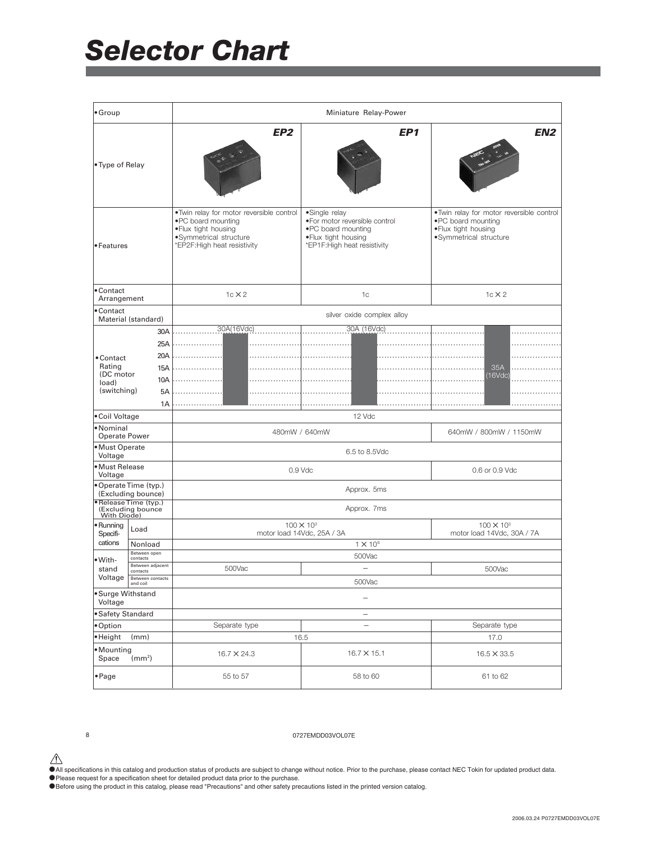| • Group                          |                                                           |                                                                                                                                                   | Miniature Relay-Power                                                                                                          |                                                                                                                    |
|----------------------------------|-----------------------------------------------------------|---------------------------------------------------------------------------------------------------------------------------------------------------|--------------------------------------------------------------------------------------------------------------------------------|--------------------------------------------------------------------------------------------------------------------|
| • Type of Relay                  |                                                           | EP <sub>2</sub>                                                                                                                                   | EP1                                                                                                                            | EN <sub>2</sub>                                                                                                    |
| • Features                       |                                                           | .Twin relay for motor reversible control<br>. PC board mounting<br>. Flux tight housing<br>·Symmetrical structure<br>*EP2F: High heat resistivity | •Single relay<br>. For motor reversible control<br>. PC board mounting<br>. Flux tight housing<br>*EP1F: High heat resistivity | . Twin relay for motor reversible control<br>. PC board mounting<br>. Flux tight housing<br>·Symmetrical structure |
| • Contact<br>Arrangement         |                                                           | $1c \times 2$                                                                                                                                     | 1c                                                                                                                             | $1c \times 2$                                                                                                      |
| • Contact                        | Material (standard)                                       |                                                                                                                                                   | silver oxide complex alloy                                                                                                     |                                                                                                                    |
|                                  | 30A                                                       | 30A(16Vdc)                                                                                                                                        | 30A (16Vdc)                                                                                                                    |                                                                                                                    |
|                                  | 25A                                                       |                                                                                                                                                   |                                                                                                                                |                                                                                                                    |
| • Contact                        | 20A                                                       |                                                                                                                                                   |                                                                                                                                |                                                                                                                    |
| Rating<br>(DC motor              | 15A                                                       |                                                                                                                                                   |                                                                                                                                | 35A<br>(16Vdc)                                                                                                     |
| load)                            | 10A                                                       |                                                                                                                                                   |                                                                                                                                |                                                                                                                    |
| (switching)                      | 5A<br>1A                                                  |                                                                                                                                                   |                                                                                                                                |                                                                                                                    |
| •Coil Voltage                    |                                                           |                                                                                                                                                   | 12 Vdc                                                                                                                         |                                                                                                                    |
| •Nominal<br><b>Operate Power</b> |                                                           | 480mW / 640mW                                                                                                                                     |                                                                                                                                | 640mW / 800mW / 1150mW                                                                                             |
| ·Must Operate<br>Voltage         |                                                           |                                                                                                                                                   | 6.5 to 8.5Vdc                                                                                                                  |                                                                                                                    |
| ·Must Release<br>Voltage         |                                                           |                                                                                                                                                   | $0.9$ Vdc                                                                                                                      | 0.6 or 0.9 Vdc                                                                                                     |
|                                  | •OperateTime (typ.)<br>(Excluding bounce)                 |                                                                                                                                                   | Approx. 5ms                                                                                                                    |                                                                                                                    |
|                                  | • Release Time (typ.)<br>(Excluding bounce<br>With Diode) |                                                                                                                                                   | Approx. 7ms                                                                                                                    |                                                                                                                    |
| • Running<br>Specifi-            | Load                                                      |                                                                                                                                                   | $100 \times 10^{3}$<br>motor load 14Vdc, 25A / 3A                                                                              | $100 \times 10^{3}$<br>motor load 14Vdc, 30A / 7A                                                                  |
| cations                          | Nonload                                                   |                                                                                                                                                   | $1 \times 10^6$                                                                                                                |                                                                                                                    |
| •With-                           | Between open<br>contacts<br>Between adjacent              |                                                                                                                                                   | 500Vac                                                                                                                         |                                                                                                                    |
| stand                            | contacts<br>Voltage <b>Between</b> contacts               | 500Vac                                                                                                                                            | ÷                                                                                                                              | 500Vac                                                                                                             |
|                                  | and coil                                                  |                                                                                                                                                   | 500Vac                                                                                                                         |                                                                                                                    |
| • Surge Withstand<br>Voltage     |                                                           | -                                                                                                                                                 |                                                                                                                                |                                                                                                                    |
| • Safety Standard                |                                                           |                                                                                                                                                   | $\overline{\phantom{a}}$                                                                                                       |                                                                                                                    |
| ·Option<br>·Height               | (mm)                                                      | Separate type                                                                                                                                     | $\overline{\phantom{a}}$<br>16.5                                                                                               | Separate type<br>17.0                                                                                              |
| Mounting                         |                                                           |                                                                                                                                                   |                                                                                                                                |                                                                                                                    |
| Space                            | (mm <sup>2</sup> )                                        | 16.7 × 24.3                                                                                                                                       | 16.7 × 15.1                                                                                                                    | 16.5 × 33.5                                                                                                        |
| $\bullet$ Page                   |                                                           | 55 to 57                                                                                                                                          | 58 to 60                                                                                                                       | 61 to 62                                                                                                           |

#### 8 0727EMDD03VOL07E

 $\bigwedge$  All specifications in this catalog and production status of products are subject to change without notice. Prior to the purchase, please contact NEC Tokin for updated product data.

• Please request for a specification sheet for detailed product data prior to the purchase.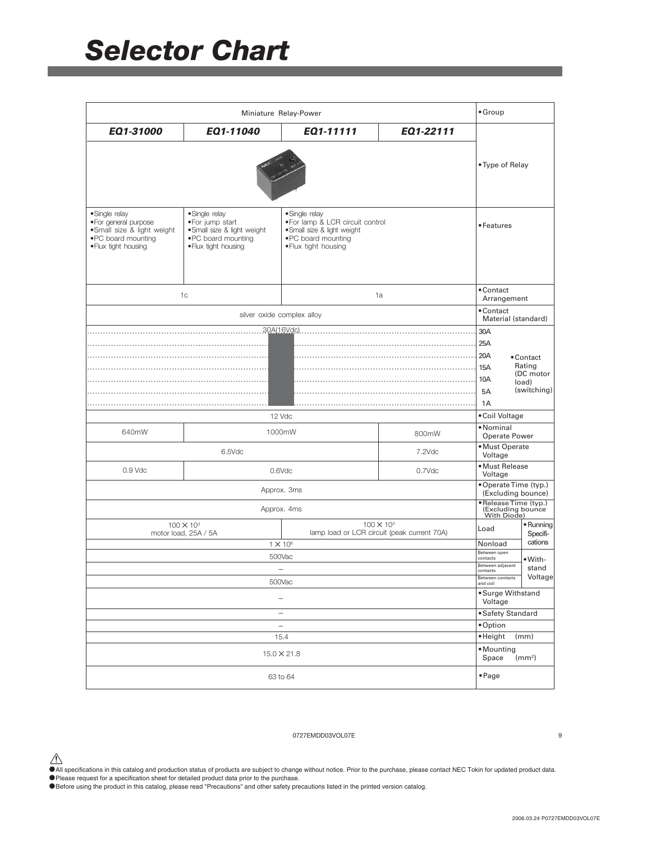|                                                                                                                      |                                                                                                                | Miniature Relay-Power                                                                                                           |                                                                    | $•$ Group                                                |                                                          |
|----------------------------------------------------------------------------------------------------------------------|----------------------------------------------------------------------------------------------------------------|---------------------------------------------------------------------------------------------------------------------------------|--------------------------------------------------------------------|----------------------------------------------------------|----------------------------------------------------------|
| EQ1-31000                                                                                                            | EQ1-11040                                                                                                      | EQ1-11111                                                                                                                       | EQ1-22111                                                          |                                                          |                                                          |
|                                                                                                                      |                                                                                                                |                                                                                                                                 |                                                                    | • Type of Relay                                          |                                                          |
| • Single relay<br>· For general purpose<br>·Small size & light weight<br>. PC board mounting<br>· Flux tight housing | •Single relay<br>. For jump start<br>·Small size & light weight<br>. PC board mounting<br>. Flux tight housing | ·Single relay<br>. For lamp & LCR circuit control<br>· Small size & light weight<br>. PC board mounting<br>· Flux tight housing |                                                                    | • Features                                               |                                                          |
|                                                                                                                      | 1c                                                                                                             |                                                                                                                                 | 1a                                                                 | • Contact<br>Arrangement                                 |                                                          |
|                                                                                                                      |                                                                                                                | silver oxide complex alloy                                                                                                      |                                                                    | • Contact<br>Material (standard)                         |                                                          |
|                                                                                                                      |                                                                                                                | 30A(16Vdc)                                                                                                                      |                                                                    | 30A                                                      |                                                          |
|                                                                                                                      |                                                                                                                |                                                                                                                                 |                                                                    | 25A<br>20A<br>15A<br>10A<br>5A                           | • Contact<br>Rating<br>(DC motor<br>load)<br>(switching) |
|                                                                                                                      |                                                                                                                |                                                                                                                                 |                                                                    | 1A                                                       |                                                          |
|                                                                                                                      |                                                                                                                | 12 Vdc                                                                                                                          |                                                                    | • Coil Voltage                                           |                                                          |
| 640mW                                                                                                                |                                                                                                                | 1000mW                                                                                                                          | 800mW                                                              | •Nominal<br>Operate Power                                |                                                          |
|                                                                                                                      | 6.5Vdc                                                                                                         |                                                                                                                                 | 7.2Vdc                                                             | • Must Operate<br>Voltage                                |                                                          |
| $0.9$ Vdc                                                                                                            |                                                                                                                | 0.6Vdc                                                                                                                          | 0.7Vdc                                                             | · Must Release<br>Voltage                                |                                                          |
|                                                                                                                      |                                                                                                                | Approx. 3ms                                                                                                                     |                                                                    | • Operate Time (typ.)<br>(Excluding bounce)              |                                                          |
|                                                                                                                      |                                                                                                                | Approx. 4ms                                                                                                                     |                                                                    | ·Release Time (typ.)<br>(Excluding bounce<br>With Diode) |                                                          |
|                                                                                                                      | $100 \times 10^{3}$<br>motor load, 25A / 5A                                                                    |                                                                                                                                 | $100 \times 10^{3}$<br>lamp load or LCR circuit (peak current 70A) | Load                                                     | • Running<br>Specifi-                                    |
|                                                                                                                      |                                                                                                                | $1 \times 10^6$                                                                                                                 |                                                                    | Nonload                                                  | cations                                                  |
|                                                                                                                      |                                                                                                                | 500Vac                                                                                                                          |                                                                    | Between open<br>contacts                                 | •With-                                                   |
| -                                                                                                                    |                                                                                                                |                                                                                                                                 |                                                                    | Between adjacent<br>contacts                             | stand<br>Voltage                                         |
| 500Vac                                                                                                               |                                                                                                                |                                                                                                                                 |                                                                    |                                                          |                                                          |
| -                                                                                                                    |                                                                                                                |                                                                                                                                 |                                                                    | • Surge Withstand<br>Voltage                             |                                                          |
| -                                                                                                                    |                                                                                                                |                                                                                                                                 |                                                                    | • Safety Standard                                        |                                                          |
| $\overline{\phantom{a}}$                                                                                             |                                                                                                                |                                                                                                                                 |                                                                    | ·Option                                                  |                                                          |
|                                                                                                                      |                                                                                                                | 15.4                                                                                                                            |                                                                    | ·Height                                                  | (mm)                                                     |
|                                                                                                                      |                                                                                                                | $15.0 \times 21.8$                                                                                                              |                                                                    | • Mounting<br>Space                                      | (mm <sup>2</sup> )                                       |
|                                                                                                                      |                                                                                                                | 63 to 64                                                                                                                        |                                                                    | $\bullet$ Page                                           |                                                          |

#### 0727EMDD03VOL07E 9

 $\bigwedge$  All specifications in this catalog and production status of products are subject to change without notice. Prior to the purchase, please contact NEC Tokin for updated product data.

• Please request for a specification sheet for detailed product data prior to the purchase.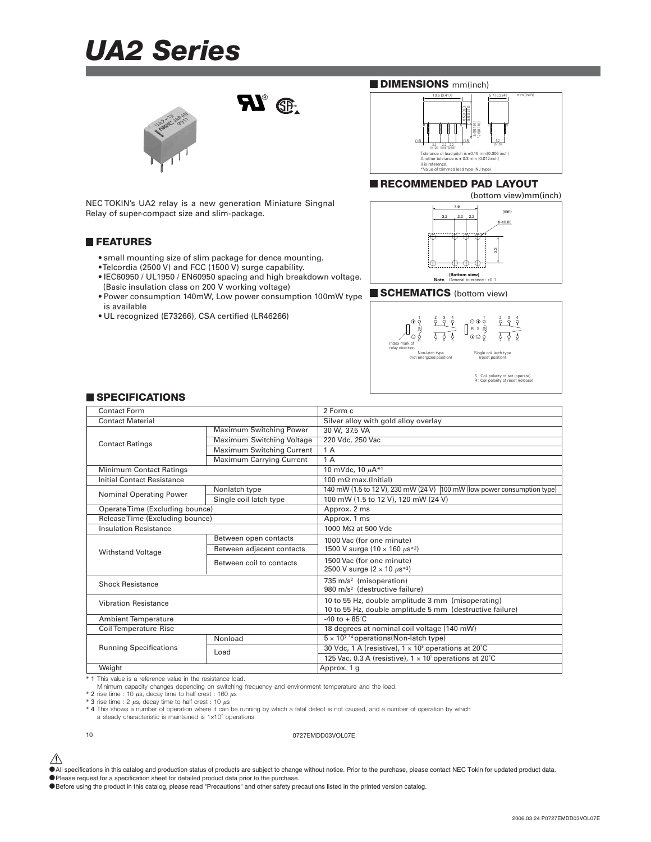### *UA2 Series*



NEC TOKIN's UA2 relay is a new generation Miniature Singnal Relay of super-compact size and slim-package.

#### **FEATURES**

- small mounting size of slim package for dence mounting.
- Telcordia (2500 V) and FCC (1500 V) surge capability.
- IEC60950 / UL1950 / EN60950 spacing and high breakdown voltage. (Basic insulation class on 200 V working voltage)

**RI**<sup>®</sup>

- Power consumption 140mW, Low power consumption 100mW type is available
- UL recognized (E73266), CSA certified (LR46266)

#### **DIMENSIONS** mm(inch)



#### **RECOMMENDED PAD LAYOUT**



#### **SCHEMATICS** (bottom view)



#### **SPECIFICATIONS**

| Contact Form                      |                                  | 2 Form c                                                                |
|-----------------------------------|----------------------------------|-------------------------------------------------------------------------|
| <b>Contact Material</b>           |                                  | Silver alloy with gold alloy overlay                                    |
|                                   | Maximum Switching Power          | 30 W, 37.5 VA                                                           |
| <b>Contact Ratings</b>            | <b>Maximum Switching Voltage</b> | 220 Vdc, 250 Vac                                                        |
|                                   | Maximum Switching Current        | 1 A                                                                     |
|                                   | Maximum Carrying Current         | 1A                                                                      |
| <b>Minimum Contact Ratings</b>    |                                  | 10 mVdc, 10 $\mu$ A* <sup>1</sup>                                       |
| <b>Initial Contact Resistance</b> |                                  | 100 m $\Omega$ max.(Initial)                                            |
| <b>Nominal Operating Power</b>    | Nonlatch type                    | 140 mW (1.5 to 12 V), 230 mW (24 V) 100 mW (low power consumption type) |
|                                   | Single coil latch type           | 100 mW (1.5 to 12 V), 120 mW (24 V)                                     |
| Operate Time (Excluding bounce)   |                                  | Approx. 2 ms                                                            |
| Release Time (Excluding bounce)   |                                  | Approx. 1 ms                                                            |
| <b>Insulation Resistance</b>      |                                  | 1000 MΩ at 500 Vdc                                                      |
|                                   | Between open contacts            | 1000 Vac (for one minute)                                               |
| <b>Withstand Voltage</b>          | Between adjacent contacts        | 1500 V surge $(10 \times 160 \mu s^{*2})$                               |
|                                   | Between coil to contacts         | 1500 Vac (for one minute)                                               |
|                                   |                                  | 2500 V surge $(2 \times 10 \ \mu s^{*3})$                               |
| <b>Shock Resistance</b>           |                                  | 735 m/s <sup>2</sup> (misoperation)                                     |
|                                   |                                  | 980 m/s <sup>2</sup> (destructive failure)                              |
| <b>Vibration Resistance</b>       |                                  | 10 to 55 Hz, double amplitude 3 mm (misoperating)                       |
|                                   |                                  | 10 to 55 Hz, double amplitude 5 mm (destructive failure)                |
| <b>Ambient Temperature</b>        |                                  | $-40$ to $+85^{\circ}$ C                                                |
| <b>Coil Temperature Rise</b>      |                                  | 18 degrees at nominal coil voltage (140 mW)                             |
|                                   | Nonload                          | $5 \times 10^{7}$ *4 operations (Non-latch type)                        |
| <b>Running Specifications</b>     | Load                             | 30 Vdc, 1 A (resistive), $1 \times 10^5$ operations at 20°C             |
|                                   |                                  | 125 Vac, 0.3 A (resistive), $1 \times 10^5$ operations at 20°C          |
| Weight                            |                                  | Approx. 1 g                                                             |

\* 1 This value is a reference value in the resistance load.

Minimum capacity changes depending on switching frequency and environment temperature and the load.

 $*$  2 rise time : 10  $\mu$ s, decay time to half crest : 160  $\mu$ s<br> $*$  3 rise time : 2  $\mu$ s, decay time to half crest : 10  $\mu$ s

\* 4 This shows a number of operation where it can be running by which a fatal defect is not caused, and a number of operation by which a steady characteristic is maintained is 1×107 operations.

10 0727EMDD03VOL07E

•Please request for a specification sheet for detailed product data prior to the purchase.

 $\hat{\triangle}$  All specifications in this catalog and production status of products are subject to change without notice. Prior to the purchase, please contact NEC Tokin for updated product data.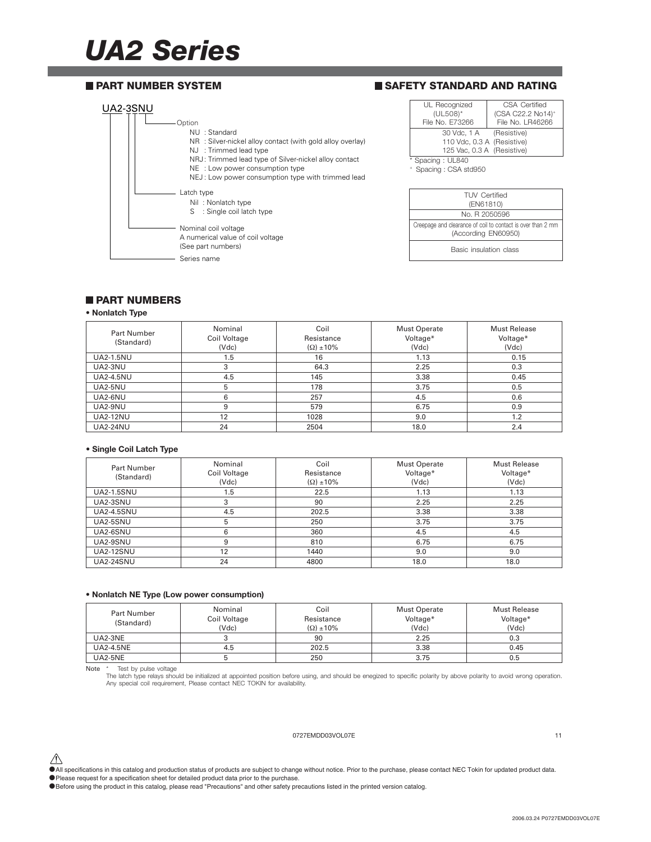### *UA2 Series*

#### **PART NUMBER SYSTEM**

#### **SAFETY STANDARD AND RATING**



#### **PART NUMBERS**

#### **• Nonlatch Type**

| Part Number<br>(Standard) | Nominal<br>Coil Voltage<br>(Vdc) | Coil<br>Resistance<br>$(\Omega) \pm 10\%$ | <b>Must Operate</b><br>Voltage*<br>(Vdc) | <b>Must Release</b><br>Voltage*<br>(Vdc) |
|---------------------------|----------------------------------|-------------------------------------------|------------------------------------------|------------------------------------------|
| <b>UA2-1.5NU</b>          | 1.5                              | 16                                        | 1.13                                     | 0.15                                     |
| UA2-3NU                   | 3                                | 64.3                                      | 2.25                                     | 0.3                                      |
| <b>UA2-4.5NU</b>          | 4.5                              | 145                                       | 3.38                                     | 0.45                                     |
| UA2-5NU                   | 5                                | 178                                       | 3.75                                     | 0.5                                      |
| UA2-6NU                   | 6                                | 257                                       | 4.5                                      | 0.6                                      |
| UA2-9NU                   | 9                                | 579                                       | 6.75                                     | 0.9                                      |
| <b>UA2-12NU</b>           | 12                               | 1028                                      | 9.0                                      | 1.2                                      |
| <b>UA2-24NU</b>           | 24                               | 2504                                      | 18.0                                     | 2.4                                      |

#### **• Single Coil Latch Type**

| Part Number<br>(Standard) | Nominal<br>Coil Voltage<br>(Vdc) | Coil<br>Resistance<br>$(\Omega) \pm 10\%$ | <b>Must Operate</b><br>Voltage*<br>(Vdc) | <b>Must Release</b><br>Voltage*<br>(Vdc) |
|---------------------------|----------------------------------|-------------------------------------------|------------------------------------------|------------------------------------------|
| <b>UA2-1.5SNU</b>         | 1.5                              | 22.5                                      | 1.13                                     | 1.13                                     |
| UA2-3SNU                  | 3                                | 90                                        | 2.25                                     | 2.25                                     |
| <b>UA2-4.5SNU</b>         | 4.5                              | 202.5                                     | 3.38                                     | 3.38                                     |
| UA2-5SNU                  | 5                                | 250                                       | 3.75                                     | 3.75                                     |
| UA2-6SNU                  | 6                                | 360                                       | 4.5                                      | 4.5                                      |
| UA2-9SNU                  | 9                                | 810                                       | 6.75                                     | 6.75                                     |
| <b>UA2-12SNU</b>          | 12                               | 1440                                      | 9.0                                      | 9.0                                      |
| <b>UA2-24SNU</b>          | 24                               | 4800                                      | 18.0                                     | 18.0                                     |

#### **• Nonlatch NE Type (Low power consumption)**

| Part Number      | Nominal      | Coil                | Must Operate | Must Release |
|------------------|--------------|---------------------|--------------|--------------|
| (Standard)       | Coil Voltage | Resistance          | Voltage*     | Voltage*     |
|                  | (Vdc)        | $(\Omega) \pm 10\%$ | (Vdc)        | (Vdc)        |
| UA2-3NE          |              | 90                  | 2.25         | 0.3          |
| <b>UA2-4.5NE</b> | 4.5          | 202.5               | 3.38         | 0.45         |
| <b>UA2-5NE</b>   |              | 250                 | 3.75         | ა.5          |

Note \* Test by pulse voltage<br>The latch type relays should be initialized at appointed position before using, and should be enegized to specific polarity by above polarity to avoid wrong operation.<br>Any special coil requirem

#### 0727EMDD03VOL07E 11

 $\hat{\triangle}$  All specifications in this catalog and production status of products are subject to change without notice. Prior to the purchase, please contact NEC Tokin for updated product data.

- •Please request for a specification sheet for detailed product data prior to the purchase.
- •Before using the product in this catalog, please read "Precautions" and other safety precautions listed in the printed version catalog.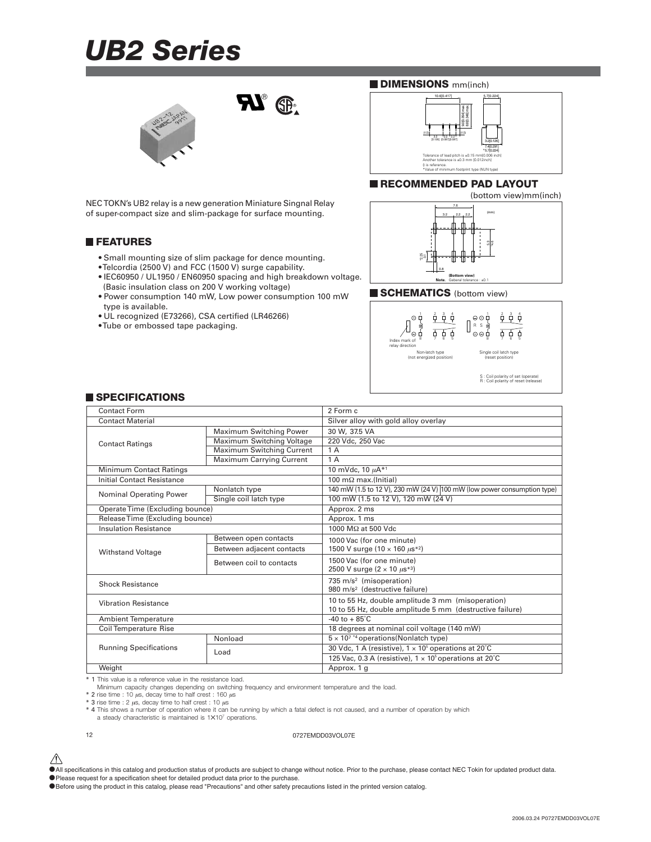### *UB2 Series*



**RI**<sup>®</sup>

NEC TOKN's UB2 relay is a new generation Miniature Singnal Relay of super-compact size and slim-package for surface mounting.

#### **FEATURES**

- Small mounting size of slim package for dence mounting.
- Telcordia (2500 V) and FCC (1500 V) surge capability.
- IEC60950 / UL1950 / EN60950 spacing and high breakdown voltage. (Basic insulation class on 200 V working voltage)
- Power consumption 140 mW, Low power consumption 100 mW type is available.
- UL recognized (E73266), CSA certified (LR46266)
- Tube or embossed tape packaging.

#### **DIMENSIONS** mm(inch)



#### **RECOMMENDED PAD LAYOUT**



#### **SCHEMATICS** (bottom view)



| $\blacksquare$ SPECIFICATIONS |
|-------------------------------|
|-------------------------------|

| Contact Form                    |                                  | 2 Form c                                                                |
|---------------------------------|----------------------------------|-------------------------------------------------------------------------|
| <b>Contact Material</b>         |                                  | Silver alloy with gold alloy overlay                                    |
|                                 | Maximum Switching Power          | 30 W, 37.5 VA                                                           |
| <b>Contact Ratings</b>          | Maximum Switching Voltage        | 220 Vdc. 250 Vac                                                        |
|                                 | <b>Maximum Switching Current</b> | 1 A                                                                     |
|                                 | <b>Maximum Carrying Current</b>  | 1A                                                                      |
| <b>Minimum Contact Ratings</b>  |                                  | 10 mVdc, 10 $\mu$ A <sup>*1</sup>                                       |
| Initial Contact Resistance      |                                  | 100 m $\Omega$ max.(Initial)                                            |
|                                 | Nonlatch type                    | 140 mW (1.5 to 12 V), 230 mW (24 V) 100 mW (low power consumption type) |
| <b>Nominal Operating Power</b>  | Single coil latch type           | 100 mW (1.5 to 12 V), 120 mW (24 V)                                     |
| Operate Time (Excluding bounce) |                                  | Approx. 2 ms                                                            |
| Release Time (Excluding bounce) |                                  | Approx. 1 ms                                                            |
| <b>Insulation Resistance</b>    |                                  | 1000 MΩ at 500 Vdc                                                      |
|                                 | Between open contacts            | 1000 Vac (for one minute)                                               |
| <b>Withstand Voltage</b>        | Between adjacent contacts        | 1500 V surge (10 $\times$ 160 $\mu$ s <sup>*2</sup> )                   |
|                                 | Between coil to contacts         | 1500 Vac (for one minute)                                               |
|                                 |                                  | 2500 V surge $(2 \times 10 \ \mu s^{*3})$                               |
| <b>Shock Resistance</b>         |                                  | 735 m/s <sup>2</sup> (misoperation)                                     |
|                                 |                                  | 980 m/s <sup>2</sup> (destructive failure)                              |
| <b>Vibration Resistance</b>     |                                  | 10 to 55 Hz, double amplitude 3 mm (misoperation)                       |
|                                 |                                  | 10 to 55 Hz, double amplitude 5 mm (destructive failure)                |
| <b>Ambient Temperature</b>      |                                  | $-40$ to $+85^{\circ}$ C                                                |
| <b>Coil Temperature Rise</b>    |                                  | 18 degrees at nominal coil voltage (140 mW)                             |
|                                 | Nonload                          | $5 \times 10^{7}$ *4 operations (Nonlatch type)                         |
| <b>Running Specifications</b>   | Load                             | 30 Vdc, 1 A (resistive), $1 \times 10^5$ operations at 20°C             |
|                                 |                                  | 125 Vac, 0.3 A (resistive), $1 \times 10^5$ operations at 20°C          |
| Weight                          |                                  | Approx. 1 g                                                             |

\* 1 This value is a reference value in the resistance load.

Minimum capacity changes depending on switching frequency and environment temperature and the load.

\* 2 rise time : 10  $\mu$ s, decay time to half crest : 160  $\mu$ s

\* 3 rise time : 2 µs, decay time to half crest : 10 µs \* 4 This shows a number of operation where it can be running by which a fatal defect is not caused, and a number of operation by which

a steady characteristic is maintained is  $1×10<sup>7</sup>$  operations.

12 0727EMDD03VOL07E

- $\hat{\triangle}$  All specifications in this catalog and production status of products are subject to change without notice. Prior to the purchase, please contact NEC Tokin for updated product data.
- •Please request for a specification sheet for detailed product data prior to the purchase.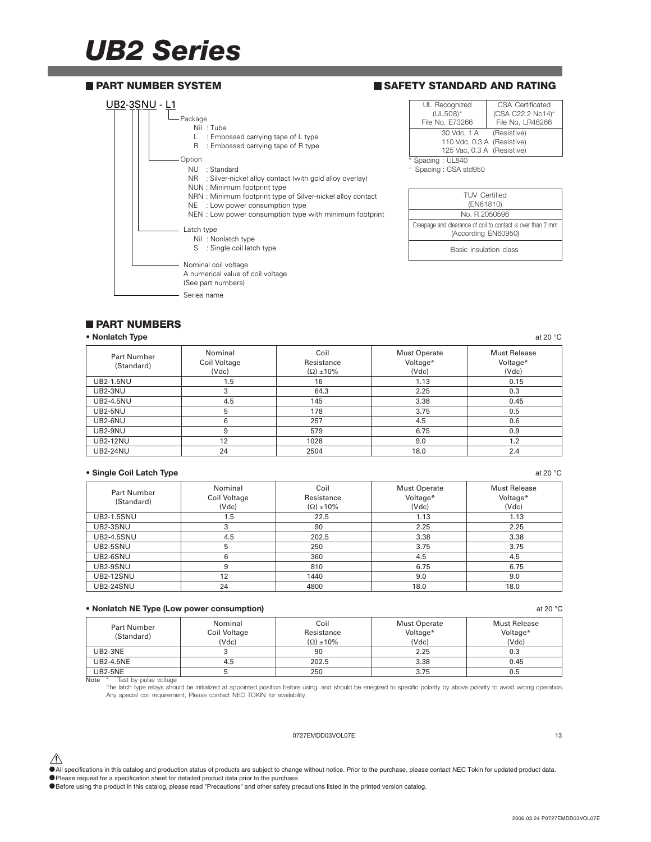### *UB2 Series*



### **PART NUMBERS**

#### **• Nonlatch Type** at 20 °C at 20 °C at 20 °C at 20 °C at 20 °C at 20 °C at 20 °C at 20 °C at 20 °C at 20 °C at 20 °C at 20 °C at 20 °C at 20 °C at 20 °C at 20 °C at 20 °C at 20 °C at 20 °C at 20 °C at 20 °C at 20 °C at 20

| Part Number<br>(Standard) | Nominal<br>Coil Voltage<br>(Vdc) | Coil<br>Resistance<br>$(\Omega) \pm 10\%$ | <b>Must Operate</b><br>Voltage*<br>(Vdc) | Must Release<br>Voltage*<br>(Vdc) |
|---------------------------|----------------------------------|-------------------------------------------|------------------------------------------|-----------------------------------|
| <b>UB2-1.5NU</b>          | 1.5                              | 16                                        | 1.13                                     | 0.15                              |
| <b>UB2-3NU</b>            | 3                                | 64.3                                      | 2.25                                     | 0.3                               |
| <b>UB2-4.5NU</b>          | 4.5                              | 145                                       | 3.38                                     | 0.45                              |
| <b>UB2-5NU</b>            | 5                                | 178                                       | 3.75                                     | 0.5                               |
| UB2-6NU                   | 6                                | 257                                       | 4.5                                      | 0.6                               |
| UB2-9NU                   | 9                                | 579                                       | 6.75                                     | 0.9                               |
| <b>UB2-12NU</b>           | 12                               | 1028                                      | 9.0                                      | 1.2                               |
| <b>UB2-24NU</b>           | 24                               | 2504                                      | 18.0                                     | 2.4                               |

#### **• Single Coil Latch Type** at 20 °C

| Part Number<br>(Standard) | Nominal<br>Coil Voltage<br>(Vdc) | Coil<br>Resistance<br>$(\Omega) \pm 10\%$ | <b>Must Operate</b><br>Voltage*<br>(Vdc) | <b>Must Release</b><br>Voltage*<br>(Vdc) |
|---------------------------|----------------------------------|-------------------------------------------|------------------------------------------|------------------------------------------|
| <b>UB2-1.5SNU</b>         | 1.5                              | 22.5                                      | 1.13                                     | 1.13                                     |
| UB2-3SNU                  | 3                                | 90                                        | 2.25                                     | 2.25                                     |
| <b>UB2-4.5SNU</b>         | 4.5                              | 202.5                                     | 3.38                                     | 3.38                                     |
| UB2-5SNU                  | 5                                | 250                                       | 3.75                                     | 3.75                                     |
| UB2-6SNU                  | 6                                | 360                                       | 4.5                                      | 4.5                                      |
| UB2-9SNU                  | 9                                | 810                                       | 6.75                                     | 6.75                                     |
| <b>UB2-12SNU</b>          | 12                               | 1440                                      | 9.0                                      | 9.0                                      |
| <b>UB2-24SNU</b>          | 24                               | 4800                                      | 18.0                                     | 18.0                                     |

#### **• Nonlatch NE Type (Low power consumption)** at 20 °C

| Part Number      | Nominal      | Coil                | Must Operate | Must Release |
|------------------|--------------|---------------------|--------------|--------------|
| (Standard)       | Coil Voltage | Resistance          | Voltage*     | Voltage*     |
|                  | (Vdc)        | $(\Omega) \pm 10\%$ | (Vdc)        | (Vdc)        |
| $UB2-3NE$        |              | 90                  | 2.25         | 0.3          |
| <b>UB2-4.5NE</b> | 4.5          | 202.5               | 3.38         | 0.45         |
| <b>UB2-5NE</b>   |              | 250                 | 3.75         | 0.5          |

Note \* Test by pulse voltage

The latch type relays should be initialized at appointed position before using, and should be enegized to specific polarity by above polarity to avoid wrong operation. Any special coil requirement, Please contact NEC TOKIN for availability.

#### 0727EMDD03VOL07E 13

 $\hat{\triangle}$  All specifications in this catalog and production status of products are subject to change without notice. Prior to the purchase, please contact NEC Tokin for updated product data. •Please request for a specification sheet for detailed product data prior to the purchase.

•Before using the product in this catalog, please read "Precautions" and other safety precautions listed in the printed version catalog.

2006.03.24 P0727EMDD03VOL07E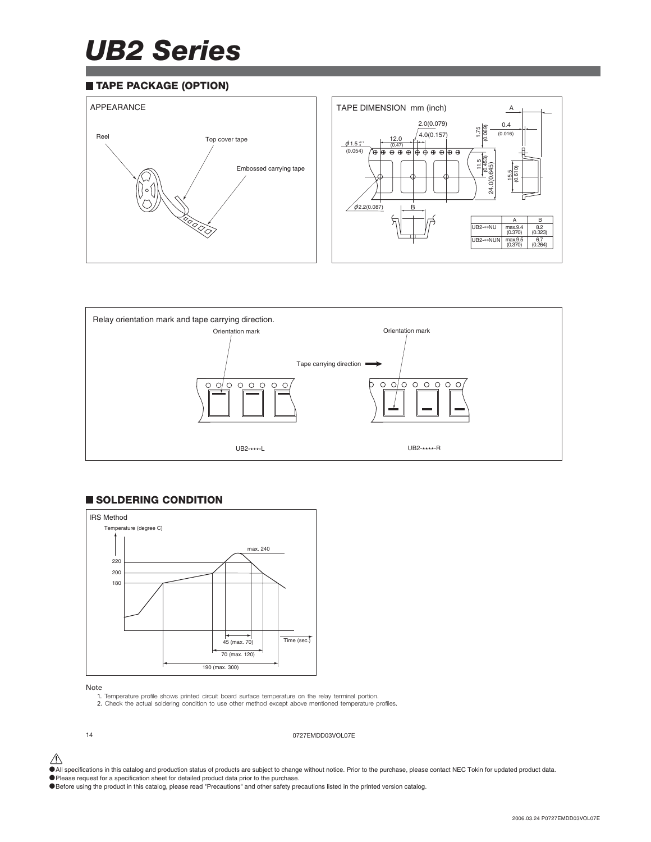## *UB2 Series*

#### **TAPE PACKAGE (OPTION)**





### **SOLDERING CONDITION**



#### Note

- 1. Temperature profile shows printed circuit board surface temperature on the relay terminal portion.
- 2. Check the actual soldering condition to use other method except above mentioned temperature profiles.

14 0727EMDD03VOL07E

- $\bigwedge$  All specifications in this catalog and production status of products are subject to change without notice. Prior to the purchase, please contact NEC Tokin for updated product data.
- •Please request for a specification sheet for detailed product data prior to the purchase.
- •Before using the product in this catalog, please read "Precautions" and other safety precautions listed in the printed version catalog.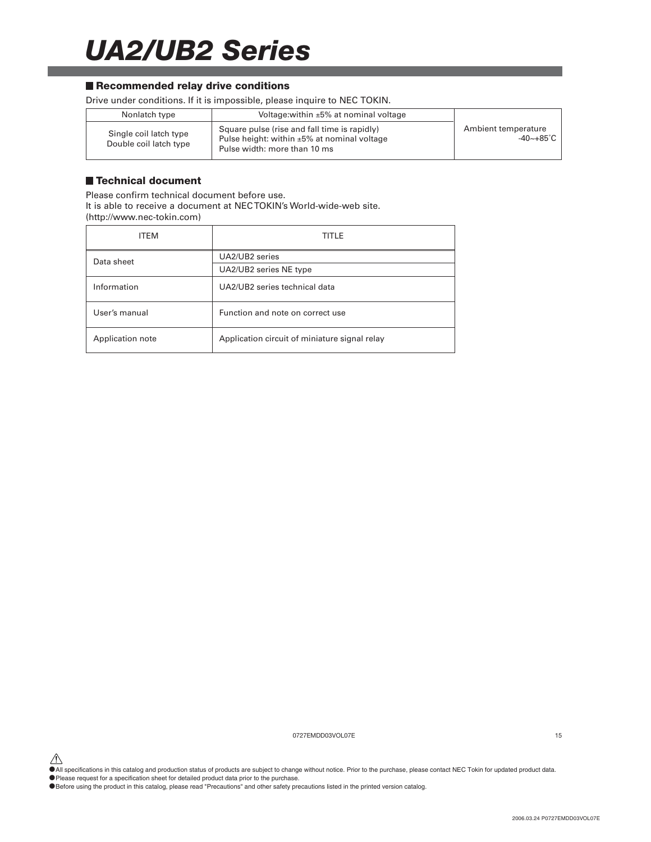### *UA2/UB2 Series*

#### ■ Recommended relay drive conditions

Drive under conditions. If it is impossible, please inquire to NEC TOKIN.

| Nonlatch type                                    | Voltage: within $\pm 5\%$ at nominal voltage                                                                                      |                                  |
|--------------------------------------------------|-----------------------------------------------------------------------------------------------------------------------------------|----------------------------------|
| Single coil latch type<br>Double coil latch type | Square pulse (rise and fall time is rapidly)<br>Pulse height: within $\pm 5\%$ at nominal voltage<br>Pulse width: more than 10 ms | Ambient temperature<br>-40~+85°C |

#### **Technical document**

Please confirm technical document before use. It is able to receive a document at NEC TOKIN's World-wide-web site. (http://www.nec-tokin.com)

| ITEM             | TITLE                                         |  |
|------------------|-----------------------------------------------|--|
| Data sheet       | UA2/UB2 series                                |  |
|                  | UA2/UB2 series NE type                        |  |
| Information      | UA2/UB2 series technical data                 |  |
| User's manual    | Function and note on correct use              |  |
| Application note | Application circuit of miniature signal relay |  |

0727EMDD03VOL07E 15

△<br>●All specifications in this catalog and production status of products are subject to change without notice. Prior to the purchase, please contact NEC Tokin for updated product data.

•Please request for a specification sheet for detailed product data prior to the purchase.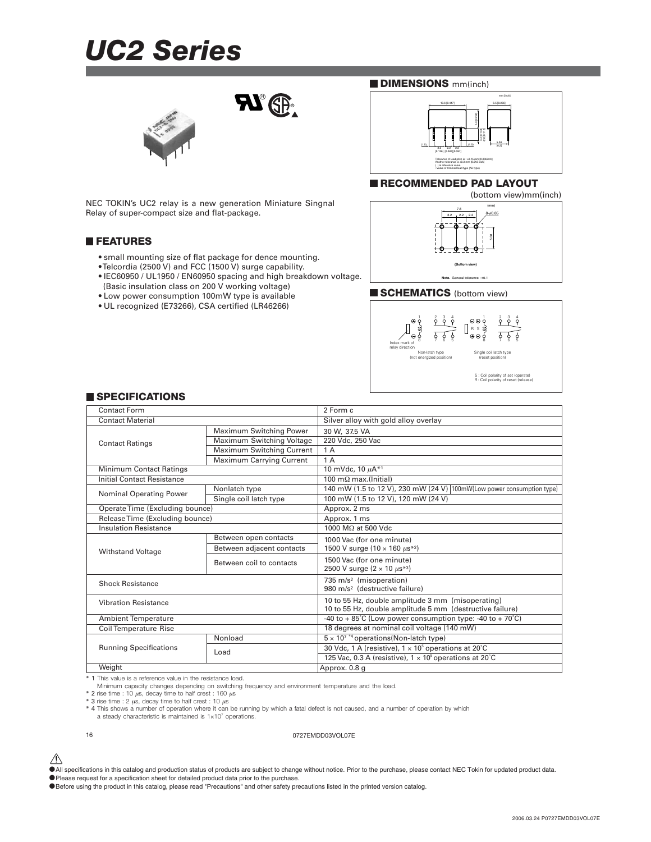### *UC2 Series*



NEC TOKIN's UC2 relay is a new generation Miniature Singnal Relay of super-compact size and flat-package.

#### **FEATURES**

- small mounting size of flat package for dence mounting.
- Telcordia (2500 V) and FCC (1500 V) surge capability.
- IEC60950 / UL1950 / EN60950 spacing and high breakdown voltage.

 $\mathbf{N}$   $\circledR$ 

- (Basic insulation class on 200 V working voltage)
- Low power consumption 100mW type is available
- UL recognized (E73266), CSA certified (LR46266)

#### **DIMENSIONS** mm(inch)



#### **RECOMMENDED PAD LAYOUT**



#### **SCHEMATICS** (bottom view)



#### **SPECIFICATIONS**

| Contact Form                      |                                  | 2 Form c                                                              |  |
|-----------------------------------|----------------------------------|-----------------------------------------------------------------------|--|
| <b>Contact Material</b>           |                                  | Silver alloy with gold alloy overlay                                  |  |
|                                   | <b>Maximum Switching Power</b>   | 30 W, 37.5 VA                                                         |  |
| <b>Contact Ratings</b>            | Maximum Switching Voltage        | 220 Vdc. 250 Vac                                                      |  |
|                                   | <b>Maximum Switching Current</b> | 1 A                                                                   |  |
|                                   | <b>Maximum Carrying Current</b>  | 1A                                                                    |  |
| <b>Minimum Contact Ratings</b>    |                                  | 10 mVdc, 10 µA*1                                                      |  |
| <b>Initial Contact Resistance</b> |                                  | 100 m $\Omega$ max.(Initial)                                          |  |
| <b>Nominal Operating Power</b>    | Nonlatch type                    | 140 mW (1.5 to 12 V), 230 mW (24 V) 100mW(Low power consumption type) |  |
|                                   | Single coil latch type           | 100 mW (1.5 to 12 V), 120 mW (24 V)                                   |  |
| Operate Time (Excluding bounce)   |                                  | Approx. 2 ms                                                          |  |
| Release Time (Excluding bounce)   |                                  | Approx. 1 ms                                                          |  |
| <b>Insulation Resistance</b>      |                                  | 1000 MΩ at 500 Vdc                                                    |  |
|                                   | Between open contacts            | 1000 Vac (for one minute)                                             |  |
| <b>Withstand Voltage</b>          | Between adjacent contacts        | 1500 V surge $(10 \times 160 \ \mu s^{*2})$                           |  |
|                                   | Between coil to contacts         | 1500 Vac (for one minute)                                             |  |
|                                   |                                  | 2500 V surge $(2 \times 10 \ \mu s^{*3})$                             |  |
| <b>Shock Resistance</b>           |                                  | 735 m/s <sup>2</sup> (misoperation)                                   |  |
|                                   |                                  | 980 m/s <sup>2</sup> (destructive failure)                            |  |
| <b>Vibration Resistance</b>       |                                  | 10 to 55 Hz, double amplitude 3 mm (misoperating)                     |  |
|                                   |                                  | 10 to 55 Hz, double amplitude 5 mm (destructive failure)              |  |
| <b>Ambient Temperature</b>        |                                  | -40 to + 85°C (Low power consumption type: -40 to + 70°C)             |  |
| <b>Coil Temperature Rise</b>      |                                  | 18 degrees at nominal coil voltage (140 mW)                           |  |
|                                   | Nonload                          | $5 \times 10^{7}$ *4 operations (Non-latch type)                      |  |
| <b>Running Specifications</b>     | Load                             | 30 Vdc, 1 A (resistive), $1 \times 10^5$ operations at 20°C           |  |
|                                   |                                  | 125 Vac, 0.3 A (resistive), $1 \times 10^5$ operations at 20°C        |  |
| Weight                            |                                  | Approx. 0.8 g                                                         |  |

\* 1 This value is a reference value in the resistance load.

Minimum capacity changes depending on switching frequency and environment temperature and the load.<br>\* 2 rise time : 10 µs, decay time to half crest : 160 µs

 $*$  3 rise time : 2  $\mu$ s, decay time to half crest : 10  $\mu$ s

\* 4 This shows a number of operation where it can be running by which a fatal defect is not caused, and a number of operation by which a steady characteristic is maintained is 1×107 operations.

16 0727EMDD03VOL07E

 $\hat{\triangle}$  All specifications in this catalog and production status of products are subject to change without notice. Prior to the purchase, please contact NEC Tokin for updated product data.

•Please request for a specification sheet for detailed product data prior to the purchase.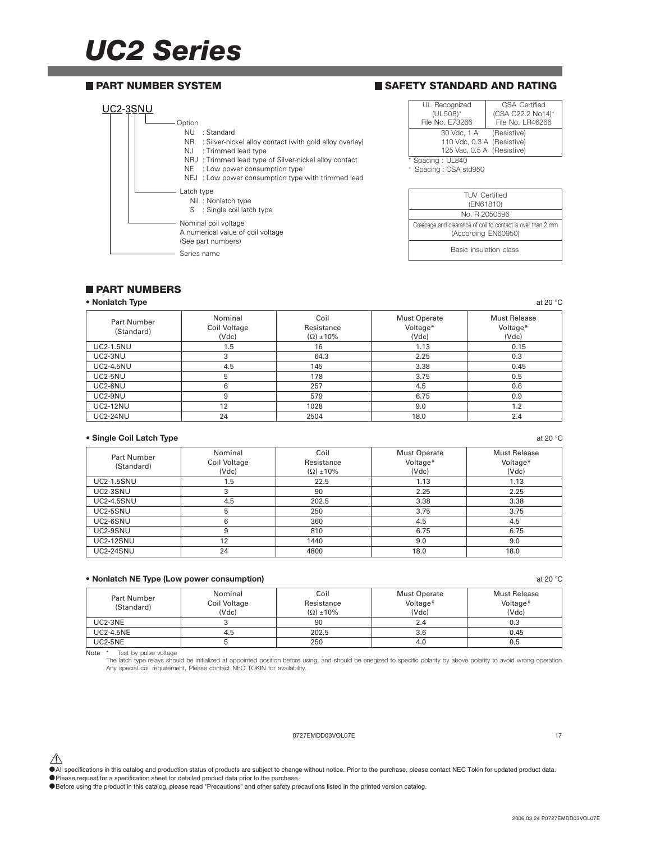## *UC2 Series*

#### **PART NUMBER SYSTEM**

#### **SAFETY STANDARD AND RATING**



| UL Recognized                                                      | CSA Certified                 |
|--------------------------------------------------------------------|-------------------------------|
| $(UL508)^*$                                                        | (CSA C22.2 No14) <sup>+</sup> |
| File No. E73266                                                    | File No. LR46266              |
| 30 Vdc. 1 A (Resistive)                                            |                               |
| 110 Vdc, 0.3 A (Resistive)                                         |                               |
| 125 Vac, 0.5 A (Resistive)                                         |                               |
| $O_{\text{meas}}$ $\sim$ $\sim$ $\sim$ $\sim$ $\sim$ $\sim$ $\sim$ |                               |

| <b>TUV Certified</b><br>(EN61810)                                                  |
|------------------------------------------------------------------------------------|
| No. B 2050596                                                                      |
| Creepage and clearance of coil to contact is over than 2 mm<br>(According EN60950) |
| Basic insulation class                                                             |

#### **PART NUMBERS**

#### **• Nonlatch Type** at 20 °C at 20 °C at 20 °C at 20 °C at 20 °C at 20 °C at 20 °C at 20 °C at 20 °C at 20 °C at 20 °C at 20 °C at 20 °C at 20 °C at 20 °C at 20 °C at 20 °C at 20 °C at 20 °C at 20 °C at 20 °C at 20 °C at 20

| Part Number      | Nominal      | Coil                | <b>Must Operate</b> | Must Release |
|------------------|--------------|---------------------|---------------------|--------------|
| (Standard)       | Coil Voltage | Resistance          | Voltage*            | Voltage*     |
|                  | (Vdc)        | $(\Omega) \pm 10\%$ | (Vdc)               | (Vdc)        |
| <b>UC2-1.5NU</b> | 1.5          | 16                  | 1.13                | 0.15         |
| UC2-3NU          | 3            | 64.3                | 2.25                | 0.3          |
| <b>UC2-4.5NU</b> | 4.5          | 145                 | 3.38                | 0.45         |
| UC2-5NU          | 5            | 178                 | 3.75                | 0.5          |
| UC2-6NU          | 6            | 257                 | 4.5                 | 0.6          |
| UC2-9NU          | 9            | 579                 | 6.75                | 0.9          |
| <b>UC2-12NU</b>  | 12           | 1028                | 9.0                 | 1.2          |
| <b>UC2-24NU</b>  | 24           | 2504                | 18.0                | 2.4          |

#### **• Single Coil Latch Type** at 20 °C

| <b>Part Number</b><br>(Standard) | Nominal<br>Coil Voltage<br>(Vdc) | Coil<br>Resistance<br>$(\Omega) \pm 10\%$ | <b>Must Operate</b><br>Voltage*<br>(Vdc) | Must Release<br>Voltage*<br>(Vdc) |
|----------------------------------|----------------------------------|-------------------------------------------|------------------------------------------|-----------------------------------|
| <b>UC2-1.5SNU</b>                | 1.5                              | 22.5                                      | 1.13                                     | 1.13                              |
| UC2-3SNU                         | 3                                | 90                                        | 2.25                                     | 2.25                              |
| <b>UC2-4.5SNU</b>                | 4.5                              | 202.5                                     | 3.38                                     | 3.38                              |
| UC2-5SNU                         | 5                                | 250                                       | 3.75                                     | 3.75                              |
| UC2-6SNU                         | 6                                | 360                                       | 4.5                                      | 4.5                               |
| UC2-9SNU                         | 9                                | 810                                       | 6.75                                     | 6.75                              |
| <b>UC2-12SNU</b>                 | 12                               | 1440                                      | 9.0                                      | 9.0                               |
| <b>UC2-24SNU</b>                 | 24                               | 4800                                      | 18.0                                     | 18.0                              |

#### **• Nonlatch NE Type (Low power consumption)** at 20 °C

| Part Number<br>(Standard) | Nominal<br>Coil Voltage<br>(Vdc) | Coil<br>Resistance<br>$\Omega$ ±10% | <b>Must Operate</b><br>Voltage*<br>(Vdc) | <b>Must Release</b><br>Voltage*<br>(Vdc) |
|---------------------------|----------------------------------|-------------------------------------|------------------------------------------|------------------------------------------|
| UC2-3NE                   |                                  | 90                                  | 2.4                                      | 0.3                                      |
| <b>UC2-4.5NE</b>          | 4.5                              | 202.5                               | 3.6                                      | 0.45                                     |
| <b>UC2-5NE</b>            |                                  | 250                                 | 4.0                                      | 0.5                                      |

Note \* Test by pulse voltage The latch type relays should be initialized at appointed position before using, and should be enegized to specific polarity by above polarity to avoid wrong operation. Any special coil requirement, Please contact NEC TOKIN for availability.

#### 0727EMDD03VOL07E 17

 $\hat{\triangle}$  All specifications in this catalog and production status of products are subject to change without notice. Prior to the purchase, please contact NEC Tokin for updated product data.

• Please request for a specification sheet for detailed product data prior to the purchase.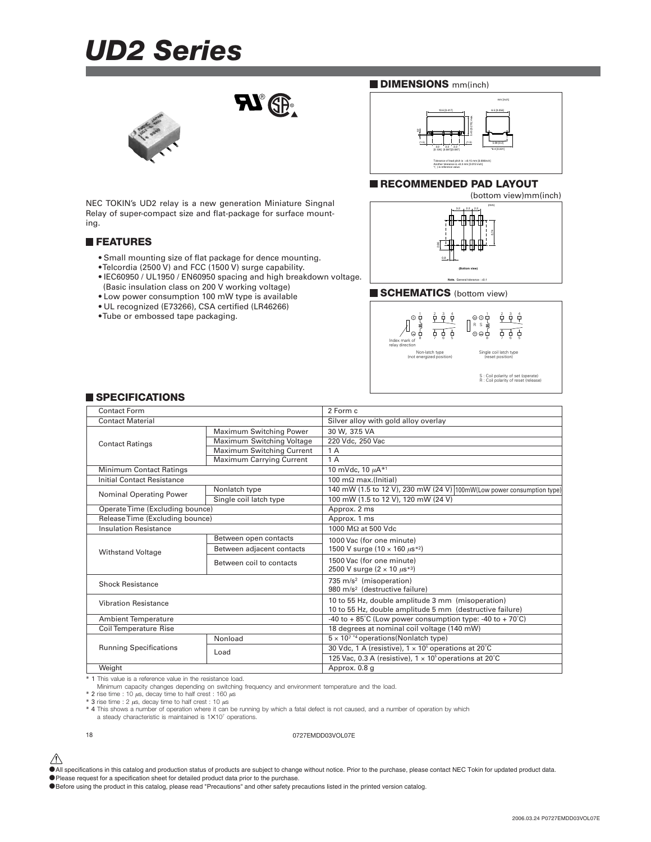### *UD2 Series*



NEC TOKIN's UD2 relay is a new generation Miniature Singnal Relay of super-compact size and flat-package for surface mounting.

#### **FEATURES**

- Small mounting size of flat package for dence mounting.
- Telcordia (2500 V) and FCC (1500 V) surge capability.
- IEC60950 / UL1950 / EN60950 spacing and high breakdown voltage. (Basic insulation class on 200 V working voltage)

 $\mathbf{R}^{\circ}$ 

- Low power consumption 100 mW type is available
- UL recognized (E73266), CSA certified (LR46266)
- Tube or embossed tape packaging.

#### **DIMENSIONS** mm(inch)



#### **RECOMMENDED PAD LAYOUT**



#### **SCHEMATICS** (bottom view)



| <b>I SPECIFICATIONS</b> |  |
|-------------------------|--|
|-------------------------|--|

| Contact Form                    |                                 | 2 Form c                                                                                                      |  |
|---------------------------------|---------------------------------|---------------------------------------------------------------------------------------------------------------|--|
| <b>Contact Material</b>         |                                 | Silver alloy with gold alloy overlay                                                                          |  |
|                                 | Maximum Switching Power         | 30 W. 37.5 VA                                                                                                 |  |
| <b>Contact Ratings</b>          | Maximum Switching Voltage       | 220 Vdc, 250 Vac                                                                                              |  |
|                                 | Maximum Switching Current       | 1 A                                                                                                           |  |
|                                 | <b>Maximum Carrying Current</b> | 1A                                                                                                            |  |
| Minimum Contact Ratings         |                                 | 10 mVdc, 10 µA*1                                                                                              |  |
| Initial Contact Resistance      |                                 | $\overline{100}$ m $\Omega$ max.(Initial)                                                                     |  |
| Nominal Operating Power         | Nonlatch type                   | 140 mW (1.5 to 12 V), 230 mW (24 V) 100mW(Low power consumption type)                                         |  |
|                                 | Single coil latch type          | 100 mW (1.5 to 12 V), 120 mW (24 V)                                                                           |  |
| Operate Time (Excluding bounce) |                                 | Approx. 2 ms                                                                                                  |  |
| Release Time (Excluding bounce) |                                 | Approx. 1 ms                                                                                                  |  |
| <b>Insulation Resistance</b>    |                                 | 1000 MΩ at 500 Vdc                                                                                            |  |
|                                 | Between open contacts           | 1000 Vac (for one minute)                                                                                     |  |
| <b>Withstand Voltage</b>        | Between adjacent contacts       | 1500 V surge (10 $\times$ 160 $\mu$ s <sup>*2</sup> )                                                         |  |
|                                 | Between coil to contacts        | 1500 Vac (for one minute)<br>2500 V surge $(2 \times 10 \ \mu s^{*3})$                                        |  |
| <b>Shock Resistance</b>         |                                 | 735 m/s <sup>2</sup> (misoperation)<br>980 m/s <sup>2</sup> (destructive failure)                             |  |
| <b>Vibration Resistance</b>     |                                 | 10 to 55 Hz, double amplitude 3 mm (misoperation)<br>10 to 55 Hz, double amplitude 5 mm (destructive failure) |  |
| <b>Ambient Temperature</b>      |                                 | -40 to + 85°C (Low power consumption type: -40 to + 70°C)                                                     |  |
| Coil Temperature Rise           |                                 | 18 degrees at nominal coil voltage (140 mW)                                                                   |  |
|                                 | Nonload                         | $5 \times 10^{7}$ *4 operations (Nonlatch type)                                                               |  |
| <b>Running Specifications</b>   | Load                            | 30 Vdc, 1 A (resistive), $1 \times 10^5$ operations at 20°C                                                   |  |
|                                 |                                 | 125 Vac, 0.3 A (resistive), $1 \times 10^5$ operations at 20°C                                                |  |
| Weight                          |                                 | Approx. 0.8 g                                                                                                 |  |

\* 1 This value is a reference value in the resistance load.

Minimum capacity changes depending on switching frequency and environment temperature and the load.

 $*$  2 rise time : 10  $\mu$ s, decay time to half crest : 160  $\mu$ s<br>\* 3 rise time : 2  $\mu$ s, decay time to half crest : 10  $\mu$ s

\* 4 This shows a number of operation where it can be running by which a fatal defect is not caused, and a number of operation by which a steady characteristic is maintained is 1✕107 operations.

#### 18 0727EMDD03VOL07E

 $\hat{\triangle}$  All specifications in this catalog and production status of products are subject to change without notice. Prior to the purchase, please contact NEC Tokin for updated product data.

<sup>•</sup>Please request for a specification sheet for detailed product data prior to the purchase.

<sup>•</sup>Before using the product in this catalog, please read "Precautions" and other safety precautions listed in the printed version catalog.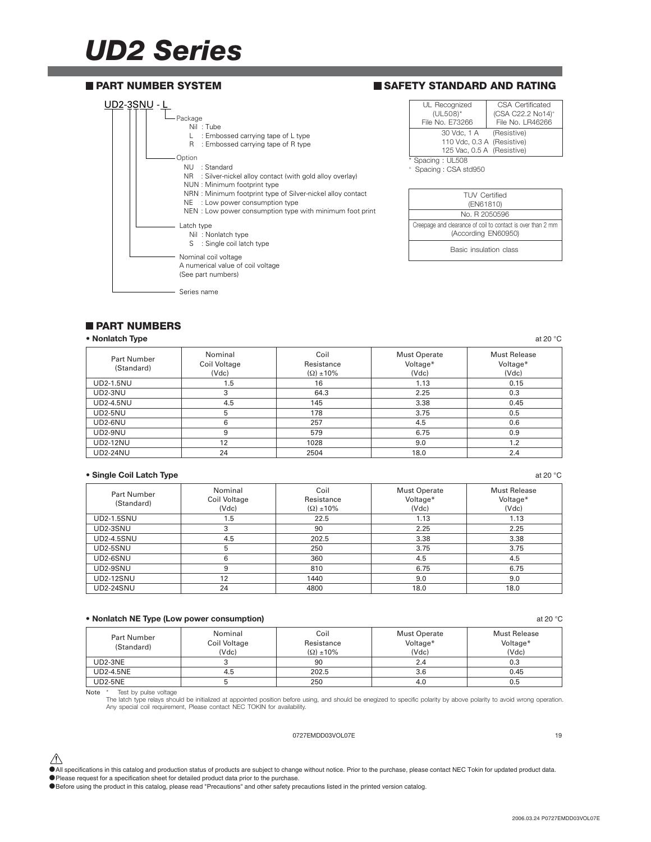### *UD2 Series*



#### **PART NUMBERS**

| • Nonlatch Type           |                                  |                                           |                                          | at 20 $\degree$ C                        |
|---------------------------|----------------------------------|-------------------------------------------|------------------------------------------|------------------------------------------|
| Part Number<br>(Standard) | Nominal<br>Coil Voltage<br>(Vdc) | Coil<br>Resistance<br>$(\Omega) \pm 10\%$ | <b>Must Operate</b><br>Voltage*<br>(Vdc) | <b>Must Release</b><br>Voltage*<br>(Vdc) |
| <b>UD2-1.5NU</b>          | 1.5                              | 16                                        | 1.13                                     | 0.15                                     |
| UD2-3NU                   | 3                                | 64.3                                      | 2.25                                     | 0.3                                      |
| <b>UD2-4.5NU</b>          | 4.5                              | 145                                       | 3.38                                     | 0.45                                     |
| <b>UD2-5NU</b>            | 5                                | 178                                       | 3.75                                     | 0.5                                      |
| UD2-6NU                   | 6                                | 257                                       | 4.5                                      | 0.6                                      |
| $UD2-9NU$                 | 9                                | 579                                       | 6.75                                     | 0.9                                      |
| <b>UD2-12NU</b>           | 12                               | 1028                                      | 9.0                                      | 1.2                                      |
| <b>UD2-24NU</b>           | 24                               | 2504                                      | 18.0                                     | 2.4                                      |

#### **• Single Coil Latch Type** at 20 °C

| <b>Part Number</b><br>(Standard) | Nominal<br>Coil Voltage<br>(Vdc) | Coil<br>Resistance<br>$(\Omega) \pm 10\%$ | <b>Must Operate</b><br>Voltage*<br>(Vdc) | <b>Must Release</b><br>Voltage*<br>(Vdc) |
|----------------------------------|----------------------------------|-------------------------------------------|------------------------------------------|------------------------------------------|
| <b>UD2-1.5SNU</b>                | 1.5                              | 22.5                                      | 1.13                                     | 1.13                                     |
| UD2-3SNU                         | 3                                | 90                                        | 2.25                                     | 2.25                                     |
| <b>UD2-4.5SNU</b>                | 4.5                              | 202.5                                     | 3.38                                     | 3.38                                     |
| UD2-5SNU                         | 5                                | 250                                       | 3.75                                     | 3.75                                     |
| UD2-6SNU                         | 6                                | 360                                       | 4.5                                      | 4.5                                      |
| UD2-9SNU                         | 9                                | 810                                       | 6.75                                     | 6.75                                     |
| <b>UD2-12SNU</b>                 | 12                               | 1440                                      | 9.0                                      | 9.0                                      |
| <b>UD2-24SNU</b>                 | 24                               | 4800                                      | 18.0                                     | 18.0                                     |

#### **• Nonlatch NE Type (Low power consumption)** at 20 °C

| Part Number<br>(Standard) | Nominal<br>Coil Voltage<br>(Vdc) | Coil<br>Resistance<br>$\Omega$ ±10% | Must Operate<br>Voltage*<br>(Vdc) | <b>Must Release</b><br>Voltage*<br>(Vdc) |
|---------------------------|----------------------------------|-------------------------------------|-----------------------------------|------------------------------------------|
| UD2-3NE                   |                                  | 90                                  | 2.4                               | 0.3                                      |
| UD2-4.5NE                 | 4.5                              | 202.5                               | 3.6                               | 0.45                                     |
| UD2-5NE                   |                                  | 250                                 | 4.0                               | U.b                                      |

Note \* Test by pulse voltage<br>The latch type relays should be initialized at appointed position before using, and should be enegized to specific polarity by above polarity to avoid wrong operation. Any special coil requirement, Please contact NEC TOKIN for availability.

#### 0727EMDD03VOL07E 19

 $\hat{\triangle}$  All specifications in this catalog and production status of products are subject to change without notice. Prior to the purchase, please contact NEC Tokin for updated product data. •Please request for a specification sheet for detailed product data prior to the purchase.

•Before using the product in this catalog, please read "Precautions" and other safety precautions listed in the printed version catalog.

2006.03.24 P0727EMDD03VOL07E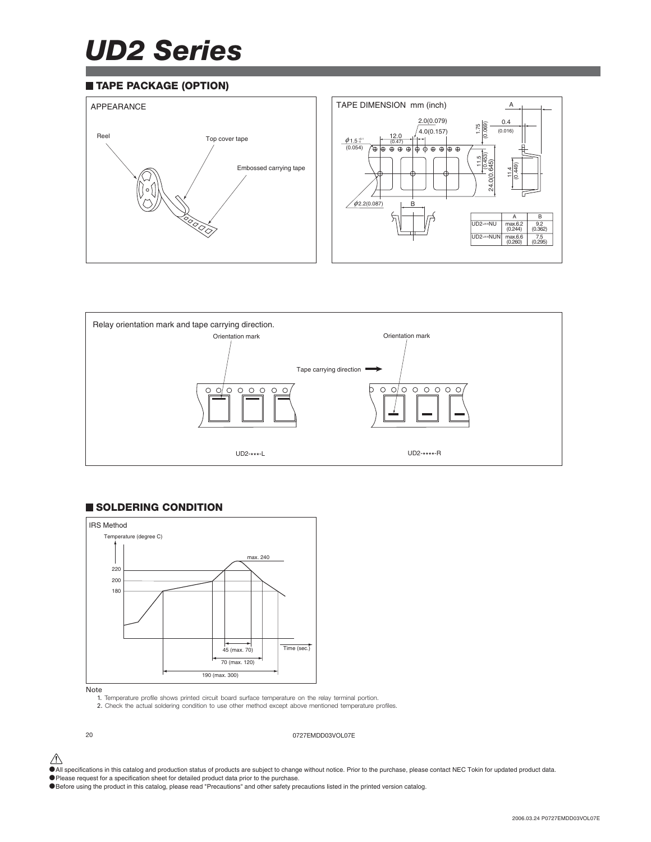## *UD2 Series*

#### **TAPE PACKAGE (OPTION)**





#### **SOLDERING CONDITION**



#### Note

1. Temperature profile shows printed circuit board surface temperature on the relay terminal portion. 2. Check the actual soldering condition to use other method except above mentioned temperature profiles.



20 0727EMDD03VOL07E

 $\bigwedge$  All specifications in this catalog and production status of products are subject to change without notice. Prior to the purchase, please contact NEC Tokin for updated product data.

•Please request for a specification sheet for detailed product data prior to the purchase.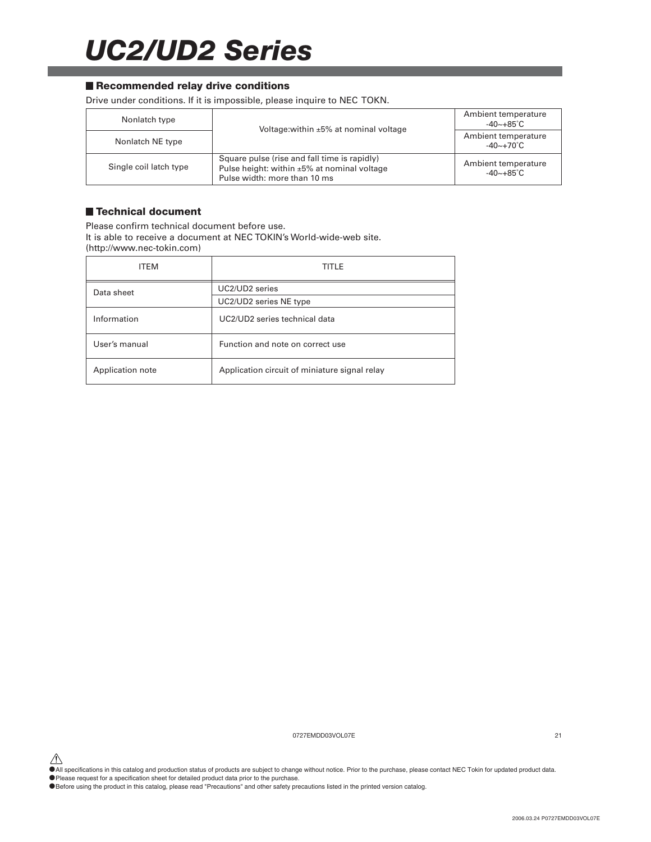## *UC2/UD2 Series*

#### ■ Recommended relay drive conditions

Drive under conditions. If it is impossible, please inquire to NEC TOKN.

| Nonlatch type          | Voltage: within ±5% at nominal voltage                                                                                            | Ambient temperature<br>$-40 - +85^{\circ}C$      |
|------------------------|-----------------------------------------------------------------------------------------------------------------------------------|--------------------------------------------------|
| Nonlatch NE type       |                                                                                                                                   | Ambient temperature<br>$-40 \sim +70^{\circ}$ C. |
| Single coil latch type | Square pulse (rise and fall time is rapidly)<br>Pulse height: within $\pm 5\%$ at nominal voltage<br>Pulse width: more than 10 ms | Ambient temperature<br>$-40 - +85^{\circ}C$      |

#### **Technical document**

Please confirm technical document before use. It is able to receive a document at NEC TOKIN's World-wide-web site. (http://www.nec-tokin.com)

| <b>ITEM</b>      | TITLE                                         |
|------------------|-----------------------------------------------|
| Data sheet       | UC2/UD2 series                                |
|                  | UC2/UD2 series NE type                        |
| Information      | UC2/UD2 series technical data                 |
| User's manual    | Function and note on correct use              |
| Application note | Application circuit of miniature signal relay |

0727EMDD03VOL07E 21

 $\hat{\P}$  All specifications in this catalog and production status of products are subject to change without notice. Prior to the purchase, please contact NEC Tokin for updated product data.

•Please request for a specification sheet for detailed product data prior to the purchase.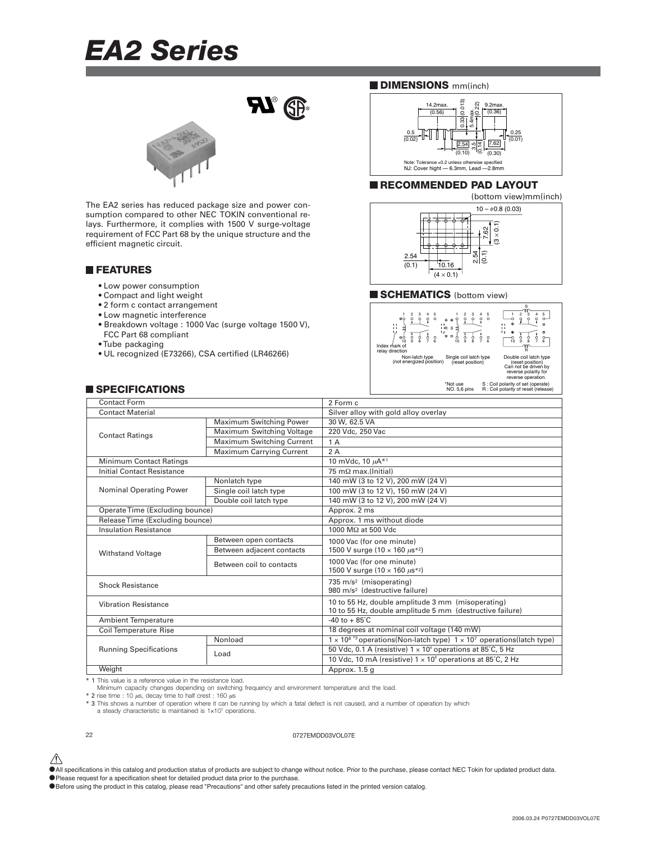### *EA2 Series*



The EA2 series has reduced package size and power consumption compared to other NEC TOKIN conventional relays. Furthermore, it complies with 1500 V surge-voltage requirement of FCC Part 68 by the unique structure and the efficient magnetic circuit.

#### **FEATURES**

- Low power consumption
- Compact and light weight
- 2 form c contact arrangement
- Low magnetic interference
- Breakdown voltage : 1000 Vac (surge voltage 1500 V),
- FCC Part 68 compliant
- Tube packaging
- UL recognized (E73266), CSA certified (LR46266)

#### **SPECIFICATIONS**





#### **RECOMMENDED PAD LAYOUT**



#### **SCHEMATICS** (bottom view)



\*Not use S : Coil polarity of set (operate) NO. 5,6 pins R : Coil polarity of reset (release)

| <b>Contact Form</b>               |                                  | 2 Form c                                                                                                      |  |
|-----------------------------------|----------------------------------|---------------------------------------------------------------------------------------------------------------|--|
| <b>Contact Material</b>           |                                  | Silver alloy with gold alloy overlay                                                                          |  |
| <b>Contact Ratings</b>            | Maximum Switching Power          | 30 W, 62.5 VA                                                                                                 |  |
|                                   | Maximum Switching Voltage        | 220 Vdc, 250 Vac                                                                                              |  |
|                                   | <b>Maximum Switching Current</b> | 1 A                                                                                                           |  |
|                                   | <b>Maximum Carrying Current</b>  | 2A                                                                                                            |  |
| <b>Minimum Contact Ratings</b>    |                                  | 10 mVdc, 10 $\mu$ A <sup>*1</sup>                                                                             |  |
| <b>Initial Contact Resistance</b> |                                  | 75 m $\Omega$ max.(Initial)                                                                                   |  |
|                                   | Nonlatch type                    | 140 mW (3 to 12 V), 200 mW (24 V)                                                                             |  |
| <b>Nominal Operating Power</b>    | Single coil latch type           | 100 mW (3 to 12 V), 150 mW (24 V)                                                                             |  |
|                                   | Double coil latch type           | 140 mW (3 to 12 V), 200 mW (24 V)                                                                             |  |
| Operate Time (Excluding bounce)   |                                  | Approx. 2 ms                                                                                                  |  |
| Release Time (Excluding bounce)   |                                  | Approx. 1 ms without diode                                                                                    |  |
| <b>Insulation Resistance</b>      |                                  | 1000 MΩ at 500 Vdc                                                                                            |  |
|                                   | Between open contacts            | 1000 Vac (for one minute)                                                                                     |  |
| <b>Withstand Voltage</b>          | Between adjacent contacts        | 1500 V surge $(10 \times 160 \mu s^{*2})$                                                                     |  |
|                                   | Between coil to contacts         | 1000 Vac (for one minute)<br>1500 V surge (10 x 160 $\mu$ s*2)                                                |  |
| <b>Shock Resistance</b>           |                                  | 735 m/s <sup>2</sup> (misoperating)<br>980 m/s <sup>2</sup> (destructive failure)                             |  |
| <b>Vibration Resistance</b>       |                                  | 10 to 55 Hz, double amplitude 3 mm (misoperating)<br>10 to 55 Hz, double amplitude 5 mm (destructive failure) |  |
| <b>Ambient Temperature</b>        |                                  | $-40$ to $+85^{\circ}$ C                                                                                      |  |
| <b>Coil Temperature Rise</b>      |                                  | 18 degrees at nominal coil voltage (140 mW)                                                                   |  |
|                                   | Nonload                          | $1 \times 10^{8}$ *3 operations(Non-latch type) $1 \times 10^{7}$ operations(latch type)                      |  |
| <b>Running Specifications</b>     | Load                             | 50 Vdc, 0.1 A (resistive) $1 \times 10^6$ operations at 85°C, 5 Hz                                            |  |
|                                   |                                  | 10 Vdc, 10 mA (resistive) $1 \times 10^6$ operations at 85°C, 2 Hz                                            |  |
| Weight                            |                                  | Approx. 1.5 g                                                                                                 |  |
|                                   |                                  |                                                                                                               |  |

\* 1 This value is a reference value in the resistance load.

Minimum capacity changes depending on switching frequency and environment temperature and the load.

\* 2 rise time : 10  $\mu$ s, decay time to half crest : 160  $\mu$ s

\* 3 This shows a number of operation where it can be running by which a fatal defect is not caused, and a number of operation by which a steady characteristic is maintained is 1×107 operations.

#### 22 0727EMDD03VOL07E

- $\hat{\triangle}$  All specifications in this catalog and production status of products are subject to change without notice. Prior to the purchase, please contact NEC Tokin for updated product data.
- •Please request for a specification sheet for detailed product data prior to the purchase.
- •Before using the product in this catalog, please read "Precautions" and other safety precautions listed in the printed version catalog.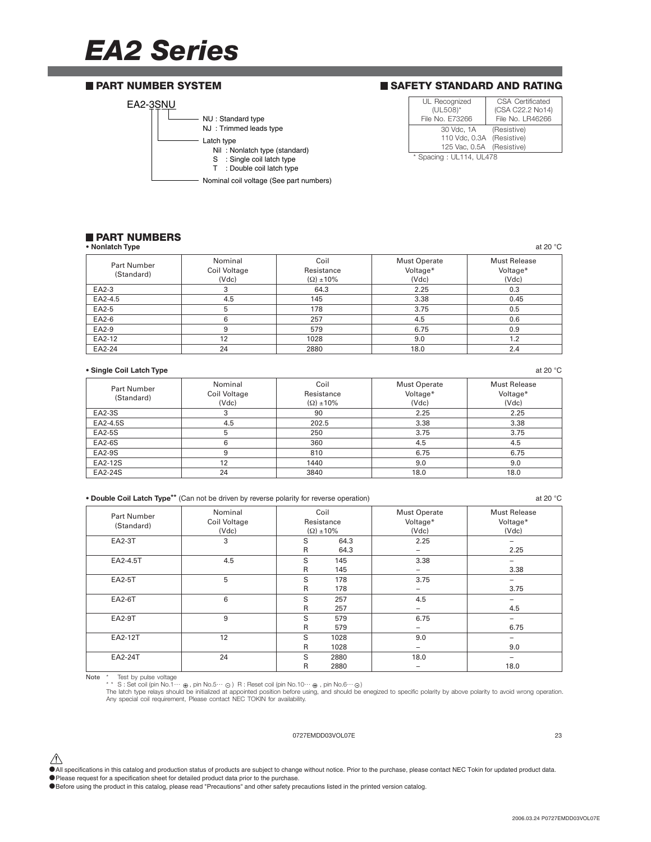### *EA2 Series*

#### EA2-3SNU NU : Standard type NJ : Trimmed leads type Nil : Nonlatch type (standard) S : Single coil latch type T : Double coil latch type Latch type Nominal coil voltage (See part numbers) **PART NUMBER SYSTEM**

#### **SAFETY STANDARD AND RATING**

| UL Recognized             | CSA Certificated |  |  |
|---------------------------|------------------|--|--|
| (UL508)*                  | (CSA C22.2 No14) |  |  |
| File No. E73266           | File No. LR46266 |  |  |
| 30 Vdc. 1A                | (Resistive)      |  |  |
| 110 Vdc, 0.3A (Resistive) |                  |  |  |
| 125 Vac, 0.5A (Resistive) |                  |  |  |
| * Spacing: UL114, UL478   |                  |  |  |

### **PART NUMBERS**

| • Nonlatch Type                  |                                  |                                           |                                          | at 20 $°C$                               |
|----------------------------------|----------------------------------|-------------------------------------------|------------------------------------------|------------------------------------------|
| <b>Part Number</b><br>(Standard) | Nominal<br>Coil Voltage<br>(Vdc) | Coil<br>Resistance<br>$(\Omega) \pm 10\%$ | <b>Must Operate</b><br>Voltage*<br>(Vdc) | <b>Must Release</b><br>Voltage*<br>(Vdc) |
| EA2-3                            | 3                                | 64.3                                      | 2.25                                     | 0.3                                      |
| EA2-4.5                          | 4.5                              | 145                                       | 3.38                                     | 0.45                                     |
| EA2-5                            |                                  | 178                                       | 3.75                                     | 0.5                                      |
| EA2-6                            | 6                                | 257                                       | 4.5                                      | 0.6                                      |
| EA2-9                            | 9                                | 579                                       | 6.75                                     | 0.9                                      |
| EA2-12                           | 12                               | 1028                                      | 9.0                                      | 1.2                                      |
| EA2-24                           | 24                               | 2880                                      | 18.0                                     | 2.4                                      |

#### **• Single Coil Latch Type** at 20 °C

| <b>Part Number</b><br>(Standard) | Nominal<br>Coil Voltage<br>(Vdc) | Coil<br>Resistance<br>$(\Omega) \pm 10\%$ | <b>Must Operate</b><br>Voltage*<br>(Vdc) | <b>Must Release</b><br>Voltage*<br>(Vdc) |
|----------------------------------|----------------------------------|-------------------------------------------|------------------------------------------|------------------------------------------|
| EA2-3S                           |                                  | 90                                        | 2.25                                     | 2.25                                     |
| EA2-4.5S                         | 4.5                              | 202.5                                     | 3.38                                     | 3.38                                     |
| EA2-5S                           | 5                                | 250                                       | 3.75                                     | 3.75                                     |
| EA2-6S                           | 6                                | 360                                       | 4.5                                      | 4.5                                      |
| EA2-9S                           |                                  | 810                                       | 6.75                                     | 6.75                                     |
| EA2-12S                          | 12                               | 1440                                      | 9.0                                      | 9.0                                      |
| EA2-24S                          | 24                               | 3840                                      | 18.0                                     | 18.0                                     |

|  |  | • Double Coil Latch Type** (Can not be driven by reverse polarity for reverse operation) |
|--|--|------------------------------------------------------------------------------------------|
|  |  |                                                                                          |

**• Double Coil Latch Type\*\*** (Can not be driven by reverse polarity for reverse operation) at 20 °C Part Number | Nominal | Coil Must Operate | Must Release Coil Voltage Resistance Voltage\* Voltage\* Voltage\* Voltage\* (Standard) (Vdc) (Vdc) (Vdc) (Vdc) (Vdc) EA2-3T 3 S 64.3 2.25 – R 64.3 – 2.25 EA2-4.5T | 4.5 | S 145 | 3.38 | – R 145 – 145 – 3.38 EA2-5T 5 S 178 3.75 – R 178 | – | 3.75 EA2-6T 6 S 257 4.5 — R 257 | – 1 4.5 EA2-9T 9 S 579 6.75 – R 579 – 6.75 EA2-12T | 12 | S 1028 | 9.0 | – R 1028 | – 1028 | 9.0 EA2-24T | 24 | S 2880 | 18.0 | – R 2880 | – 18.0

Note \* Test by pulse voltage<br>\*\* S : Set coil (pin No.10… → G) R : Reset coil (pin No.10… ⊕, pin No.6… ⊙)<br>The latch type relays should be initialized at appointed position before using, and should be enegized to specific

#### 0727EMDD03VOL07E 23

 $\hat{\triangle}$  All specifications in this catalog and production status of products are subject to change without notice. Prior to the purchase, please contact NEC Tokin for updated product data.

- •Please request for a specification sheet for detailed product data prior to the purchase.
- •Before using the product in this catalog, please read "Precautions" and other safety precautions listed in the printed version catalog.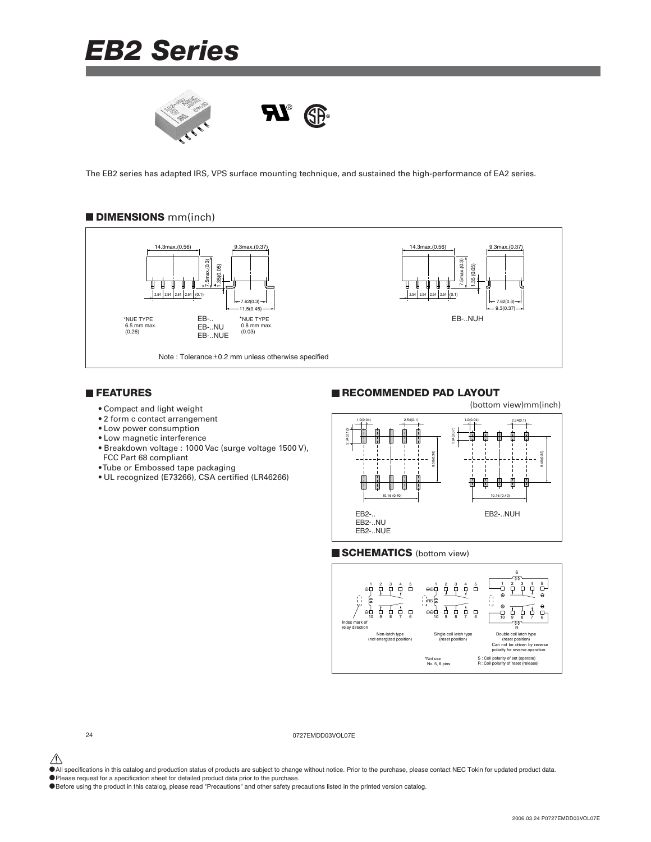



The EB2 series has adapted IRS, VPS surface mounting technique, and sustained the high-performance of EA2 series.

#### **DIMENSIONS** mm(inch)



#### **FEATURES**

- Compact and light weight
- 2 form c contact arrangement
- Low power consumption
- Low magnetic interference
- Breakdown voltage : 1000 Vac (surge voltage 1500 V), FCC Part 68 compliant
- Tube or Embossed tape packaging
- UL recognized (E73266), CSA certified (LR46266)

#### **RECOMMENDED PAD LAYOUT**

(bottom view)mm(inch)



#### **SCHEMATICS** (bottom view)



24 0727EMDD03VOL07E

 $\hat{\triangle}$  All specifications in this catalog and production status of products are subject to change without notice. Prior to the purchase, please contact NEC Tokin for updated product data.

•Please request for a specification sheet for detailed product data prior to the purchase.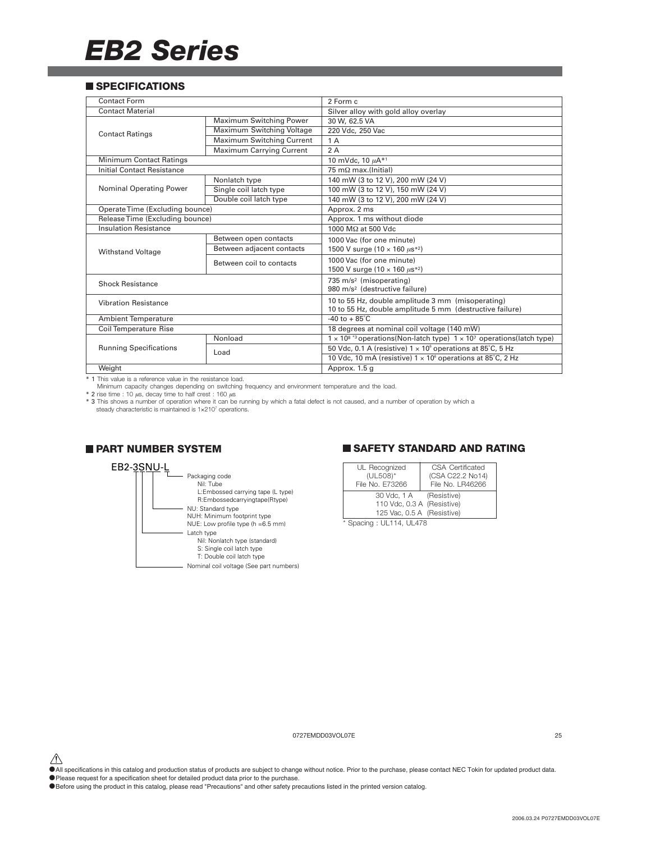#### **SPECIFICATIONS**

| <b>Contact Form</b>             |                                 | 2 Form c                                                                                                      |  |
|---------------------------------|---------------------------------|---------------------------------------------------------------------------------------------------------------|--|
| <b>Contact Material</b>         |                                 | Silver alloy with gold alloy overlay                                                                          |  |
|                                 | Maximum Switching Power         | 30 W, 62.5 VA                                                                                                 |  |
| <b>Contact Ratings</b>          | Maximum Switching Voltage       | 220 Vdc, 250 Vac                                                                                              |  |
|                                 | Maximum Switching Current       | 1 A                                                                                                           |  |
|                                 | <b>Maximum Carrying Current</b> | 2A                                                                                                            |  |
| Minimum Contact Ratings         |                                 | 10 mVdc, 10 $\mu A^{*1}$                                                                                      |  |
| Initial Contact Resistance      |                                 | $75 \text{ m}\Omega$ max.(Initial)                                                                            |  |
|                                 | Nonlatch type                   | 140 mW (3 to 12 V), 200 mW (24 V)                                                                             |  |
| <b>Nominal Operating Power</b>  | Single coil latch type          | 100 mW (3 to 12 V), 150 mW (24 V)                                                                             |  |
|                                 | Double coil latch type          | 140 mW (3 to 12 V), 200 mW (24 V)                                                                             |  |
| Operate Time (Excluding bounce) |                                 | Approx. 2 ms                                                                                                  |  |
| Release Time (Excluding bounce) |                                 | Approx. 1 ms without diode                                                                                    |  |
| <b>Insulation Resistance</b>    |                                 | 1000 MΩ at 500 Vdc                                                                                            |  |
|                                 | Between open contacts           | 1000 Vac (for one minute)                                                                                     |  |
| <b>Withstand Voltage</b>        | Between adjacent contacts       | 1500 V surge (10 $\times$ 160 $\mu$ s <sup>*2</sup> )                                                         |  |
|                                 | Between coil to contacts        | 1000 Vac (for one minute)<br>1500 V surge (10 $\times$ 160 $\mu$ s <sup>*2</sup> )                            |  |
| <b>Shock Resistance</b>         |                                 | 735 m/s <sup>2</sup> (misoperating)<br>980 m/s <sup>2</sup> (destructive failure)                             |  |
| <b>Vibration Resistance</b>     |                                 | 10 to 55 Hz, double amplitude 3 mm (misoperating)<br>10 to 55 Hz, double amplitude 5 mm (destructive failure) |  |
| <b>Ambient Temperature</b>      |                                 | $-40$ to $+85^{\circ}$ C                                                                                      |  |
| <b>Coil Temperature Rise</b>    |                                 | 18 degrees at nominal coil voltage (140 mW)                                                                   |  |
|                                 | Nonload                         | $1 \times 10^{8}$ *3 operations(Non-latch type) $1 \times 10^{7}$ operations(latch type)                      |  |
| <b>Running Specifications</b>   | Load                            | 50 Vdc, 0.1 A (resistive) $1 \times 10^6$ operations at 85°C, 5 Hz                                            |  |
|                                 |                                 | 10 Vdc, 10 mA (resistive) $1 \times 10^6$ operations at 85°C, 2 Hz                                            |  |
| Weight                          |                                 | Approx. 1.5 g                                                                                                 |  |

\* 1 This value is a reference value in the resistance load.

Minimum capacity changes depending on switching frequency and environment temperature and the load.<br>\* 2 rise time : 10 µs, decay time to half crest : 160 µs<br>\* 3 This shows a number of operation where it can be running by w steady characteristic is maintained is 1×2107 operations.

#### **PART NUMBER SYSTEM**



#### **SAFETY STANDARD AND RATING**

| UL Recognized<br>(UL508)*<br>File No. E73266                                        | CSA Certificated<br>(CSA C22.2 No14)<br>File No. LR46266 |  |  |  |
|-------------------------------------------------------------------------------------|----------------------------------------------------------|--|--|--|
| 30 Vdc, 1 A (Resistive)<br>110 Vdc, 0.3 A (Resistive)<br>125 Vac, 0.5 A (Resistive) |                                                          |  |  |  |
| * Spacing: UL114, UL478                                                             |                                                          |  |  |  |

0727EMDD03VOL07E 25

- $\hat{\triangle}$  All specifications in this catalog and production status of products are subject to change without notice. Prior to the purchase, please contact NEC Tokin for updated product data.
- •Please request for a specification sheet for detailed product data prior to the purchase.

<sup>•</sup>Before using the product in this catalog, please read "Precautions" and other safety precautions listed in the printed version catalog.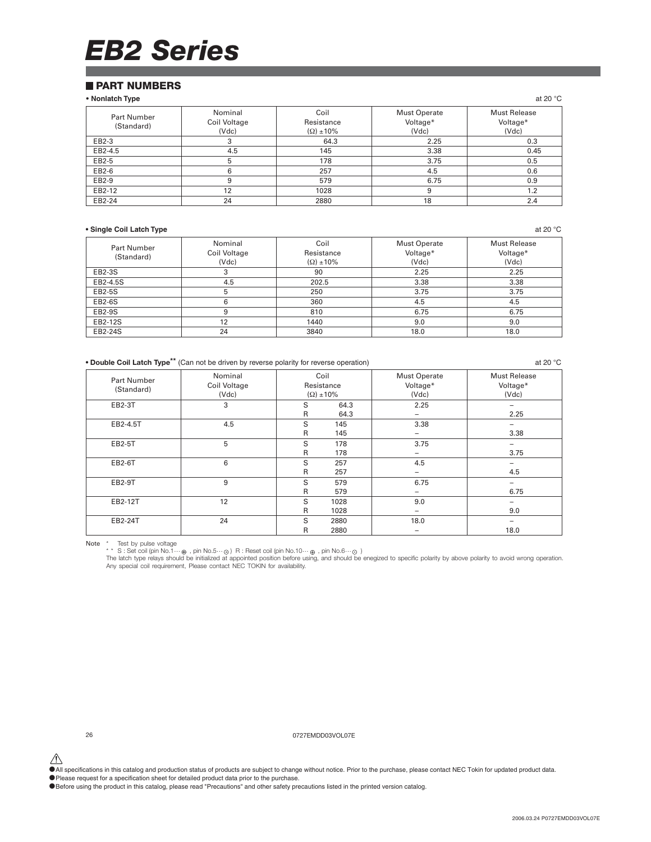#### **PART NUMBERS**

#### **• Nonlatch Type** at 20 °C

| Part Number<br>(Standard) | Nominal<br>Coil Voltage<br>(Vdc) | Coil<br>Resistance<br>$(\Omega) \pm 10\%$ | <b>Must Operate</b><br>Voltage*<br>(Vdc) | <b>Must Release</b><br>Voltage*<br>(Vdc) |
|---------------------------|----------------------------------|-------------------------------------------|------------------------------------------|------------------------------------------|
| EB2-3                     | 3                                | 64.3                                      | 2.25                                     | 0.3                                      |
| EB2-4.5                   | 4.5                              | 145                                       | 3.38                                     | 0.45                                     |
| EB2-5                     | 5                                | 178                                       | 3.75                                     | 0.5                                      |
| EB2-6                     | 6                                | 257                                       | 4.5                                      | 0.6                                      |
| EB2-9                     | 9                                | 579                                       | 6.75                                     | 0.9                                      |
| EB2-12                    | 12                               | 1028                                      | 9                                        | 1.2                                      |
| EB2-24                    | 24                               | 2880                                      | 18                                       | 2.4                                      |

#### **• Single Coil Latch Type** at 20 °C

| <b>Part Number</b><br>(Standard) | Nominal<br>Coil Voltage<br>(Vdc) | Coil<br>Resistance<br>$(\Omega) \pm 10\%$ | <b>Must Operate</b><br>Voltage*<br>(Vdc) | <b>Must Release</b><br>Voltage*<br>(Vdc) |
|----------------------------------|----------------------------------|-------------------------------------------|------------------------------------------|------------------------------------------|
| EB2-3S                           | 3                                | 90                                        | 2.25                                     | 2.25                                     |
| EB2-4.5S                         | 4.5                              | 202.5                                     | 3.38                                     | 3.38                                     |
| <b>EB2-5S</b>                    | 5                                | 250                                       | 3.75                                     | 3.75                                     |
| EB2-6S                           | 6                                | 360                                       | 4.5                                      | 4.5                                      |
| EB2-9S                           | 9                                | 810                                       | 6.75                                     | 6.75                                     |
| EB2-12S                          | 12                               | 1440                                      | 9.0                                      | 9.0                                      |
| EB2-24S                          | 24                               | 3840                                      | 18.0                                     | 18.0                                     |

**• Double Coil Latch Type\*\*** (Can not be driven by reverse polarity for reverse operation) at 20 °C

| Part Number<br>(Standard) | Nominal<br>Coil Voltage<br>(Vdc) | Coil<br>Resistance<br>$(\Omega) \pm 10\%$ |              | <b>Must Operate</b><br>Voltage*<br>(Vdc) | <b>Must Release</b><br>Voltage*<br>(Vdc) |
|---------------------------|----------------------------------|-------------------------------------------|--------------|------------------------------------------|------------------------------------------|
| EB2-3T                    | 3                                | S<br>$\mathsf{R}$                         | 64.3<br>64.3 | 2.25<br>-                                | 2.25                                     |
| EB2-4.5T                  | 4.5                              | S<br>R                                    | 145<br>145   | 3.38<br>-                                | 3.38                                     |
| EB2-5T                    | 5                                | S<br>$\mathsf{R}$                         | 178<br>178   | 3.75<br>-                                | 3.75                                     |
| EB2-6T                    | 6                                | S<br>R                                    | 257<br>257   | 4.5                                      | 4.5                                      |
| EB2-9T                    | 9                                | S<br>R                                    | 579<br>579   | 6.75<br>-                                | 6.75                                     |
| EB2-12T                   | 12                               | S<br>$\mathsf{R}$                         | 1028<br>1028 | 9.0<br>-                                 | 9.0                                      |
| EB2-24T                   | 24                               | S<br>R                                    | 2880<br>2880 | 18.0                                     | -<br>18.0                                |

Note \* Test by pulse voltage<br>\*\* S : Set coil (pin No.5…⊕ ), pin No.5…⊙ ) R : Reset coil (pin No.10…⊕ , pin No.6…⊝ )<br>The latch type relays should be initialized at appointed position before using, and should be enegized t Any special coil requirement, Please contact NEC TOKIN for availability.

26 0727EMDD03VOL07E

 $\hat{\P}$  All specifications in this catalog and production status of products are subject to change without notice. Prior to the purchase, please contact NEC Tokin for updated product data.

• Please request for a specification sheet for detailed product data prior to the purchase.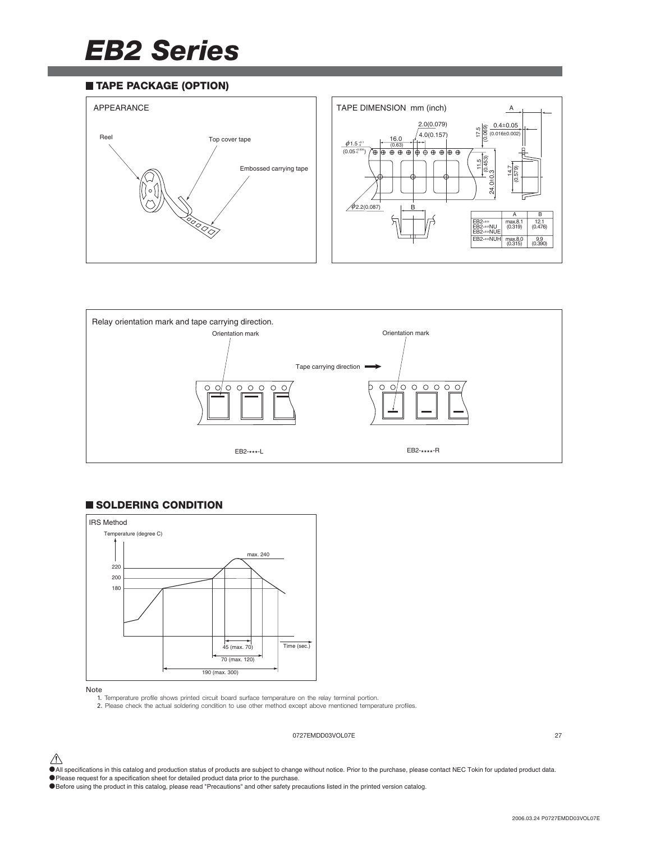#### **TAPE PACKAGE (OPTION)**





#### **SOLDERING CONDITION**



#### Note

1. Temperature profile shows printed circuit board surface temperature on the relay terminal portion. 2. Please check the actual soldering condition to use other method except above mentioned temperature profiles.

#### 0727EMDD03VOL07E 27

 $\bigwedge$  All specifications in this catalog and production status of products are subject to change without notice. Prior to the purchase, please contact NEC Tokin for updated product data.

•Please request for a specification sheet for detailed product data prior to the purchase.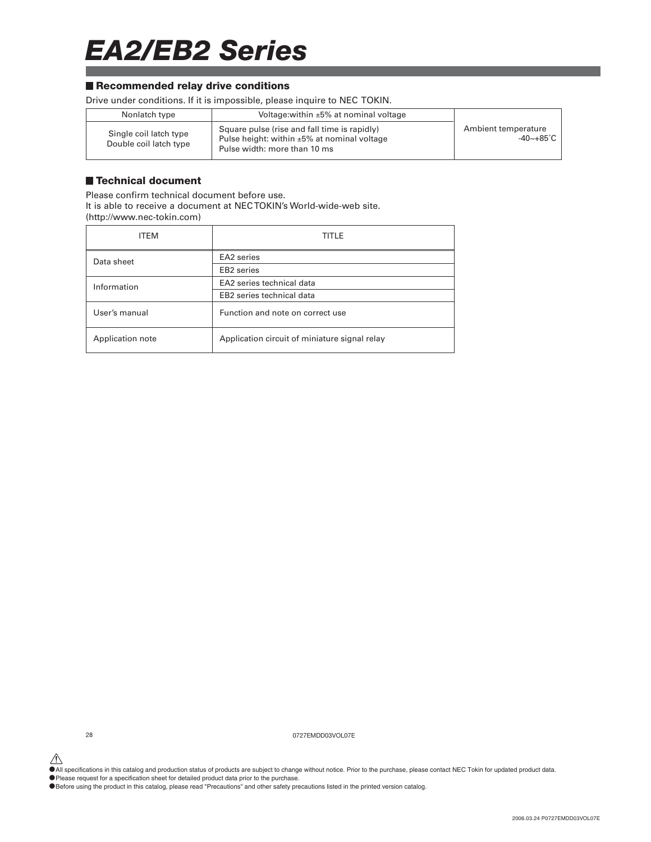### *EA2/EB2 Series*

#### ■ Recommended relay drive conditions

Drive under conditions. If it is impossible, please inquire to NEC TOKIN.

| Nonlatch type                                    | Voltage: within $\pm 5\%$ at nominal voltage                                                                                      |                                                |
|--------------------------------------------------|-----------------------------------------------------------------------------------------------------------------------------------|------------------------------------------------|
| Single coil latch type<br>Double coil latch type | Square pulse (rise and fall time is rapidly)<br>Pulse height: within $\pm 5\%$ at nominal voltage<br>Pulse width: more than 10 ms | Ambient temperature<br>$-40$ ~ $+85^{\circ}$ C |

#### **Technical document**

Please confirm technical document before use. It is able to receive a document at NEC TOKIN's World-wide-web site. (http://www.nec-tokin.com)

| <b>ITEM</b>      | TITLE                                         |
|------------------|-----------------------------------------------|
| Data sheet       | EA2 series                                    |
|                  | EB <sub>2</sub> series                        |
| Information      | EA2 series technical data                     |
|                  | EB2 series technical data                     |
| User's manual    | Function and note on correct use              |
| Application note | Application circuit of miniature signal relay |

28 0727EMDD03VOL07E

 $\hat{\P}$  All specifications in this catalog and production status of products are subject to change without notice. Prior to the purchase, please contact NEC Tokin for updated product data.

•Please request for a specification sheet for detailed product data prior to the purchase.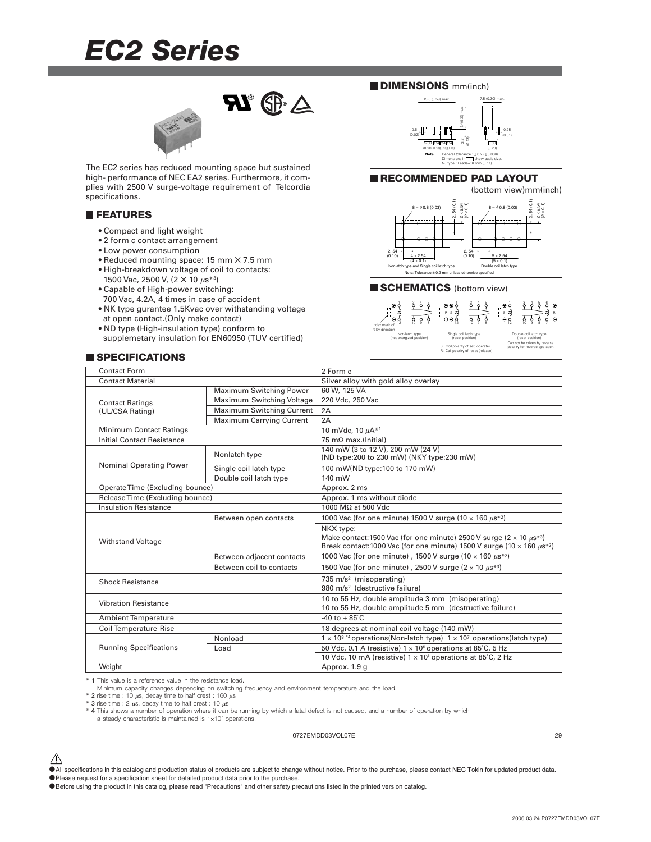### *EC2 Series*



The EC2 series has reduced mounting space but sustained high- performance of NEC EA2 series. Furthermore, it complies with 2500 V surge-voltage requirement of Telcordia specifications.

#### **FEATURES**

- Compact and light weight
- 2 form c contact arrangement
- Low power consumption
- Reduced mounting space: 15 mm ✕ 7.5 mm • High-breakdown voltage of coil to contacts:
- 1500 Vac, 2500 V, (2 × 10 μs<sup>\*3</sup>)
- Capable of High-power switching:
- 700 Vac, 4.2A, 4 times in case of accident • NK type gurantee 1.5Kvac over withstanding voltage
- at open contact.(Only make contact) • ND type (High-insulation type) conform to
- supplemetary insulation for EN60950 (TUV certified)

### **SPECIFICATIONS**





#### **RECOMMENDED PAD LAYOUT**



#### **SCHEMATICS** (bottom view)



Double coil latch type Can not be driven by reverse polarity for reverse operation.

| Contact Form                      |                                 | 2 Form c                                                                                                                                                                                        |  |
|-----------------------------------|---------------------------------|-------------------------------------------------------------------------------------------------------------------------------------------------------------------------------------------------|--|
| <b>Contact Material</b>           |                                 | Silver alloy with gold alloy overlay                                                                                                                                                            |  |
|                                   | Maximum Switching Power         | 60 W. 125 VA                                                                                                                                                                                    |  |
| <b>Contact Ratings</b>            | Maximum Switching Voltage       | 220 Vdc, 250 Vac                                                                                                                                                                                |  |
| (UL/CSA Rating)                   | Maximum Switching Current       | 2A                                                                                                                                                                                              |  |
|                                   | <b>Maximum Carrying Current</b> | 2A                                                                                                                                                                                              |  |
| <b>Minimum Contact Ratings</b>    |                                 | 10 mVdc, 10 $\mu$ A* <sup>1</sup>                                                                                                                                                               |  |
| <b>Initial Contact Resistance</b> |                                 | $75 \text{ mA}$ max.(Initial)                                                                                                                                                                   |  |
|                                   | Nonlatch type                   | 140 mW (3 to 12 V), 200 mW (24 V)<br>(ND type:200 to 230 mW) (NKY type:230 mW)                                                                                                                  |  |
| Nominal Operating Power           | Single coil latch type          | 100 mW(ND type:100 to 170 mW)                                                                                                                                                                   |  |
|                                   | Double coil latch type          | 140 mW                                                                                                                                                                                          |  |
| Operate Time (Excluding bounce)   |                                 | Approx. 2 ms                                                                                                                                                                                    |  |
| Release Time (Excluding bounce)   |                                 | Approx. 1 ms without diode                                                                                                                                                                      |  |
| <b>Insulation Resistance</b>      |                                 | 1000 MΩ at 500 Vdc                                                                                                                                                                              |  |
|                                   | Between open contacts           | 1000 Vac (for one minute) 1500 V surge (10 $\times$ 160 $\mu$ s <sup>*2</sup> )                                                                                                                 |  |
| <b>Withstand Voltage</b>          |                                 | NKX type:<br>Make contact:1500 Vac (for one minute) 2500 V surge ( $2 \times 10 \mu s^{*3}$ )<br>Break contact: 1000 Vac (for one minute) 1500 V surge (10 $\times$ 160 $\mu$ s <sup>*2</sup> ) |  |
|                                   | Between adjacent contacts       | 1000 Vac (for one minute), 1500 V surge (10 $\times$ 160 $\mu$ s <sup>*2</sup> )                                                                                                                |  |
|                                   | Between coil to contacts        | 1500 Vac (for one minute), 2500 V surge $(2 \times 10 \ \mu s^{*3})$                                                                                                                            |  |
| <b>Shock Resistance</b>           |                                 | 735 m/s <sup>2</sup> (misoperating)<br>980 m/s <sup>2</sup> (destructive failure)                                                                                                               |  |
| <b>Vibration Resistance</b>       |                                 | 10 to 55 Hz, double amplitude 3 mm (misoperating)<br>10 to 55 Hz, double amplitude 5 mm (destructive failure)                                                                                   |  |
| <b>Ambient Temperature</b>        |                                 | $-40$ to $+85^{\circ}$ C                                                                                                                                                                        |  |
| <b>Coil Temperature Rise</b>      |                                 | 18 degrees at nominal coil voltage (140 mW)                                                                                                                                                     |  |
|                                   | Nonload                         | $1 \times 10^{8}$ *4 operations(Non-latch type) $1 \times 10^{7}$ operations(latch type)                                                                                                        |  |
| <b>Running Specifications</b>     | Load                            | 50 Vdc, 0.1 A (resistive) $1 \times 10^6$ operations at 85°C, 5 Hz                                                                                                                              |  |
|                                   |                                 | 10 Vdc, 10 mA (resistive) $1 \times 10^6$ operations at 85°C, 2 Hz                                                                                                                              |  |
| Weight                            |                                 | Approx. 1.9 g                                                                                                                                                                                   |  |
|                                   |                                 |                                                                                                                                                                                                 |  |

\* 1 This value is a reference value in the resistance load. Minimum capacity changes depending on switching frequency and environment temperature and the load.

 $*$  2 rise time : 10  $\mu$ s, decay time to half crest : 160  $\mu$ s

\* 3 rise time : 2  $\mu$ s, decay time to half crest : 10  $\mu$ s

\* 4 This shows a number of operation where it can be running by which a fatal defect is not caused, and a number of operation by which

a steady characteristic is maintained is 1×107 operations.

#### 0727EMDD03VOL07E 29

- $\hat{\triangle}$  All specifications in this catalog and production status of products are subject to change without notice. Prior to the purchase, please contact NEC Tokin for updated product data.
- •Please request for a specification sheet for detailed product data prior to the purchase.
- •Before using the product in this catalog, please read "Precautions" and other safety precautions listed in the printed version catalog.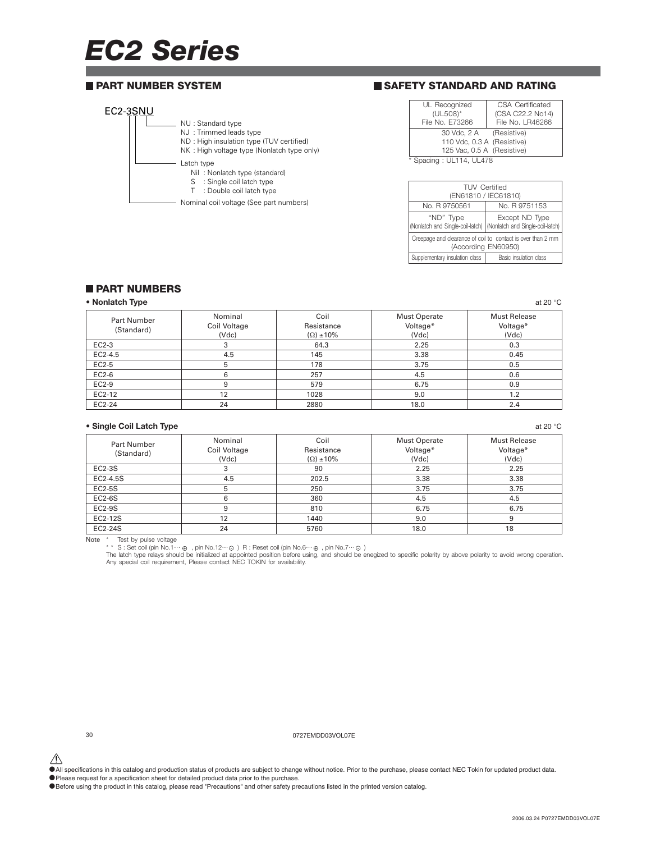## *EC2 Series*

#### **PART NUMBER SYSTEM**

#### EC2-3SNU NU : Standard type NJ : Trimmed leads type ND : High insulation type (TUV certified) NK : High voltage type (Nonlatch type only) Nil : Nonlatch type (standard) S : Single coil latch type Latch type

- T : Double coil latch type
- Nominal coil voltage (See part numbers)

#### **SAFETY STANDARD AND RATING**

| UL Recognized              | <b>CSA Certificated</b> |
|----------------------------|-------------------------|
| (UL508)*                   | (CSA C22.2 No14)        |
| File No. E73266            | File No. LR46266        |
| 30 Vdc, 2 A (Resistive)    |                         |
| 110 Vdc, 0.3 A (Resistive) |                         |
| 125 Vac, 0.5 A (Resistive) |                         |
| ------ 11444 11470         |                         |

Spacing : UL114, UL478

| <b>TUV Certified</b><br>(EN61810 / IEC61810)                                       |                        |  |  |  |
|------------------------------------------------------------------------------------|------------------------|--|--|--|
| No. R 9751153<br>No. B 9750561                                                     |                        |  |  |  |
| "ND" Type<br>(Nonlatch and Single-coil-latch)   (Nonlatch and Single-coil-latch)   | Except ND Type         |  |  |  |
| Creepage and clearance of coil to contact is over than 2 mm<br>(According EN60950) |                        |  |  |  |
| Supplementary insulation class                                                     | Basic insulation class |  |  |  |

#### **PART NUMBERS**

#### **• Nonlatch Type** at 20 °C at 20 °C at 20 °C at 20 °C at 20 °C at 20 °C at 20 °C at 20 °C at 20 °C at 20 °C at 20 °C at 20 °C at 20 °C at 20 °C at 20 °C at 20 °C at 20 °C at 20 °C at 20 °C at 20 °C at 20 °C at 20 °C at 20

| <b>Part Number</b><br>(Standard) | Nominal<br>Coil Voltage<br>(Vdc) | Coil<br>Resistance<br>$(\Omega) \pm 10\%$ | <b>Must Operate</b><br>Voltage*<br>(Vdc) | <b>Must Release</b><br>Voltage*<br>(Vdc) |
|----------------------------------|----------------------------------|-------------------------------------------|------------------------------------------|------------------------------------------|
| EC2-3                            |                                  | 64.3                                      | 2.25                                     | 0.3                                      |
| EC2-4.5                          | 4.5                              | 145                                       | 3.38                                     | 0.45                                     |
| EC2-5                            |                                  | 178                                       | 3.75                                     | 0.5                                      |
| EC2-6                            | 6                                | 257                                       | 4.5                                      | 0.6                                      |
| EC2-9                            | 9                                | 579                                       | 6.75                                     | 0.9                                      |
| EC2-12                           | 12                               | 1028                                      | 9.0                                      | 1.2                                      |
| EC2-24                           | 24                               | 2880                                      | 18.0                                     | 2.4                                      |

#### **• Single Coil Latch Type** at 20 °C

| <b>Part Number</b><br>(Standard) | Nominal<br>Coil Voltage<br>(Vdc) | Coil<br>Resistance<br>$(\Omega) \pm 10\%$ | <b>Must Operate</b><br>Voltage*<br>(Vdc) | Must Release<br>Voltage*<br>(Vdc) |
|----------------------------------|----------------------------------|-------------------------------------------|------------------------------------------|-----------------------------------|
| $EC2-3S$                         |                                  | 90                                        | 2.25                                     | 2.25                              |
| EC2-4.5S                         | 4.5                              | 202.5                                     | 3.38                                     | 3.38                              |
| <b>EC2-5S</b>                    |                                  | 250                                       | 3.75                                     | 3.75                              |
| $EC2-6S$                         |                                  | 360                                       | 4.5                                      | 4.5                               |
| $EC2-9S$                         |                                  | 810                                       | 6.75                                     | 6.75                              |
| EC2-12S                          | 12                               | 1440                                      | 9.0                                      |                                   |
| EC2-24S                          | 24                               | 5760                                      | 18.0                                     | 18                                |

Note \* Test by pulse voltage<br>\*\* S : Set coil (pin No.1.2…⊙ ) R : Reset coil (pin No.6…⊕ , pin No.7…⊙ )<br>The latch type relays should be initialized at appointed position before using, and should be enegized to specific pol

30 0727EMDD03VOL07E

 $\hat{\triangle}$  All specifications in this catalog and production status of products are subject to change without notice. Prior to the purchase, please contact NEC Tokin for updated product data.

•Please request for a specification sheet for detailed product data prior to the purchase.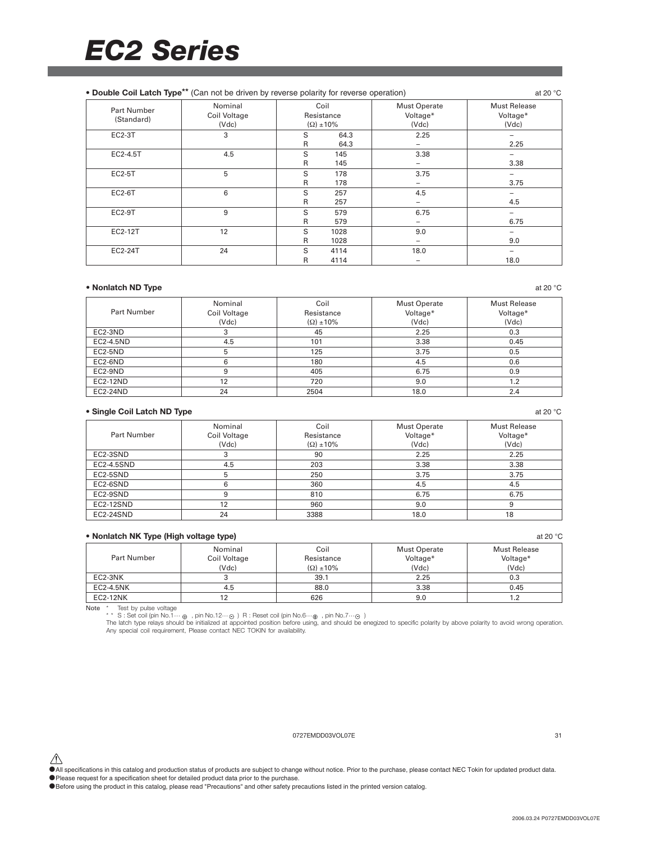| • Double Coil Latch Type <sup>**</sup> (Can not be driven by reverse polarity for reverse operation) |                                  |        |                                           |                                          | at 20 $°C$                               |
|------------------------------------------------------------------------------------------------------|----------------------------------|--------|-------------------------------------------|------------------------------------------|------------------------------------------|
| <b>Part Number</b><br>(Standard)                                                                     | Nominal<br>Coil Voltage<br>(Vdc) |        | Coil<br>Resistance<br>$(\Omega) \pm 10\%$ | <b>Must Operate</b><br>Voltage*<br>(Vdc) | <b>Must Release</b><br>Voltage*<br>(Vdc) |
| <b>EC2-3T</b>                                                                                        | 3                                | S<br>R | 64.3<br>64.3                              | 2.25                                     | 2.25                                     |
| EC2-4.5T                                                                                             | 4.5                              | S<br>R | 145<br>145                                | 3.38                                     | 3.38                                     |
| <b>EC2-5T</b>                                                                                        | 5                                | S<br>R | 178<br>178                                | 3.75                                     | 3.75                                     |
| <b>EC2-6T</b>                                                                                        | 6                                | S<br>R | 257<br>257                                | 4.5                                      | 4.5                                      |
| <b>EC2-9T</b>                                                                                        | 9                                | S<br>R | 579<br>579                                | 6.75                                     | 6.75                                     |
| EC2-12T                                                                                              | 12                               | S<br>R | 1028<br>1028                              | 9.0                                      | 9.0                                      |
| EC2-24T                                                                                              | 24                               | S<br>R | 4114<br>4114                              | 18.0                                     | 18.0                                     |

#### **• Nonlatch ND Type** at 20 °C at 20 °C at 20 °C at 20 °C at 20 °C at 20 °C at 20 °C at 20 °C at 20 °C at 20 °C at 20 °C at 20 °C at 20 °C at 20 °C at 20 °C at 20 °C at 20 °C at 20 °C at 20 °C at 20 °C at 20 °C at 20 °C at

| Part Number | Nominal<br>Coil Voltage | Coil<br>Resistance  | <b>Must Operate</b><br>Voltage* | <b>Must Release</b><br>Voltage* |
|-------------|-------------------------|---------------------|---------------------------------|---------------------------------|
|             |                         |                     |                                 |                                 |
|             | (Vdc)                   | $(\Omega) \pm 10\%$ | (Vdc)                           | (Vdc)                           |
| EC2-3ND     | 3                       | 45                  | 2.25                            | 0.3                             |
| EC2-4.5ND   | 4.5                     | 101                 | 3.38                            | 0.45                            |
| EC2-5ND     | 5                       | 125                 | 3.75                            | 0.5                             |
| EC2-6ND     | h                       | 180                 | 4.5                             | 0.6                             |
| EC2-9ND     | 9                       | 405                 | 6.75                            | 0.9                             |
| EC2-12ND    | 12                      | 720                 | 9.0                             | 1.2                             |
| EC2-24ND    | 24                      | 2504                | 18.0                            | 2.4                             |

#### • Single Coil Latch ND Type **at 20 °C** at 20 °C at 20 °C at 20 °C at 20 °C at 20 °C at 20 °C at 20 °C at 20 °C at 20 °C at 20 °C at 20 °C at 20 °C at 20 °C at 20 °C at 20 °C at 20 °C at 20 °C at 20 °C at 20 °C at 20 °C at

|             | Nominal      | Coil                | <b>Must Operate</b> | Must Release |
|-------------|--------------|---------------------|---------------------|--------------|
| Part Number | Coil Voltage | Resistance          | Voltage*            | Voltage*     |
|             | (Vdc)        | $(\Omega) \pm 10\%$ | (Vdc)               | (Vdc)        |
| EC2-3SND    |              | 90                  | 2.25                | 2.25         |
| EC2-4.5SND  | 4.5          | 203                 | 3.38                | 3.38         |
| EC2-5SND    | b            | 250                 | 3.75                | 3.75         |
| EC2-6SND    | 6            | 360                 | 4.5                 | 4.5          |
| EC2-9SND    | 9            | 810                 | 6.75                | 6.75         |
| EC2-12SND   | 12           | 960                 | 9.0                 |              |
| EC2-24SND   | 24           | 3388                | 18.0                | 18           |

| • Nonlatch NK Type (High voltage type)<br>at 20 $^{\circ}$ C |                                  |                                           |                                   |                                          |  |
|--------------------------------------------------------------|----------------------------------|-------------------------------------------|-----------------------------------|------------------------------------------|--|
| Part Number                                                  | Nominal<br>Coil Voltage<br>(Vdc) | Coil<br>Resistance<br>$(\Omega) \pm 10\%$ | Must Operate<br>Voltage*<br>(Vdc) | <b>Must Release</b><br>Voltage*<br>(Vdc) |  |
| EC2-3NK                                                      |                                  | 39.1                                      | 2.25                              | 0.3                                      |  |
| EC2-4.5NK                                                    | 4.5                              | 88.0                                      | 3.38                              | 0.45                                     |  |
| <b>EC2-12NK</b>                                              |                                  | 626                                       | 9.0                               |                                          |  |

Note \* Test by pulse voltage<br>\*\* S : Set coil (pin No.1.2…⊝) R : Reset coil (pin No.6…⊕, pin No.7…⊙)<br>The latch type relays should be initialized at appointed position before using, and should be enegized to specific polari

#### 0727EMDD03VOL07E 31

△<br>●All specifications in this catalog and production status of products are subject to change without notice. Prior to the purchase, please contact NEC Tokin for updated product data.

• The premium share in the calling and product called product data prior to the purchase.

•Before using the product in this catalog, please read "Precautions" and other safety precautions listed in the printed version catalog.

2006.03.24 P0727EMDD03VOL07E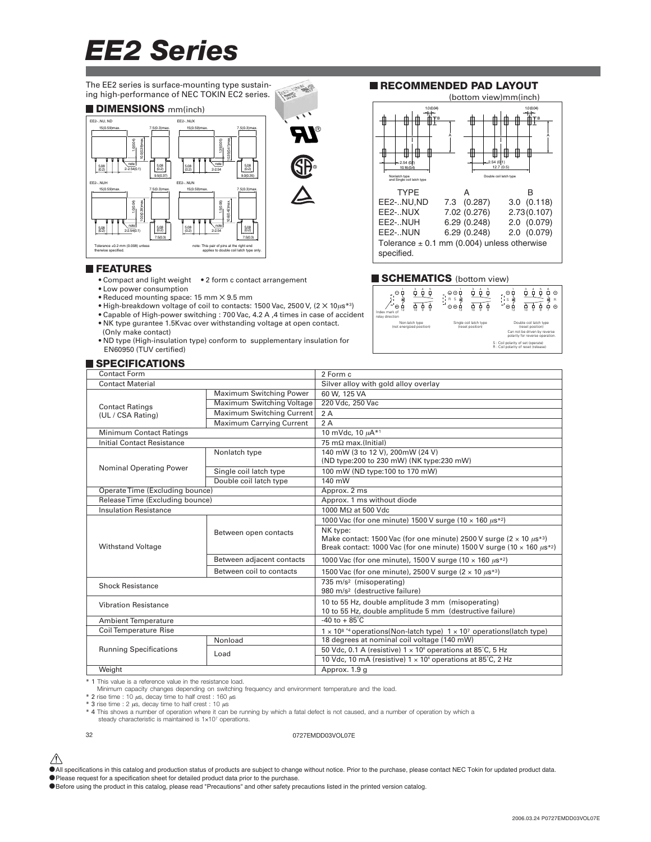The EE2 series is surface-mounting type sustaining high-performance of NEC TOKIN EC2 series. **Puge As** 

#### **DIMENSIONS** mm(inch)



#### **FEATURES**

- Compact and light weight 2 form c contact arrangement
- Low power consumption
- Reduced mounting space: 15 mm ✕ 9.5 mm
- High-breakdown voltage of coil to contacts: 1500 Vac, 2500 V,  $(2 \times 10 \mu s^{*3})$
- Capable of High-power switching : 700 Vac, 4.2 A ,4 times in case of accident • NK type gurantee 1.5Kvac over withstanding voltage at open contact.
- (Only make contact)
- ND type (High-insulation type) conform to supplementary insulation for EN60950 (TUV certified)

#### **SPECIFICATIONS**

#### EE2-..NUX 7.02 (0.276) 2.73 (0.107)<br>EE2-..NUH 6.29 (0.248) 2.0 (0.079) EE2-..NUH 6.29 (0.248) 2.0 (0.079)  $6.29(0.248)$ Tolerance  $\pm$  0.1 mm (0.004) unless otherwise

EE2-..NU,ND 7.3 (0.287) 3.0 (0.118)

TYPE A B

**RECOMMENDED PAD LAYOUT**

B A

1.0 (0.04)

(bottom view)mm(inch)

12.7 (0.5)

2.54 (0.1)

1.0 (0.04) B A

specified.

2.54 (0.1) 10.16 (0.4)

h type Double and Single coil latch type

#### **SCHEMATICS** (bottom view)



| <b>Contact Form</b>             |                           | 2 Form c                                                                                                                                                                                          |  |  |
|---------------------------------|---------------------------|---------------------------------------------------------------------------------------------------------------------------------------------------------------------------------------------------|--|--|
| <b>Contact Material</b>         |                           | Silver alloy with gold alloy overlay                                                                                                                                                              |  |  |
|                                 | Maximum Switching Power   | 60 W, 125 VA                                                                                                                                                                                      |  |  |
| <b>Contact Ratings</b>          | Maximum Switching Voltage | 220 Vdc, 250 Vac                                                                                                                                                                                  |  |  |
| (UL / CSA Rating)               | Maximum Switching Current | 2A                                                                                                                                                                                                |  |  |
|                                 | Maximum Carrying Current  | 2A                                                                                                                                                                                                |  |  |
| Minimum Contact Ratings         |                           | 10 mVdc, 10 µA*1                                                                                                                                                                                  |  |  |
| Initial Contact Resistance      |                           | 75 m $\Omega$ max.(Initial)                                                                                                                                                                       |  |  |
|                                 | Nonlatch type             | 140 mW (3 to 12 V), 200mW (24 V)<br>(ND type:200 to 230 mW) (NK type:230 mW)                                                                                                                      |  |  |
| <b>Nominal Operating Power</b>  | Single coil latch type    | 100 mW (ND type:100 to 170 mW)                                                                                                                                                                    |  |  |
|                                 | Double coil latch type    | 140 mW                                                                                                                                                                                            |  |  |
| Operate Time (Excluding bounce) |                           | Approx. 2 ms                                                                                                                                                                                      |  |  |
| Release Time (Excluding bounce) |                           | Approx. 1 ms without diode                                                                                                                                                                        |  |  |
| <b>Insulation Resistance</b>    |                           | 1000 MΩ at 500 Vdc                                                                                                                                                                                |  |  |
|                                 |                           | 1000 Vac (for one minute) 1500 V surge (10 $\times$ 160 $\mu$ s <sup>*2</sup> )                                                                                                                   |  |  |
| <b>Withstand Voltage</b>        | Between open contacts     | NK type:<br>Make contact: 1500 Vac (for one minute) 2500 V surge ( $2 \times 10 \ \mu s^{*3}$ )<br>Break contact: 1000 Vac (for one minute) 1500 V surge (10 $\times$ 160 $\mu$ s <sup>*2</sup> ) |  |  |
|                                 | Between adjacent contacts | 1000 Vac (for one minute), 1500 V surge (10 $\times$ 160 $\mu$ s*2)                                                                                                                               |  |  |
|                                 | Between coil to contacts  | 1500 Vac (for one minute), 2500 V surge ( $2 \times 10 \mu s^{*3}$ )                                                                                                                              |  |  |
| <b>Shock Resistance</b>         |                           | 735 m/s <sup>2</sup> (misoperating)<br>980 m/s <sup>2</sup> (destructive failure)                                                                                                                 |  |  |
| <b>Vibration Resistance</b>     |                           | 10 to 55 Hz, double amplitude 3 mm (misoperating)<br>10 to 55 Hz, double amplitude 5 mm (destructive failure)                                                                                     |  |  |
| <b>Ambient Temperature</b>      |                           | $-40$ to $+85^{\circ}$ C                                                                                                                                                                          |  |  |
| <b>Coil Temperature Rise</b>    |                           | $1 \times 10^{8}$ *4 operations (Non-latch type) $1 \times 10^{7}$ operations (latch type)                                                                                                        |  |  |
|                                 | Nonload                   | 18 degrees at nominal coil voltage (140 mW)                                                                                                                                                       |  |  |
| <b>Running Specifications</b>   | Load                      | 50 Vdc, 0.1 A (resistive) $1 \times 10^6$ operations at 85°C, 5 Hz                                                                                                                                |  |  |
|                                 |                           | 10 Vdc, 10 mA (resistive) $1 \times 10^6$ operations at 85°C, 2 Hz                                                                                                                                |  |  |
| Weight                          |                           | Approx. 1.9 g                                                                                                                                                                                     |  |  |

高

\* 1 This value is a reference value in the resistance load.

Minimum capacity changes depending on switching frequency and environment temperature and the load.

 $*$  2 rise time : 10  $\mu$ s, decay time to half crest : 160  $\mu$ s

\* 3 rise time : 2  $\mu$ s, decay time to half crest : 10  $\mu$ s

\* 4 This shows a number of operation where it can be running by which a fatal defect is not caused, and a number of operation by which a steady characteristic is maintained is 1×107 operations.

32 0727EMDD03VOL07E

- $\hat{\triangle}$  All specifications in this catalog and production status of products are subject to change without notice. Prior to the purchase, please contact NEC Tokin for updated product data.
- •Please request for a specification sheet for detailed product data prior to the purchase.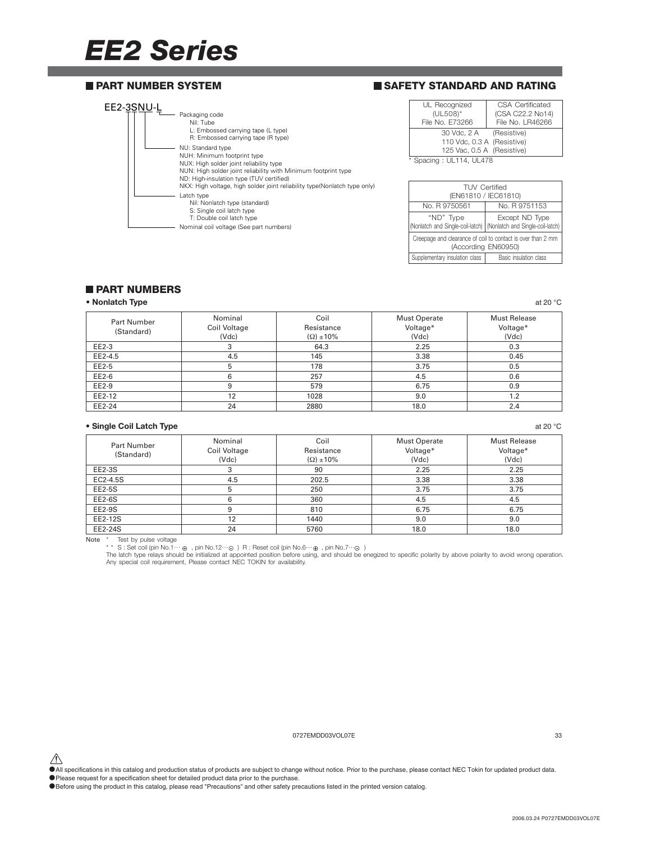#### **PART NUMBER SYSTEM**

#### **SAFETY STANDARD AND RATING**

| EE2-3SNU- | Packaging code<br>Nil: Tube<br>L: Embossed carrying tape (L type)<br>R: Embossed carrying tape (R type)                                                                                                                                                                                |
|-----------|----------------------------------------------------------------------------------------------------------------------------------------------------------------------------------------------------------------------------------------------------------------------------------------|
|           | NU: Standard type<br>NUH: Minimum footprint type<br>NUX: High solder joint reliability type<br>NUN: High solder joint reliability with Minimum footprint type<br>ND: High-insulation type (TUV certified)<br>NKX: High voltage, high solder joint reliability type(Nonlatch type only) |
|           | Latch type<br>Nil: Nonlatch type (standard)<br>S: Single coil latch type<br>T: Double coil latch type<br>Nominal coil voltage (See part numbers)                                                                                                                                       |

| UL Recognized              | CSA Certificated |
|----------------------------|------------------|
| (UL508)*                   | (CSA C22.2 No14) |
| File No. E73266            | File No. LR46266 |
| 30 Vdc, 2 A (Resistive)    |                  |
| 110 Vdc, 0.3 A (Resistive) |                  |
| 125 Vac, 0.5 A (Resistive) |                  |
| 170 اللفظ الله المحددة     |                  |

Spacing : UL114, UL478

| <b>TUV Certified</b><br>(EN61810 / IEC61810)                                       |                                                                                       |  |  |  |
|------------------------------------------------------------------------------------|---------------------------------------------------------------------------------------|--|--|--|
| No. R 9750561                                                                      | No. R 9751153                                                                         |  |  |  |
| "ND" Type                                                                          | Except ND Type<br>(Nonlatch and Single-coil-latch)   (Nonlatch and Single-coil-latch) |  |  |  |
| Creepage and clearance of coil to contact is over than 2 mm<br>(According EN60950) |                                                                                       |  |  |  |
| Supplementary insulation class                                                     | Basic insulation class                                                                |  |  |  |

#### **PART NUMBERS**

#### **• Nonlatch Type** at 20 °C at 20 °C at 20 °C at 20 °C at 20 °C at 20 °C at 20 °C at 20 °C at 20 °C at 20 °C at 20 °C at 20 °C at 20 °C at 20 °C at 20 °C at 20 °C at 20 °C at 20 °C at 20 °C at 20 °C at 20 °C at 20 °C at 20

| <b>Part Number</b><br>(Standard) | Nominal<br>Coil Voltage<br>(Vdc) | Coil<br>Resistance<br>$(\Omega) \pm 10\%$ | <b>Must Operate</b><br>Voltage*<br>(Vdc) | <b>Must Release</b><br>Voltage*<br>(Vdc) |
|----------------------------------|----------------------------------|-------------------------------------------|------------------------------------------|------------------------------------------|
| EE2-3                            |                                  | 64.3                                      | 2.25                                     | 0.3                                      |
| EE2-4.5                          | 4.5                              | 145                                       | 3.38                                     | 0.45                                     |
| EE2-5                            | 5                                | 178                                       | 3.75                                     | 0.5                                      |
| EE2-6                            | 6                                | 257                                       | 4.5                                      | 0.6                                      |
| EE2-9                            | 9                                | 579                                       | 6.75                                     | 0.9                                      |
| EE2-12                           | 12                               | 1028                                      | 9.0                                      | 1.2                                      |
| EE2-24                           | 24                               | 2880                                      | 18.0                                     | 2.4                                      |

#### **• Single Coil Latch Type** at 20 °C

| Part Number<br>(Standard) | Nominal<br>Coil Voltage<br>(Vdc) | Coil<br>Resistance<br>$(\Omega) \pm 10\%$ | <b>Must Operate</b><br>Voltage*<br>(Vdc) | Must Release<br>Voltage*<br>(Vdc) |
|---------------------------|----------------------------------|-------------------------------------------|------------------------------------------|-----------------------------------|
| EE2-3S                    | 3                                | 90                                        | 2.25                                     | 2.25                              |
| EC2-4.5S                  | 4.5                              | 202.5                                     | 3.38                                     | 3.38                              |
| <b>EE2-5S</b>             | 5                                | 250                                       | 3.75                                     | 3.75                              |
| $EE2-6S$                  | 6                                | 360                                       | 4.5                                      | 4.5                               |
| <b>EE2-9S</b>             |                                  | 810                                       | 6.75                                     | 6.75                              |
| EE2-12S                   | 12                               | 1440                                      | 9.0                                      | 9.0                               |
| EE2-24S                   | 24                               | 5760                                      | 18.0                                     | 18.0                              |

Note \* Test by pulse voltage<br>\*\* S : Set coil (pin No.1.2…⊙ ) R : Reset coil (pin No.6…⊕ , pin No.7…⊙ )<br>The latch type relays should be initialized at appointed position before using, and should be enegized to specific pol

#### 0727EMDD03VOL07E 33

△<br>●All specifications in this catalog and production status of products are subject to change without notice. Prior to the purchase, please contact NEC Tokin for updated product data.

• The premium share in the calling and product called product data prior to the purchase.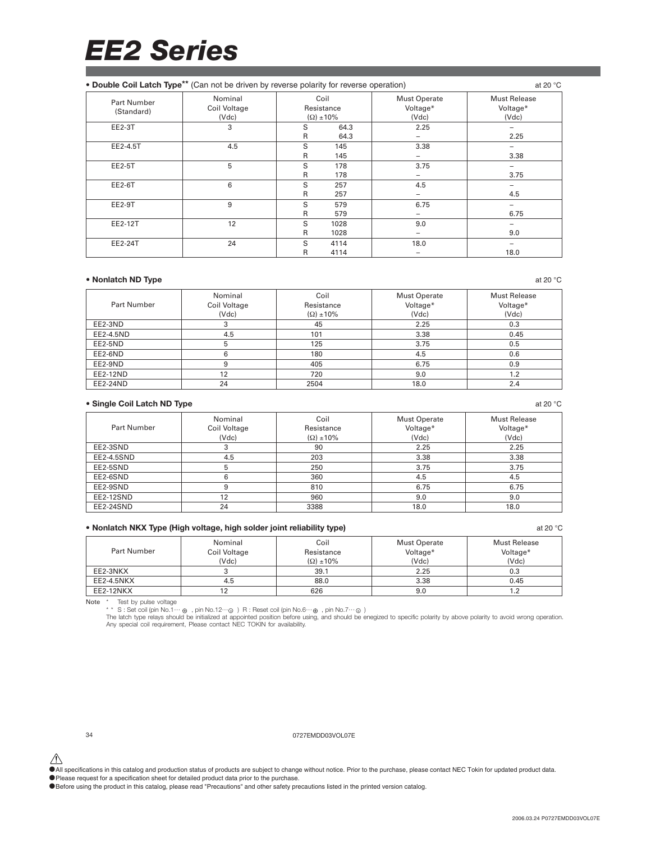| • Double Coil Latch Type** (Can not be driven by reverse polarity for reverse operation) |                                  |        |                                           |                                          | at 20 $\degree$ C                        |
|------------------------------------------------------------------------------------------|----------------------------------|--------|-------------------------------------------|------------------------------------------|------------------------------------------|
| <b>Part Number</b><br>(Standard)                                                         | Nominal<br>Coil Voltage<br>(Vdc) |        | Coil<br>Resistance<br>$(\Omega) \pm 10\%$ | <b>Must Operate</b><br>Voltage*<br>(Vdc) | <b>Must Release</b><br>Voltage*<br>(Vdc) |
| <b>EE2-3T</b>                                                                            | 3                                | S<br>R | 64.3<br>64.3                              | 2.25                                     | 2.25                                     |
| EE2-4.5T                                                                                 | 4.5                              | S<br>R | 145<br>145                                | 3.38                                     | 3.38                                     |
| EE2-5T                                                                                   | 5                                | S<br>R | 178<br>178                                | 3.75                                     | 3.75                                     |
| EE2-6T                                                                                   | 6                                | S<br>R | 257<br>257                                | 4.5                                      | 4.5                                      |
| EE2-9T                                                                                   | 9                                | S<br>R | 579<br>579                                | 6.75<br>-                                | 6.75                                     |
| EE2-12T                                                                                  | 12                               | S<br>R | 1028<br>1028                              | 9.0<br>-                                 | 9.0                                      |
| EE2-24T                                                                                  | 24                               | S<br>R | 4114<br>4114                              | 18.0                                     | 18.0                                     |

#### **• Nonlatch ND Type** at 20 °C at 20 °C at 20 °C at 20 °C at 20 °C at 20 °C at 20 °C at 20 °C at 20 °C at 20 °C at 20 °C at 20 °C at 20 °C at 20 °C at 20 °C at 20 °C at 20 °C at 20 °C at 20 °C at 20 °C at 20 °C at 20 °C at

| Part Number | Nominal<br>Coil Voltage<br>(Vdc) | Coil<br>Resistance<br>$(\Omega) \pm 10\%$ | <b>Must Operate</b><br>Voltage*<br>(Vdc) | Must Release<br>Voltage*<br>(Vdc) |
|-------------|----------------------------------|-------------------------------------------|------------------------------------------|-----------------------------------|
| EE2-3ND     |                                  | 45                                        | 2.25                                     | 0.3                               |
| EE2-4.5ND   | 4.5                              | 101                                       | 3.38                                     | 0.45                              |
| EE2-5ND     | 5                                | 125                                       | 3.75                                     | 0.5                               |
| EE2-6ND     | 6                                | 180                                       | 4.5                                      | 0.6                               |
| EE2-9ND     | 9                                | 405                                       | 6.75                                     | 0.9                               |
| EE2-12ND    | 12                               | 720                                       | 9.0                                      | 1.2                               |
| EE2-24ND    | 24                               | 2504                                      | 18.0                                     | 2.4                               |

#### • Single Coil Latch ND Type **at 20 °C** at 20 °C at 20 °C at 20 °C at 20 °C at 20 °C at 20 °C at 20 °C at 20 °C at 20 °C at 20 °C at 20 °C at 20 °C at 20 °C at 20 °C at 20 °C at 20 °C at 20 °C at 20 °C at 20 °C at 20 °C at

| Part Number | Nominal<br>Coil Voltage | Coil<br>Resistance  | <b>Must Operate</b><br>Voltage* | <b>Must Release</b><br>Voltage* |
|-------------|-------------------------|---------------------|---------------------------------|---------------------------------|
|             | (Vdc)                   | $(\Omega) \pm 10\%$ | (Vdc)                           | (Vdc)                           |
| EE2-3SND    |                         | 90                  | 2.25                            | 2.25                            |
| EE2-4.5SND  | 4.5                     | 203                 | 3.38                            | 3.38                            |
| EE2-5SND    | b                       | 250                 | 3.75                            | 3.75                            |
| EE2-6SND    | 6                       | 360                 | 4.5                             | 4.5                             |
| EE2-9SND    | 9                       | 810                 | 6.75                            | 6.75                            |
| EE2-12SND   | 12                      | 960                 | 9.0                             | 9.0                             |
| EE2-24SND   | 24                      | 3388                | 18.0                            | 18.0                            |

#### **• Nonlatch NKX Type (High voltage, high solder joint reliability type)** at 20 °C

| Part Number | Nominal<br>Coil Voltage<br>(Vdc) | Coil<br>Resistance<br>$(\Omega) \pm 10\%$ | Must Operate<br>Voltage*<br>(Vdc) | <b>Must Release</b><br>Voltage*<br>(Vdc) |
|-------------|----------------------------------|-------------------------------------------|-----------------------------------|------------------------------------------|
| EE2-3NKX    |                                  | 39.1                                      | 2.25                              | 0.3                                      |
| EE2-4.5NKX  | 4.5                              | 88.0                                      | 3.38                              | 0.45                                     |
| EE2-12NKX   |                                  | 626                                       | 9.0                               |                                          |

Note \* Test by pulse voltage<br>\*\* S : Set coil (pin No.1.2…⊙ ) R : Reset coil (pin No.6…⊕ , pin No.7…⊙ )<br>The latch type relays should be initialized at appointed position before using, and should be enegized to specific pol

34 0727EMDD03VOL07E

△<br>●All specifications in this catalog and production status of products are subject to change without notice. Prior to the purchase, please contact NEC Tokin for updated product data.

•Please request for a specification sheet for detailed product data prior to the purchase.

•Before using the product in this catalog, please read "Precautions" and other safety precautions listed in the printed version catalog.

2006.03.24 P0727EMDD03VOL07E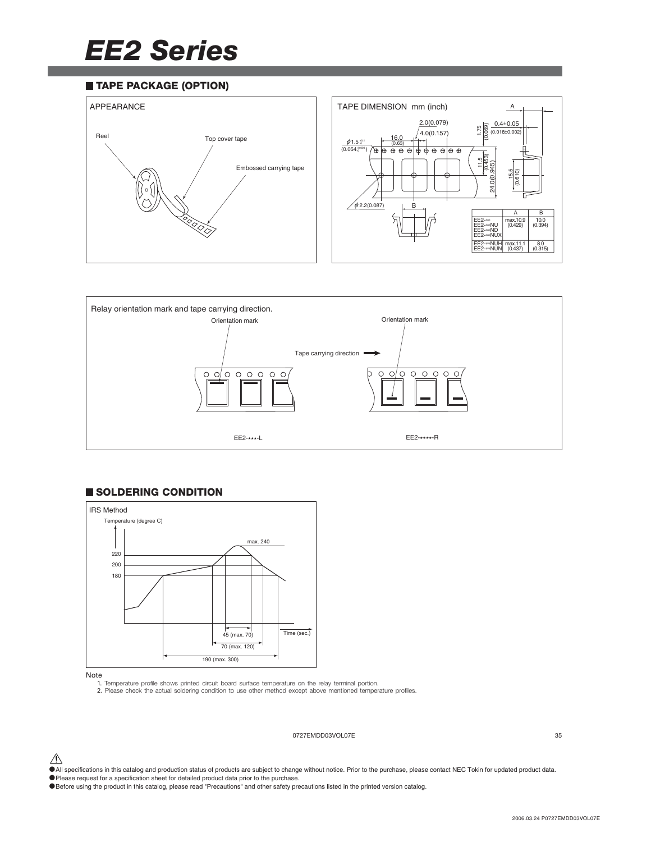#### **TAPE PACKAGE (OPTION)**





#### **SOLDERING CONDITION**



Note

1. Temperature profile shows printed circuit board surface temperature on the relay terminal portion. 2. Please check the actual soldering condition to use other method except above mentioned temperature profiles.

#### 0727EMDD03VOL07E 35

 $\bigwedge$  All specifications in this catalog and production status of products are subject to change without notice. Prior to the purchase, please contact NEC Tokin for updated product data.

•Please request for a specification sheet for detailed product data prior to the purchase.

<sup>•</sup>Before using the product in this catalog, please read "Precautions" and other safety precautions listed in the printed version catalog.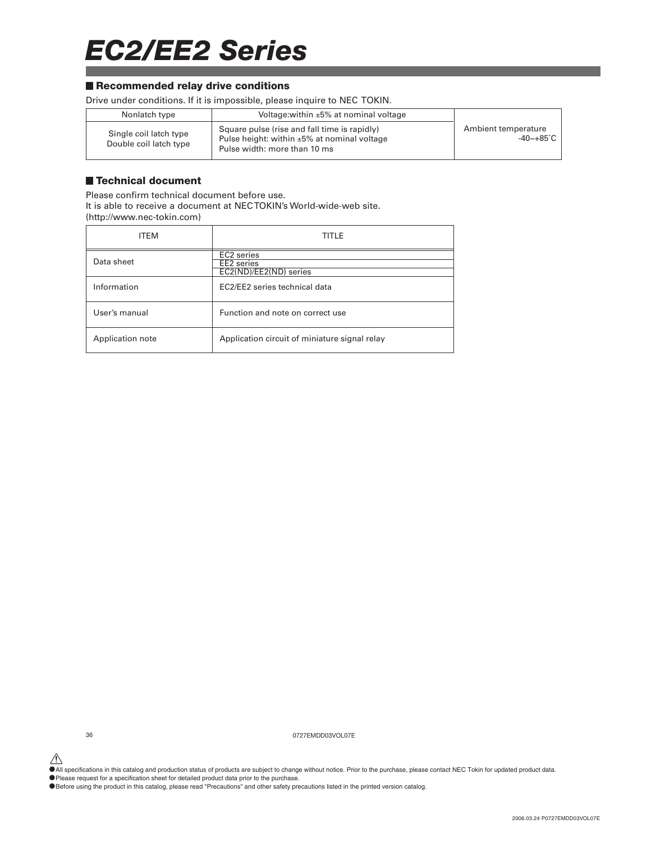### *EC2/EE2 Series*

#### ■ Recommended relay drive conditions

Drive under conditions. If it is impossible, please inquire to NEC TOKIN.

| Nonlatch type                                    | Voltage: within $\pm 5\%$ at nominal voltage                                                                                      |                                  |
|--------------------------------------------------|-----------------------------------------------------------------------------------------------------------------------------------|----------------------------------|
| Single coil latch type<br>Double coil latch type | Square pulse (rise and fall time is rapidly)<br>Pulse height: within $\pm 5\%$ at nominal voltage<br>Pulse width: more than 10 ms | Ambient temperature<br>-40~+85°C |

#### **Technical document**

Please confirm technical document before use. It is able to receive a document at NEC TOKIN's World-wide-web site. (http://www.nec-tokin.com)

| <b>ITFM</b>      | TITLE                                                                      |
|------------------|----------------------------------------------------------------------------|
| Data sheet       | EC <sub>2</sub> series<br>EE <sub>2</sub> series<br>EC2(ND)/EE2(ND) series |
| Information      | EC2/EE2 series technical data                                              |
| User's manual    | Function and note on correct use                                           |
| Application note | Application circuit of miniature signal relay                              |

36 0727EMDD03VOL07E

 $\hat{\P}$  All specifications in this catalog and production status of products are subject to change without notice. Prior to the purchase, please contact NEC Tokin for updated product data.

•Please request for a specification sheet for detailed product data prior to the purchase.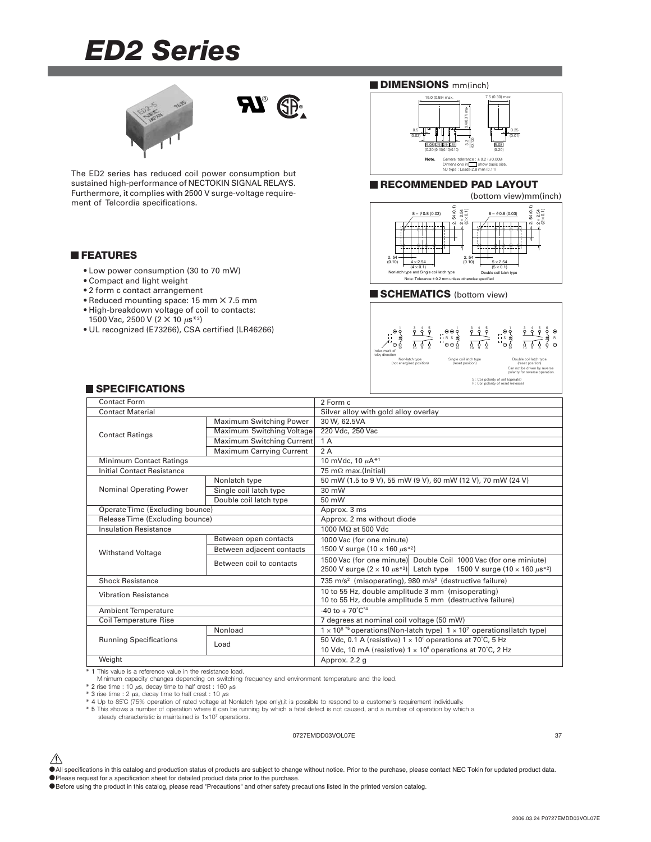# *ED2 Series*





The ED2 series has reduced coil power consumption but sustained high-performance of NECTOKIN SIGNAL RELAYS. Furthermore, it complies with 2500 V surge-voltage requirement of Telcordia specifications.

### **FEATURES**

- Low power consumption (30 to 70 mW)
- Compact and light weight
- 2 form c contact arrangement
- Reduced mounting space: 15 mm ✕ 7.5 mm
- High-breakdown voltage of coil to contacts:
- 1500 Vac, 2500 V (2 × 10 μs<sup>\*3</sup>)
- UL recognized (E73266), CSA certified (LR46266)

### **DIMENSIONS** mm(inch)



### **RECOMMENDED PAD LAYOUT**



### **SCHEMATICS** (bottom view)



### **SPECIFICATIONS**

|                              | Contact Form                    |                                                                                                     | 2 Form c                                                                                                                                                             |
|------------------------------|---------------------------------|-----------------------------------------------------------------------------------------------------|----------------------------------------------------------------------------------------------------------------------------------------------------------------------|
| <b>Contact Material</b>      |                                 |                                                                                                     | Silver alloy with gold alloy overlay                                                                                                                                 |
|                              |                                 | Maximum Switching Power                                                                             | 30 W, 62.5VA                                                                                                                                                         |
|                              | <b>Contact Ratings</b>          | Maximum Switching Voltage                                                                           | 220 Vdc, 250 Vac                                                                                                                                                     |
|                              |                                 | Maximum Switching Current                                                                           | 1A                                                                                                                                                                   |
|                              |                                 | <b>Maximum Carrying Current</b>                                                                     | 2A                                                                                                                                                                   |
|                              | <b>Minimum Contact Ratings</b>  |                                                                                                     | 10 mVdc, 10 $\mu$ A <sup>*1</sup>                                                                                                                                    |
|                              | Initial Contact Resistance      |                                                                                                     | $75 \text{ m}\Omega$ max.(Initial)                                                                                                                                   |
|                              |                                 | Nonlatch type                                                                                       | 50 mW (1.5 to 9 V), 55 mW (9 V), 60 mW (12 V), 70 mW (24 V)                                                                                                          |
|                              | Nominal Operating Power         | Single coil latch type                                                                              | 30 mW                                                                                                                                                                |
|                              |                                 | Double coil latch type                                                                              | 50 mW                                                                                                                                                                |
|                              | Operate Time (Excluding bounce) |                                                                                                     | Approx. 3 ms                                                                                                                                                         |
|                              | Release Time (Excluding bounce) |                                                                                                     | Approx. 2 ms without diode                                                                                                                                           |
|                              | <b>Insulation Resistance</b>    |                                                                                                     | 1000 MΩ at 500 Vdc                                                                                                                                                   |
|                              | <b>Withstand Voltage</b>        | Between open contacts                                                                               | 1000 Vac (for one minute)                                                                                                                                            |
|                              |                                 | Between adjacent contacts                                                                           | 1500 V surge (10 $\times$ 160 $\mu$ s <sup>*2</sup> )                                                                                                                |
|                              |                                 | Between coil to contacts                                                                            | 1500 Vac (for one minute) Double Coil 1000 Vac (for one miniute)<br>2500 V surge $(2 \times 10 \ \mu s^{*3})$ Latch type 1500 V surge $(10 \times 160 \ \mu s^{*2})$ |
|                              | <b>Shock Resistance</b>         |                                                                                                     | 735 m/s <sup>2</sup> (misoperating), 980 m/s <sup>2</sup> (destructive failure)                                                                                      |
| <b>Vibration Resistance</b>  |                                 |                                                                                                     | 10 to 55 Hz, double amplitude 3 mm (misoperating)<br>10 to 55 Hz, double amplitude 5 mm (destructive failure)                                                        |
| <b>Ambient Temperature</b>   |                                 |                                                                                                     | $-40$ to $+70^{\circ}C^{*4}$                                                                                                                                         |
| <b>Coil Temperature Rise</b> |                                 |                                                                                                     | 7 degrees at nominal coil voltage (50 mW)                                                                                                                            |
|                              |                                 | $1 \times 10^{8}$ *5 operations(Non-latch type) $1 \times 10^{7}$ operations(latch type)<br>Nonload |                                                                                                                                                                      |
|                              | <b>Running Specifications</b>   | Load                                                                                                | 50 Vdc, 0.1 A (resistive) $1 \times 10^6$ operations at 70°C, 5 Hz                                                                                                   |
|                              |                                 |                                                                                                     | 10 Vdc, 10 mA (resistive) $1 \times 10^6$ operations at 70°C, 2 Hz                                                                                                   |
|                              | Weight                          |                                                                                                     | Approx. 2.2 g                                                                                                                                                        |
|                              |                                 |                                                                                                     |                                                                                                                                                                      |

\* 1 This value is a reference value in the resistance load.

Minimum capacity changes depending on switching frequency and environment temperature and the load.

\* 2 rise time : 10  $\mu$ s, decay time to half crest : 160  $\mu$ s<br>\* 3 rise time : 2  $\mu$ s, decay time to half crest : 10  $\mu$ s

\* 4 Up to 85˚C (75% operation of rated voltage at Nonlatch type only),it is possible to respond to a customer's requirement individually.

\* 5 This shows a number of operation where it can be running by which a fatal defect is not caused, and a number of operation by which a

steady characteristic is maintained is  $1 \times 10^7$  operations.

### 0727EMDD03VOL07E 37

 $\hat{\triangle}$  All specifications in this catalog and production status of products are subject to change without notice. Prior to the purchase, please contact NEC Tokin for updated product data. •Please request for a specification sheet for detailed product data prior to the purchase.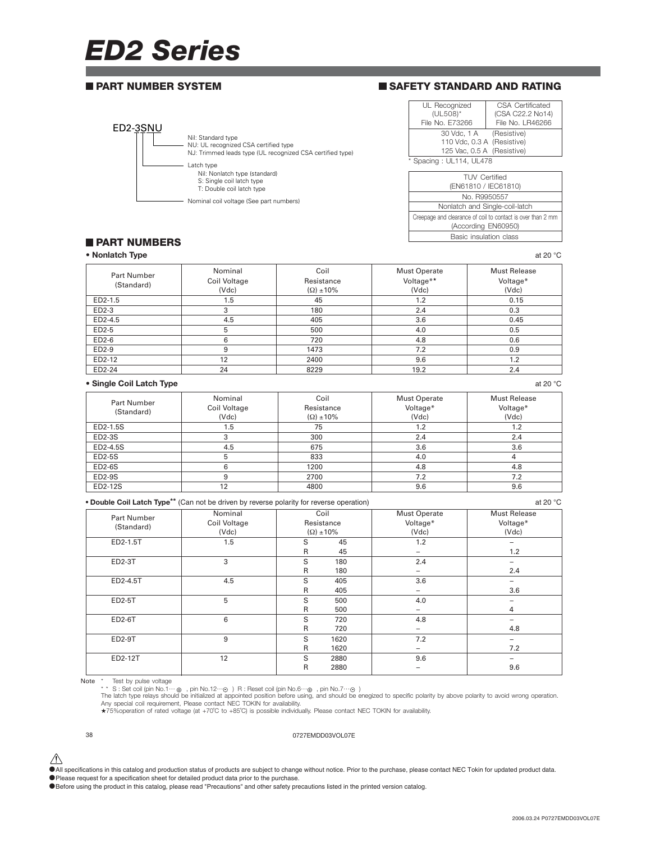# *ED2 Series*

### **PART NUMBER SYSTEM**



### **SAFETY STANDARD AND RATING**

| UL Recognized<br>(UL508)*  | <b>CSA Certificated</b><br>(CSA C22.2 No14) |  |
|----------------------------|---------------------------------------------|--|
| File No. E73266            | File No. LR46266                            |  |
| 30 Vdc, 1 A (Resistive)    |                                             |  |
| 110 Vdc, 0.3 A (Resistive) |                                             |  |
| 125 Vac, 0.5 A (Resistive) |                                             |  |
| * Spacing: UL114, UL478    |                                             |  |

| <b>TUV</b> Certified<br>(EN61810 / IEC61810)                                       |  |
|------------------------------------------------------------------------------------|--|
| No R9950557                                                                        |  |
| Nonlatch and Single-coil-latch                                                     |  |
| Creepage and clearance of coil to contact is over than 2 mm<br>(According EN60950) |  |
| Basic insulation class                                                             |  |
|                                                                                    |  |

### **PART NUMBERS**

**• Nonlatch Type** at 20 °C **at 20 °C** at 20 °C **at 20 °C** at 20 °C **at 20 °C** at 20 °C

| Part Number                                                                                          | Nominal      | Coil                | <b>Must Operate</b> | <b>Must Release</b> |
|------------------------------------------------------------------------------------------------------|--------------|---------------------|---------------------|---------------------|
| (Standard)                                                                                           | Coil Voltage | Resistance          | Voltage**           | Voltage*            |
|                                                                                                      | (Vdc)        | $(\Omega) \pm 10\%$ | (Vdc)               | (Vdc)               |
| ED2-1.5                                                                                              | 1.5          | 45                  | 1.2                 | 0.15                |
| ED2-3                                                                                                | 3            | 180                 | 2.4                 | 0.3                 |
| ED2-4.5                                                                                              | 4.5          | 405                 | 3.6                 | 0.45                |
| ED2-5                                                                                                | 5            | 500                 | 4.0                 | 0.5                 |
| ED2-6                                                                                                | 6            | 720                 | 4.8                 | 0.6                 |
| ED2-9                                                                                                | 9            | 1473                | 7.2                 | 0.9                 |
| ED2-12                                                                                               | 12           | 2400                | 9.6                 | 1.2                 |
| ED2-24                                                                                               | 24           | 8229                | 19.2                | 2.4                 |
| • Single Coil Latch Type                                                                             |              |                     |                     | at 20 $^{\circ}$ C  |
| Part Number                                                                                          | Nominal      | Coil                | <b>Must Operate</b> | <b>Must Release</b> |
| (Standard)                                                                                           | Coil Voltage | Resistance          | Voltage*            | Voltage*            |
|                                                                                                      | (Vdc)        | $(\Omega) \pm 10\%$ | (Vdc)               | (Vdc)               |
| ED2-1.5S                                                                                             | 1.5          | 75                  | 1.2                 | 1.2                 |
| ED2-3S                                                                                               | 3            | 300                 | 2.4                 | 2.4                 |
| ED2-4.5S                                                                                             | 4.5          | 675                 | 3.6                 | 3.6                 |
| <b>ED2-5S</b>                                                                                        | 5            | 833                 | 4.0                 | 4                   |
| <b>ED2-6S</b>                                                                                        | 6            | 1200                | 4.8                 | 4.8                 |
| <b>ED2-9S</b>                                                                                        | 9            | 2700                | 7.2                 | 7.2                 |
| ED2-12S                                                                                              | 12           | 4800                | 9.6                 | 9.6                 |
| • Double Coil Latch Type <sup>**</sup> (Can not be driven by reverse polarity for reverse operation) |              |                     |                     | at 20 $^{\circ}$ C  |
| Part Number                                                                                          | Nominal      | Coil                | <b>Must Operate</b> | <b>Must Release</b> |
| (Standard)                                                                                           | Coil Voltage | Resistance          | Voltage*            | Voltage*            |
|                                                                                                      | (Vdc)        | $(\Omega) \pm 10\%$ | (Vdc)               | (Vdc)               |

Coil Voltage Resistance Voltage\* Voltage\* (Standard) (Vdc) (Ω) ±10% (Vdc) (Vdc) ED2-1.5T 1.5 S 45 1.2 – R 45 – 1.2 ED2-3T 3 S 180 2.4 – R 180 – 2.4 ED2-4.5T 4.5 S 405 3.6 – R 405 – 1 3.6 ED2-5T | 5 | S 500 | 4.0 | — R 500 – 1 4 ED2-6T 6 S 720 4.8 – R 720 – 4.8 ED2-9T 9 S 1620 7.2 – R 1620 – 7.2 ED2-12T | 12 | S 2880 | 9.6 | – R 2880 | – 1 9.6

Note \* Test by pulse voltage<br>\*\* S : Set coil (pin No.1… $\Theta$ ) R : Reset coil (pin No.6… $\Theta$ ), pin No.7… $\Theta$ )<br>The latch type relays should be initialized at appointed position before using, and should be enegized to specifi

### 38 0727EMDD03VOL07E

 $\hat{\triangle}$  All specifications in this catalog and production status of products are subject to change without notice. Prior to the purchase, please contact NEC Tokin for updated product data. •Please request for a specification sheet for detailed product data prior to the purchase.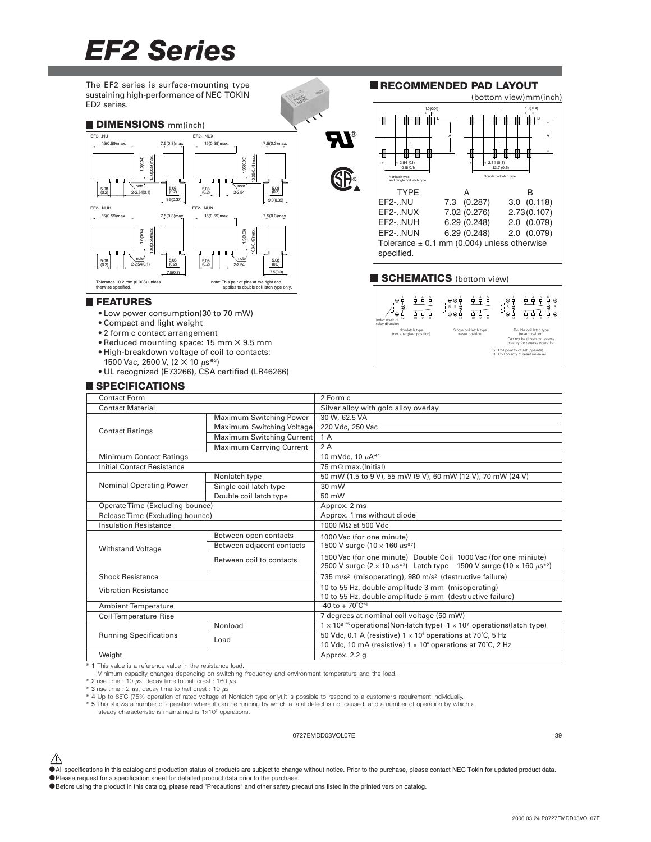# *EF2 Series*



- Reduced mounting space: 15 mm ✕ 9.5 mm
- 
- High-breakdown voltage of coil to contacts: 1500 Vac, 2500 V, (2 × 10 μs<sup>\*3</sup>)
- UL recognized (E73266), CSA certified (LR46266)

### **SPECIFICATIONS**

| <b>Contact Form</b>         |                                   |                                 | 2 Form c                                                                                                                                                         |  |
|-----------------------------|-----------------------------------|---------------------------------|------------------------------------------------------------------------------------------------------------------------------------------------------------------|--|
| <b>Contact Material</b>     |                                   |                                 | Silver alloy with gold alloy overlay                                                                                                                             |  |
|                             |                                   | Maximum Switching Power         | 30 W, 62.5 VA                                                                                                                                                    |  |
|                             | <b>Contact Ratings</b>            | Maximum Switching Voltage       | 220 Vdc. 250 Vac                                                                                                                                                 |  |
|                             |                                   | Maximum Switching Current       | 1A                                                                                                                                                               |  |
|                             |                                   | <b>Maximum Carrying Current</b> | 2A                                                                                                                                                               |  |
|                             | <b>Minimum Contact Ratings</b>    |                                 | 10 mVdc. 10 $\mu$ A <sup>*1</sup>                                                                                                                                |  |
|                             | <b>Initial Contact Resistance</b> |                                 | $75 \text{ m}\Omega$ max.(Initial)                                                                                                                               |  |
|                             |                                   | Nonlatch type                   | 50 mW (1.5 to 9 V), 55 mW (9 V), 60 mW (12 V), 70 mW (24 V)                                                                                                      |  |
|                             | <b>Nominal Operating Power</b>    | Single coil latch type          | 30 mW                                                                                                                                                            |  |
|                             |                                   | Double coil latch type          | 50 mW                                                                                                                                                            |  |
|                             | Operate Time (Excluding bounce)   |                                 | Approx. 2 ms                                                                                                                                                     |  |
|                             | Release Time (Excluding bounce)   |                                 | Approx. 1 ms without diode                                                                                                                                       |  |
|                             | <b>Insulation Resistance</b>      |                                 | 1000 MΩ at 500 Vdc                                                                                                                                               |  |
|                             |                                   | Between open contacts           | 1000 Vac (for one minute)                                                                                                                                        |  |
|                             | <b>Withstand Voltage</b>          | Between adjacent contacts       | 1500 V surge $(10 \times 160 \mu s^{*2})$                                                                                                                        |  |
|                             |                                   | Between coil to contacts        | 1500 Vac (for one minute) Double Coil 1000 Vac (for one miniute)<br>2500 V surge $(2 \times 10 \mu s^{*3})$ Latch type 1500 V surge $(10 \times 160 \mu s^{*2})$ |  |
|                             | <b>Shock Resistance</b>           |                                 | 735 m/s <sup>2</sup> (misoperating), 980 m/s <sup>2</sup> (destructive failure)                                                                                  |  |
| <b>Vibration Resistance</b> |                                   |                                 | 10 to 55 Hz, double amplitude 3 mm (misoperating)<br>10 to 55 Hz, double amplitude 5 mm (destructive failure)                                                    |  |
| <b>Ambient Temperature</b>  |                                   |                                 | -40 to + $70^{\circ}$ C <sup>*4</sup>                                                                                                                            |  |
| Coil Temperature Rise       |                                   |                                 | 7 degrees at nominal coil voltage (50 mW)                                                                                                                        |  |
|                             |                                   | Nonload                         | $1 \times 10^{8}$ *5 operations(Non-latch type) $1 \times 10^{7}$ operations(latch type)                                                                         |  |
|                             | <b>Running Specifications</b>     | Load                            | 50 Vdc, 0.1 A (resistive) $1 \times 10^6$ operations at 70°C, 5 Hz                                                                                               |  |
|                             |                                   |                                 | 10 Vdc, 10 mA (resistive) $1 \times 10^6$ operations at 70°C, 2 Hz                                                                                               |  |
|                             | Weight                            |                                 | Approx. 2.2 g                                                                                                                                                    |  |

Weight

1 This value is a reference value in the resistance load.

Minimum capacity changes depending on switching frequency and environment temperature and the load.

 $*$  2 rise time : 10  $\mu$ s, decay time to half crest : 160  $\mu$ s

\* 3 rise time : 2 µs, decay time to half crest : 10 µs \* 4 Up to 85˚C (75% operation of rated voltage at Nonlatch type only),it is possible to respond to a customer's requirement individually.

\* 5 This shows a number of operation where it can be running by which a fatal defect is not caused, and a number of operation by which a

steady characteristic is maintained is  $1\times10^7$  operations.

### 0727EMDD03VOL07E 39

S : Coil polarity of set (operate) R : Coil polarity of reset (release) Can not be driven by reverse polarity for reverse operation.

 $\hat{\triangle}$  All specifications in this catalog and production status of products are subject to change without notice. Prior to the purchase, please contact NEC Tokin for updated product data. •Please request for a specification sheet for detailed product data prior to the purchase.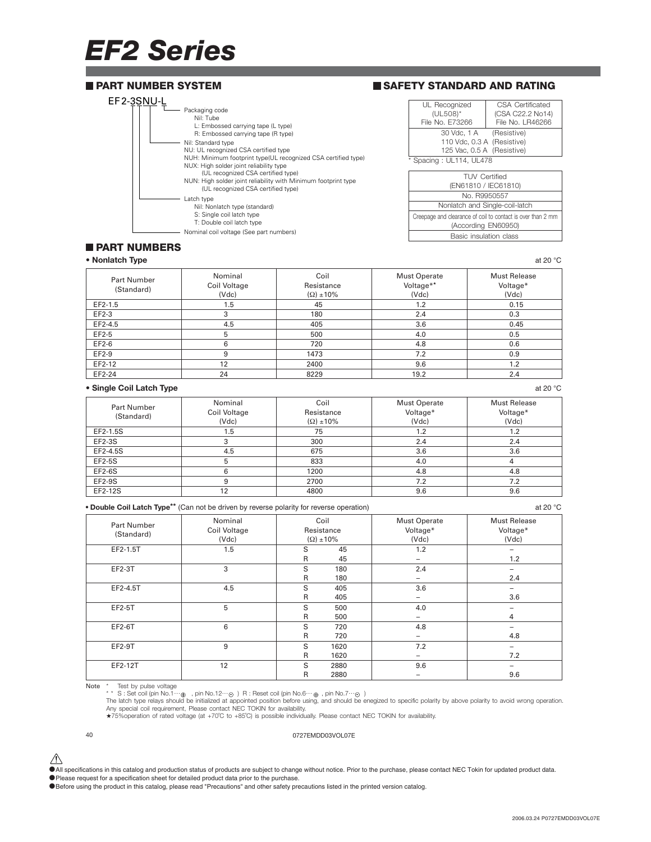# *EF2 Series*



### **PART NUMBERS**

| • Nonlatch Type                  |                                  |                                           |                                           | at 20 $^{\circ}$ C                       |
|----------------------------------|----------------------------------|-------------------------------------------|-------------------------------------------|------------------------------------------|
| <b>Part Number</b><br>(Standard) | Nominal<br>Coil Voltage<br>(Vdc) | Coil<br>Resistance<br>$(\Omega) \pm 10\%$ | <b>Must Operate</b><br>Voltage**<br>(Vdc) | <b>Must Release</b><br>Voltage*<br>(Vdc) |
| EF2-1.5                          | 1.5                              | 45                                        | 1.2                                       | 0.15                                     |
| EF2-3                            | 3                                | 180                                       | 2.4                                       | 0.3                                      |
| EF2-4.5                          | 4.5                              | 405                                       | 3.6                                       | 0.45                                     |
| EF2-5                            | 5                                | 500                                       | 4.0                                       | 0.5                                      |
| EF2-6                            | 6                                | 720                                       | 4.8                                       | 0.6                                      |
| EF2-9                            | 9                                | 1473                                      | 7.2                                       | 0.9                                      |
| EF2-12                           | 12                               | 2400                                      | 9.6                                       | 1.2                                      |
| EF2-24                           | 24                               | 8229                                      | 19.2                                      | 2.4                                      |

#### **• Single Coil Latch Type** at 20 °C **at 20 °C** at 20 °C **at 20 °C** at 20 °C **at 20 °C** at 20 °C

| <b>Part Number</b><br>(Standard) | Nominal<br>Coil Voltage<br>(Vdc) | Coil<br>Resistance<br>$(\Omega) \pm 10\%$ | <b>Must Operate</b><br>Voltage*<br>(Vdc) | <b>Must Release</b><br>Voltage*<br>(Vdc) |
|----------------------------------|----------------------------------|-------------------------------------------|------------------------------------------|------------------------------------------|
| EF2-1.5S                         | 1.5                              | 75                                        | 1.2                                      | 1.2                                      |
| EF2-3S                           |                                  | 300                                       | 2.4                                      | 2.4                                      |
| EF2-4.5S                         | 4.5                              | 675                                       | 3.6                                      | 3.6                                      |
| EF2-5S                           | 5                                | 833                                       | 4.0                                      |                                          |
| $EF2-6S$                         | 6                                | 1200                                      | 4.8                                      | 4.8                                      |
| $EF2-9S$                         | 9                                | 2700                                      | 7.2                                      | 7.2                                      |
| EF2-12S                          | 12                               | 4800                                      | 9.6                                      | 9.6                                      |

**• Double Coil Latch Type\*\*** (Can not be driven by reverse polarity for reverse operation) at 20 °C

| <b>Part Number</b><br>(Standard) | Nominal<br>Coil Voltage<br>(Vdc) |                   | Coil<br>Resistance<br>$(\Omega) \pm 10\%$ | <b>Must Operate</b><br>Voltage*<br>(Vdc) | <b>Must Release</b><br>Voltage*<br>(Vdc) |
|----------------------------------|----------------------------------|-------------------|-------------------------------------------|------------------------------------------|------------------------------------------|
| EF2-1.5T                         | 1.5                              | S<br>$\mathsf{R}$ | 45<br>45                                  | 1.2<br>-                                 | $\overline{\phantom{0}}$<br>1.2          |
| EF2-3T                           | 3                                | S<br>R            | 180<br>180                                | 2.4<br>-                                 | 2.4                                      |
| EF2-4.5T                         | 4.5                              | S<br>R            | 405<br>405                                | 3.6<br>-                                 | 3.6                                      |
| <b>EF2-5T</b>                    | 5                                | S<br>R            | 500<br>500                                | 4.0                                      | 4                                        |
| <b>EF2-6T</b>                    | 6                                | S<br>R            | 720<br>720                                | 4.8                                      | 4.8                                      |
| EF2-9T                           | 9                                | S<br>$\mathsf{R}$ | 1620<br>1620                              | 7.2<br>-                                 | 7.2                                      |
| EF2-12T                          | 12                               | S<br>R            | 2880<br>2880                              | 9.6                                      | -<br>9.6                                 |

Note \* Test by pulse voltage \* \* S : Set coil (pin No.1… , pin No.12… ) R : Reset coil (pin No.6… , pin No.7… ) The latch type relays should be initialized at appointed position before using, and should be enegized to specific polarity by above polarity to avoid wrong operation. Any special coil requirement, Please contact NEC TOKIN for availability.

★75%operation of rated voltage (at +70˚C to +85˚C) is possible individually. Please contact NEC TOKIN for availability.

### 40 0727EMDD03VOL07E

 $\hat{\triangle}$  All specifications in this catalog and production status of products are subject to change without notice. Prior to the purchase, please contact NEC Tokin for updated product data. •Please request for a specification sheet for detailed product data prior to the purchase.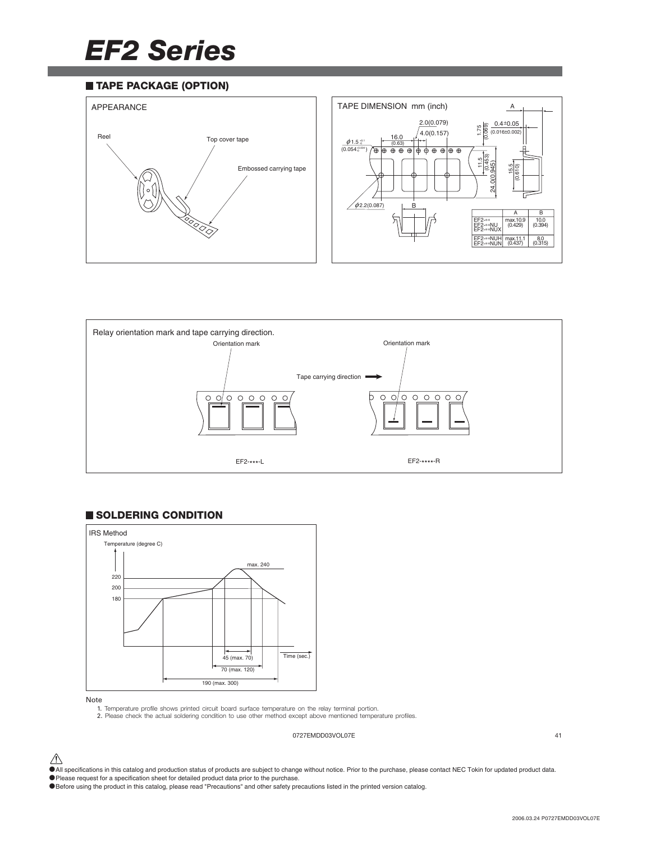# *EF2 Series*

### **TAPE PACKAGE (OPTION)**





### **SOLDERING CONDITION**



Note

1. Temperature profile shows printed circuit board surface temperature on the relay terminal portion.

2. Please check the actual soldering condition to use other method except above mentioned temperature profiles.

0727EMDD03VOL07E 41

- $\bigwedge$  All specifications in this catalog and production status of products are subject to change without notice. Prior to the purchase, please contact NEC Tokin for updated product data.
- •Please request for a specification sheet for detailed product data prior to the purchase.
- •Before using the product in this catalog, please read "Precautions" and other safety precautions listed in the printed version catalog.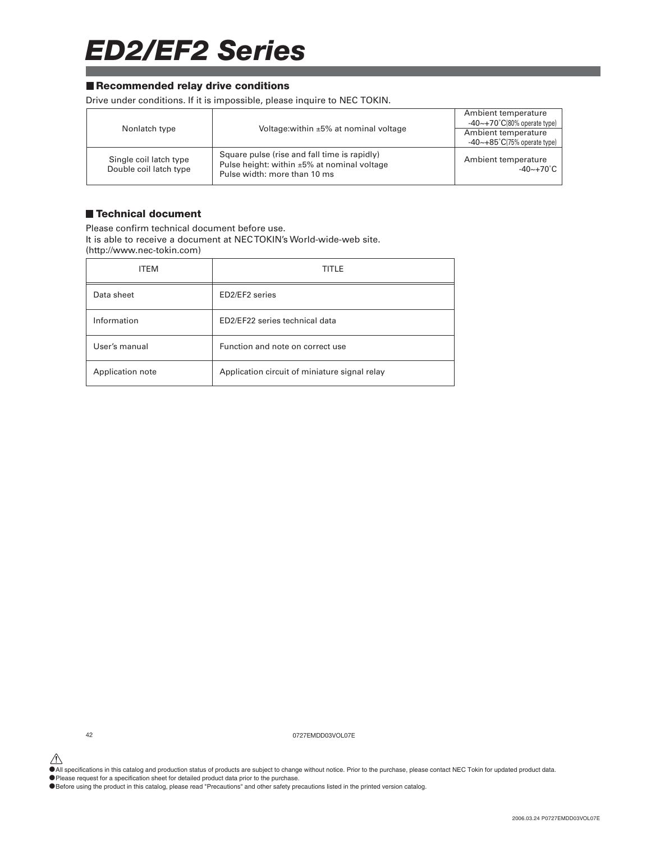# *ED2/EF2 Series*

### **Recommended relay drive conditions**

Drive under conditions. If it is impossible, please inquire to NEC TOKIN.

|                                                  |                                                                                                                             | Ambient temperature<br>$-40$ ~+70 $°C(80\%$ operate type) |
|--------------------------------------------------|-----------------------------------------------------------------------------------------------------------------------------|-----------------------------------------------------------|
| Nonlatch type                                    | Voltage: within ±5% at nominal voltage                                                                                      | Ambient temperature                                       |
|                                                  |                                                                                                                             | $-40$ $\sim$ $+85$ °C(75% operate type)                   |
| Single coil latch type<br>Double coil latch type | Square pulse (rise and fall time is rapidly)<br>Pulse height: within ±5% at nominal voltage<br>Pulse width: more than 10 ms | Ambient temperature<br>$-40 \sim +70^{\circ}$ C           |

### **Technical document**

Please confirm technical document before use. It is able to receive a document at NEC TOKIN's World-wide-web site. (http://www.nec-tokin.com)

| <b>ITEM</b>      | <b>TITLE</b>                                  |
|------------------|-----------------------------------------------|
| Data sheet       | ED2/EF2 series                                |
| Information      | ED2/EF22 series technical data                |
| User's manual    | Function and note on correct use              |
| Application note | Application circuit of miniature signal relay |

42 0727EMDD03VOL07E

△<br>●All specifications in this catalog and production status of products are subject to change without notice. Prior to the purchase, please contact NEC Tokin for updated product data.

•Please request for a specification sheet for detailed product data prior to the purchase.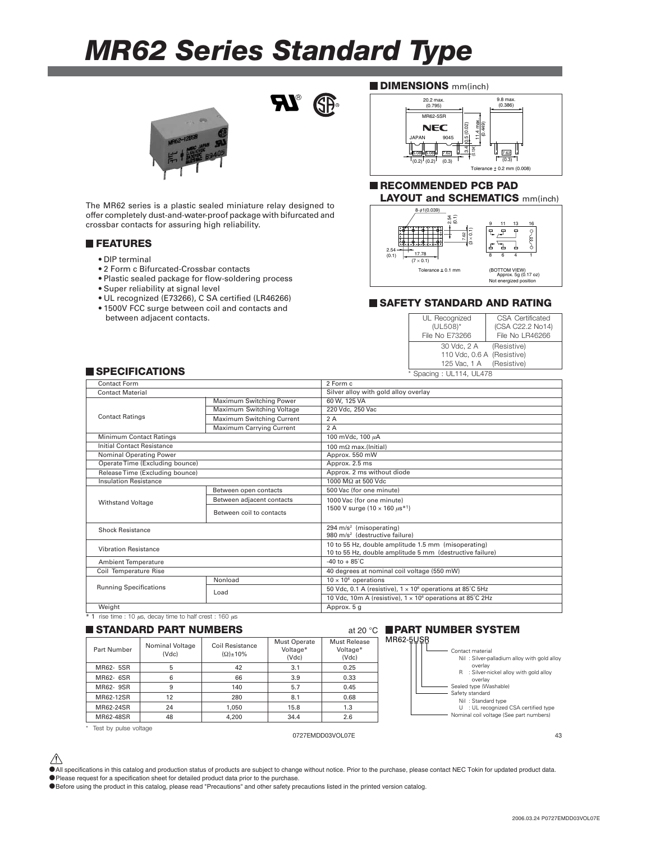## *MR62 Series Standard Type*

 $\boldsymbol{\mathcal{H}}_{\text{e}}$ 



offer completely dust-and-water-proof package with bifurcated and crossbar contacts for assuring high reliability.

### **FEATURES**

- DIP terminal
- 2 Form c Bifurcated-Crossbar contacts
- Plastic sealed package for flow-soldering process
- Super reliability at signal level
- UL recognized (E73266), C SA certified (LR46266)
- 1500V FCC surge between coil and contacts and between adjacent contacts.

### **DIMENSIONS** mm(inch)



### **RECOMMENDED PCB PAD** The MR62 series is a plastic sealed miniature relay designed to **LAYOUT and SCHEMATICS** mm(inch)



### **SAFETY STANDARD AND RATING**

| UL Recognized              | <b>CSA Certificated</b> |  |
|----------------------------|-------------------------|--|
| (UL508)*                   | (CSA C22.2 No14)        |  |
| File No E73266             | File No LR46266         |  |
| 30 Vdc, 2 A (Resistive)    |                         |  |
| 110 Vdc, 0.6 A (Resistive) |                         |  |
| 125 Vac, 1 A (Resistive)   |                         |  |
| * Spacing: UL114, UL478    |                         |  |

### **SPECIFICATIONS**

| Contact Form                                                         |                           | 2 Form c                                                                                                        |  |
|----------------------------------------------------------------------|---------------------------|-----------------------------------------------------------------------------------------------------------------|--|
| <b>Contact Material</b>                                              |                           | Silver alloy with gold alloy overlay                                                                            |  |
|                                                                      | Maximum Switching Power   | 60 W. 125 VA                                                                                                    |  |
|                                                                      | Maximum Switching Voltage | 220 Vdc, 250 Vac                                                                                                |  |
| <b>Contact Ratings</b>                                               | Maximum Switching Current | 2A                                                                                                              |  |
|                                                                      | Maximum Carrying Current  | 2 A                                                                                                             |  |
| <b>Minimum Contact Ratings</b>                                       |                           | 100 mVdc, 100 µA                                                                                                |  |
| Initial Contact Resistance                                           |                           | 100 m $\Omega$ max.(Initial)                                                                                    |  |
| Nominal Operating Power                                              |                           | Approx. 550 mW                                                                                                  |  |
| Operate Time (Excluding bounce)                                      |                           | Approx. 2.5 ms                                                                                                  |  |
| Release Time (Excluding bounce)                                      |                           | Approx. 2 ms without diode                                                                                      |  |
| <b>Insulation Resistance</b>                                         |                           | 1000 $M\Omega$ at 500 Vdc                                                                                       |  |
|                                                                      | Between open contacts     | 500 Vac (for one minute)                                                                                        |  |
| <b>Withstand Voltage</b>                                             | Between adjacent contacts | 1000 Vac (for one minute)                                                                                       |  |
|                                                                      | Between coil to contacts  | 1500 V surge (10 $\times$ 160 $\mu$ s <sup>*1</sup> )                                                           |  |
| <b>Shock Resistance</b>                                              |                           | 294 $m/s2$ (misoperating)<br>980 m/s <sup>2</sup> (destructive failure)                                         |  |
| <b>Vibration Resistance</b>                                          |                           | 10 to 55 Hz, double amplitude 1.5 mm (misoperating)<br>10 to 55 Hz, double amplitude 5 mm (destructive failure) |  |
| <b>Ambient Temperature</b>                                           |                           | $-40$ to $+85^{\circ}$ C                                                                                        |  |
| Coil Temperature Rise                                                |                           | 40 degrees at nominal coil voltage (550 mW)                                                                     |  |
|                                                                      | Nonload                   | $10 \times 10^6$ operations                                                                                     |  |
| <b>Running Specifications</b>                                        | Load                      | 50 Vdc, 0.1 A (resistive), $1 \times 10^6$ operations at 85°C 5Hz                                               |  |
|                                                                      |                           | 10 Vdc, 10m A (resistive), 1 x 10 <sup>6</sup> operations at 85°C 2Hz                                           |  |
| Weight                                                               |                           | Approx. 5 g                                                                                                     |  |
| $*$ 1 rise time : 10 $\mu$ s, decay time to half crest : 160 $\mu$ s |                           |                                                                                                                 |  |

### **STANDARD PART NUMBERS** at 20 °C

| Part Number | Nominal Voltage<br>(Vdc) | Coil Resistance<br>$(\Omega)$ ±10% | <b>Must Operate</b><br>Voltage*<br>(Vdc) | Must Release<br>Voltage*<br>(Vdc) |
|-------------|--------------------------|------------------------------------|------------------------------------------|-----------------------------------|
| MR62- 5SR   | 5                        | 42                                 | 3.1                                      | 0.25                              |
| MR62- 6SR   | 6                        | 66                                 | 3.9                                      | 0.33                              |
| MR62-9SR    | 9                        | 140                                | 5.7                                      | 0.45                              |
| MR62-12SR   | 12                       | 280                                | 8.1                                      | 0.68                              |
| MR62-24SR   | 24                       | 1.050                              | 15.8                                     | 1.3                               |
| MR62-48SR   | 48                       | 4.200                              | 34.4                                     | 2.6                               |





\* Test by pulse voltage

### 0727EMDD03VOL07E 43

 $\hat{\triangle}$  All specifications in this catalog and production status of products are subject to change without notice. Prior to the purchase, please contact NEC Tokin for updated product data. •Please request for a specification sheet for detailed product data prior to the purchase.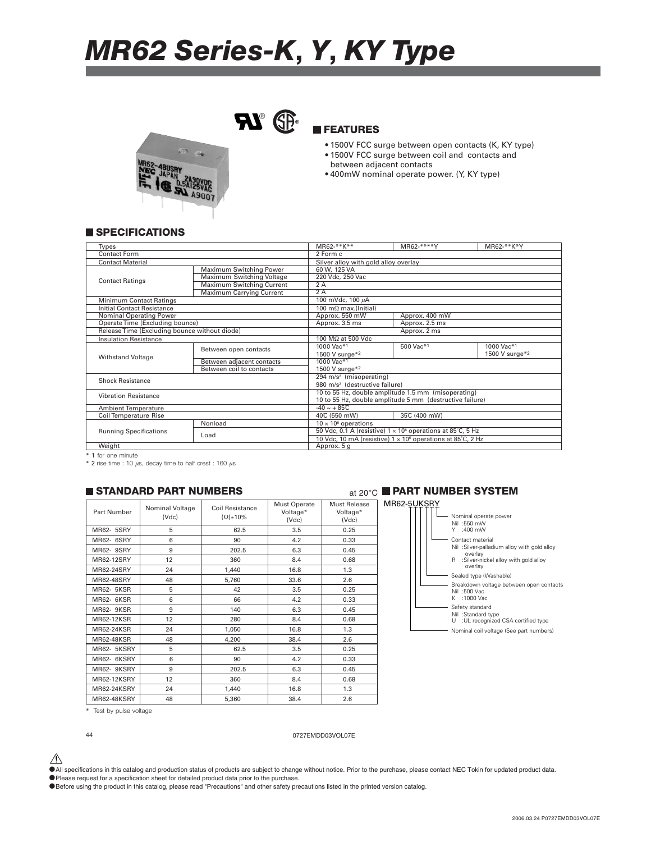# *MR62 Series-K***,** *Y***,** *KY Type*



### **FEATURES**

- 1500V FCC surge between open contacts (K, KY type)
- 1500V FCC surge between coil and contacts and between adjacent contacts
- 400mW nominal operate power. (Y, KY type)

### **SPECIFICATIONS**

| <b>Types</b>                    |                                               | $MR62 - \frac{1}{2}$ $K + 1$<br>MR62-****Y<br>MR62-**K*Y |                                                                        |                |  |  |
|---------------------------------|-----------------------------------------------|----------------------------------------------------------|------------------------------------------------------------------------|----------------|--|--|
| Contact Form                    |                                               | 2 Form c                                                 |                                                                        |                |  |  |
| <b>Contact Material</b>         |                                               | Silver alloy with gold alloy overlay                     |                                                                        |                |  |  |
|                                 | Maximum Switching Power                       | 60 W. 125 VA                                             |                                                                        |                |  |  |
| <b>Contact Ratings</b>          | Maximum Switching Voltage                     | 220 Vdc, 250 Vac                                         |                                                                        |                |  |  |
|                                 | Maximum Switching Current                     | 2A                                                       |                                                                        |                |  |  |
|                                 | <b>Maximum Carrying Current</b>               | 2A                                                       |                                                                        |                |  |  |
| <b>Minimum Contact Ratings</b>  |                                               | 100 mVdc, 100 µA                                         |                                                                        |                |  |  |
| Initial Contact Resistance      |                                               | 100 m $\Omega$ max.(Initial)                             |                                                                        |                |  |  |
| Nominal Operating Power         |                                               | Approx. 550 mW                                           | Approx. 400 mW                                                         |                |  |  |
| Operate Time (Excluding bounce) |                                               | Approx. 3.5 ms                                           | Approx. 2.5 ms                                                         |                |  |  |
|                                 | Release Time (Excluding bounce without diode) |                                                          | Approx. 2 ms                                                           |                |  |  |
| <b>Insulation Resistance</b>    |                                               |                                                          | 100 MΩ at 500 Vdc                                                      |                |  |  |
|                                 | Between open contacts                         | 1000 Vac*1                                               | 500 Vac*1                                                              | 1000 Vac*1     |  |  |
| <b>Withstand Voltage</b>        |                                               | 1500 V surge*2                                           |                                                                        | 1500 V surge*2 |  |  |
|                                 | Between adjacent contacts                     | 1000 Vac*1                                               |                                                                        |                |  |  |
|                                 | Between coil to contacts                      | 1500 V surge $*2$                                        |                                                                        |                |  |  |
| <b>Shock Resistance</b>         |                                               | 294 m/s <sup>2</sup> (misoperating)                      |                                                                        |                |  |  |
|                                 |                                               | 980 m/s <sup>2</sup> (destructive failure)               |                                                                        |                |  |  |
| <b>Vibration Resistance</b>     |                                               | 10 to 55 Hz, double amplitude 1.5 mm (misoperating)      |                                                                        |                |  |  |
|                                 |                                               | 10 to 55 Hz, double amplitude 5 mm (destructive failure) |                                                                        |                |  |  |
| Ambient Temperature             |                                               | $-40 - + 85C$                                            |                                                                        |                |  |  |
| <b>Coil Temperature Rise</b>    |                                               | 35°C (400 mW)<br>40°C (550 mW)                           |                                                                        |                |  |  |
|                                 | Nonload                                       | $10 \times 10^6$ operations                              |                                                                        |                |  |  |
| <b>Running Specifications</b>   | Load                                          |                                                          | 50 Vdc, 0.1 A (resistive) $1 \times 10^6$ operations at 85°C, 5 Hz     |                |  |  |
|                                 |                                               |                                                          | 10 Vdc, 10 mA (resistive) 1 x 10 <sup>6</sup> operations at 85°C, 2 Hz |                |  |  |
| Weight                          |                                               | Approx. 5 g                                              |                                                                        |                |  |  |

\* 1 for one minute

 $*$  2 rise time : 10  $\mu$ s, decay time to half crest : 160  $\mu$ s

| Part Number | Nominal Voltage<br>(Vdc) | Coil Resistance<br>$(\Omega)$ ±10% | <b>Must Operate</b><br>Voltage*<br>(Vdc) | Must Release<br>Voltage*<br>(Vdc) |
|-------------|--------------------------|------------------------------------|------------------------------------------|-----------------------------------|
| MR62- 5SRY  | 5                        | 62.5                               | 3.5                                      | 0.25                              |
| MR62- 6SRY  | 6                        | 90                                 | 4.2                                      | 0.33                              |
| MR62- 9SRY  | 9                        | 202.5                              | 6.3                                      | 0.45                              |
| MR62-12SRY  | 12                       | 360                                | 8.4                                      | 0.68                              |
| MR62-24SRY  | 24                       | 1,440                              | 16.8                                     | 1.3                               |
| MR62-48SRY  | 48                       | 5,760                              | 33.6                                     | 2.6                               |
| MR62- 5KSR  | 5                        | 42                                 | 3.5                                      | 0.25                              |
| MR62-6KSR   | 6                        | 66                                 | 4.2                                      | 0.33                              |
| MR62- 9KSR  | 9                        | 140                                | 6.3                                      | 0.45                              |
| MR62-12KSR  | 12                       | 280                                | 8.4                                      | 0.68                              |
| MR62-24KSR  | 24                       | 1,050                              | 16.8                                     | 1.3                               |
| MR62-48KSR  | 48                       | 4,200                              | 38.4                                     | 2.6                               |
| MR62- 5KSRY | 5                        | 62.5                               | 3.5                                      | 0.25                              |
| MR62-6KSRY  | 6                        | 90                                 | 4.2                                      | 0.33                              |
| MR62- 9KSRY | 9                        | 202.5                              | 6.3                                      | 0.45                              |
| MR62-12KSRY | 12                       | 360                                | 8.4                                      | 0.68                              |
| MR62-24KSRY | 24                       | 1,440                              | 16.8                                     | 1.3                               |
| MR62-48KSRY | 48                       | 5.360                              | 38.4                                     | 2.6                               |

### at 20°C **STANDARD PART NUMBERS PART NUMBER SYSTEM**



Test by pulse voltage



44 0727EMDD03VOL07E

 $\hat{\triangle}$  All specifications in this catalog and production status of products are subject to change without notice. Prior to the purchase, please contact NEC Tokin for updated product data.

•Please request for a specification sheet for detailed product data prior to the purchase.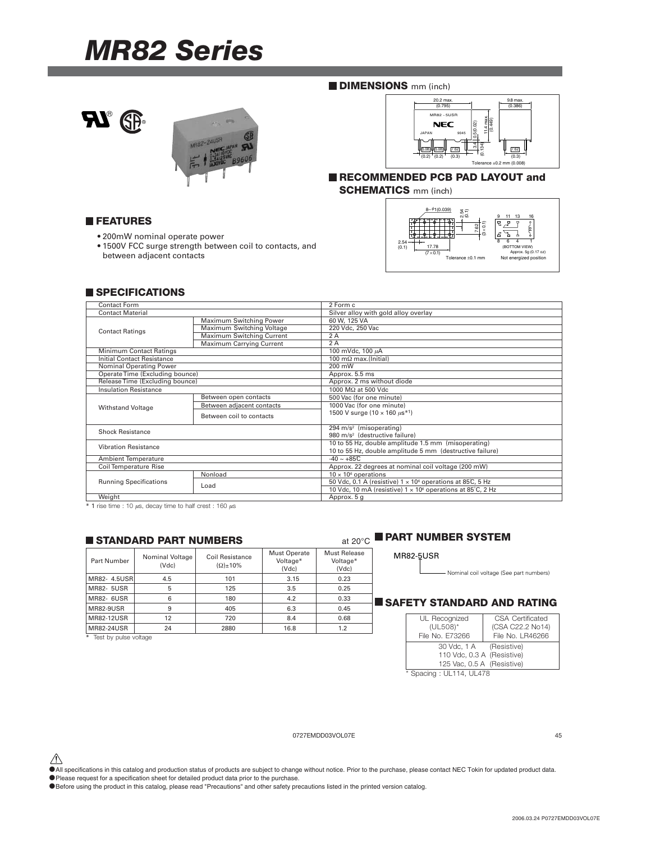## *MR82 Series*





### **DIMENSIONS** mm (inch)



**RECOMMENDED PCB PAD LAYOUT and SCHEMATICS** mm (inch)

**FEATURES**

- 200mW nominal operate power
- 1500V FCC surge strength between coil to contacts, and between adjacent contacts



### **SPECIFICATIONS**

| <b>Contact Form</b>               |                                                                                                                                                                                                                                                                                                                                                                                                                                                                                                                                                        | 2 Form c                                                               |  |
|-----------------------------------|--------------------------------------------------------------------------------------------------------------------------------------------------------------------------------------------------------------------------------------------------------------------------------------------------------------------------------------------------------------------------------------------------------------------------------------------------------------------------------------------------------------------------------------------------------|------------------------------------------------------------------------|--|
| <b>Contact Material</b>           |                                                                                                                                                                                                                                                                                                                                                                                                                                                                                                                                                        | Silver alloy with gold alloy overlay                                   |  |
|                                   | Maximum Switching Power                                                                                                                                                                                                                                                                                                                                                                                                                                                                                                                                | 60 W, 125 VA                                                           |  |
|                                   | Maximum Switching Voltage                                                                                                                                                                                                                                                                                                                                                                                                                                                                                                                              | 220 Vdc, 250 Vac                                                       |  |
|                                   |                                                                                                                                                                                                                                                                                                                                                                                                                                                                                                                                                        | 2A                                                                     |  |
|                                   | Maximum Carrying Current                                                                                                                                                                                                                                                                                                                                                                                                                                                                                                                               | 2A                                                                     |  |
| Minimum Contact Ratings           |                                                                                                                                                                                                                                                                                                                                                                                                                                                                                                                                                        | 100 mVdc, 100 µA                                                       |  |
| <b>Initial Contact Resistance</b> |                                                                                                                                                                                                                                                                                                                                                                                                                                                                                                                                                        | 100 m $\Omega$ max.(Initial)                                           |  |
| Nominal Operating Power           |                                                                                                                                                                                                                                                                                                                                                                                                                                                                                                                                                        | 200 mW                                                                 |  |
|                                   |                                                                                                                                                                                                                                                                                                                                                                                                                                                                                                                                                        | Approx. 5.5 ms                                                         |  |
|                                   |                                                                                                                                                                                                                                                                                                                                                                                                                                                                                                                                                        |                                                                        |  |
| <b>Insulation Resistance</b>      |                                                                                                                                                                                                                                                                                                                                                                                                                                                                                                                                                        | 1000 MΩ at 500 Vdc                                                     |  |
|                                   | Between open contacts                                                                                                                                                                                                                                                                                                                                                                                                                                                                                                                                  | 500 Vac (for one minute)                                               |  |
|                                   | <b>Contact Ratings</b><br>Maximum Switching Current<br>Operate Time (Excluding bounce)<br>Release Time (Excluding bounce)<br>Approx. 2 ms without diode<br>Between adjacent contacts<br>1000 Vac (for one minute)<br><b>Withstand Voltage</b><br>1500 V surge (10 $\times$ 160 $\mu$ s <sup>*1</sup> )<br>Between coil to contacts<br>294 m/s <sup>2</sup> (misoperating)<br><b>Shock Resistance</b><br>980 m/s <sup>2</sup> (destructive failure)<br><b>Vibration Resistance</b><br>$-40 \sim +85C$<br>Nonload<br>$10 \times 10^6$ operations<br>Load |                                                                        |  |
|                                   |                                                                                                                                                                                                                                                                                                                                                                                                                                                                                                                                                        |                                                                        |  |
|                                   |                                                                                                                                                                                                                                                                                                                                                                                                                                                                                                                                                        |                                                                        |  |
|                                   |                                                                                                                                                                                                                                                                                                                                                                                                                                                                                                                                                        |                                                                        |  |
|                                   |                                                                                                                                                                                                                                                                                                                                                                                                                                                                                                                                                        | 10 to 55 Hz, double amplitude 1.5 mm (misoperating)                    |  |
|                                   |                                                                                                                                                                                                                                                                                                                                                                                                                                                                                                                                                        | 10 to 55 Hz, double amplitude 5 mm (destructive failure)               |  |
| <b>Ambient Temperature</b>        |                                                                                                                                                                                                                                                                                                                                                                                                                                                                                                                                                        |                                                                        |  |
| <b>Coil Temperature Rise</b>      |                                                                                                                                                                                                                                                                                                                                                                                                                                                                                                                                                        | Approx. 22 degrees at nominal coil voltage (200 mW)                    |  |
|                                   |                                                                                                                                                                                                                                                                                                                                                                                                                                                                                                                                                        |                                                                        |  |
| <b>Running Specifications</b>     |                                                                                                                                                                                                                                                                                                                                                                                                                                                                                                                                                        | 50 Vdc, 0.1 A (resistive) $1 \times 10^6$ operations at 85°C, 5 Hz     |  |
|                                   |                                                                                                                                                                                                                                                                                                                                                                                                                                                                                                                                                        | 10 Vdc, 10 mA (resistive) 1 x 10 <sup>6</sup> operations at 85°C, 2 Hz |  |
| Weight                            |                                                                                                                                                                                                                                                                                                                                                                                                                                                                                                                                                        | Approx. 5 g                                                            |  |

 $*$  1 rise time : 10  $\mu$ s, decay time to half crest : 160  $\mu$ s

### **STANDARD PART NUMBERS**

| Part Number                              | Nominal Voltage<br>(Vdc) | Coil Resistance<br>$\Omega$ + 10% | <b>Must Operate</b><br>Voltage*<br>(Vdc) | Must Release<br>Voltage*<br>(Vdc) |
|------------------------------------------|--------------------------|-----------------------------------|------------------------------------------|-----------------------------------|
| MR82- 4.5USR                             | 4.5                      | 101                               | 3.15                                     | 0.23                              |
| <b>MR82- 5USR</b>                        | 5                        | 125                               | 3.5                                      | 0.25                              |
| <b>MR82- 6USR</b>                        | 6                        | 180                               | 4.2                                      | 0.33                              |
| <b>MR82-9USR</b>                         | 9                        | 405                               | 6.3                                      | 0.45                              |
| <b>MR82-12USR</b>                        | 12                       | 720                               | 8.4                                      | 0.68                              |
| <b>MR82-24USR</b>                        | 24                       | 2880                              | 16.8                                     | 1.2                               |
| At The state to consider a consideration |                          |                                   |                                          |                                   |

Test by pulse voltage

### at 20°C **PART NUMBER SYSTEM**

| <b>MR82-5USR</b> |
|------------------|
|------------------|

 $\overline{\phantom{a}}$ 

Nominal coil voltage (See part numbers)

### **SAFETY STANDARD AND RATING**

| UL Recognized              | CSA Certificated |
|----------------------------|------------------|
| (UL508)*                   | (CSA C22.2 No14) |
| File No. E73266            | File No. LR46266 |
| 30 Vdc, 1 A (Resistive)    |                  |
| 110 Vdc, 0.3 A (Resistive) |                  |
| 125 Vac, 0.5 A (Resistive) |                  |
| * Spacing: UL114, UL478    |                  |

### 0727EMDD03VOL07E 45

- △<br>●All specifications in this catalog and production status of products are subject to change without notice. Prior to the purchase, please contact NEC Tokin for updated product data.
- The premium state in the calling and precision sheet for detailed product data prior to the purchase.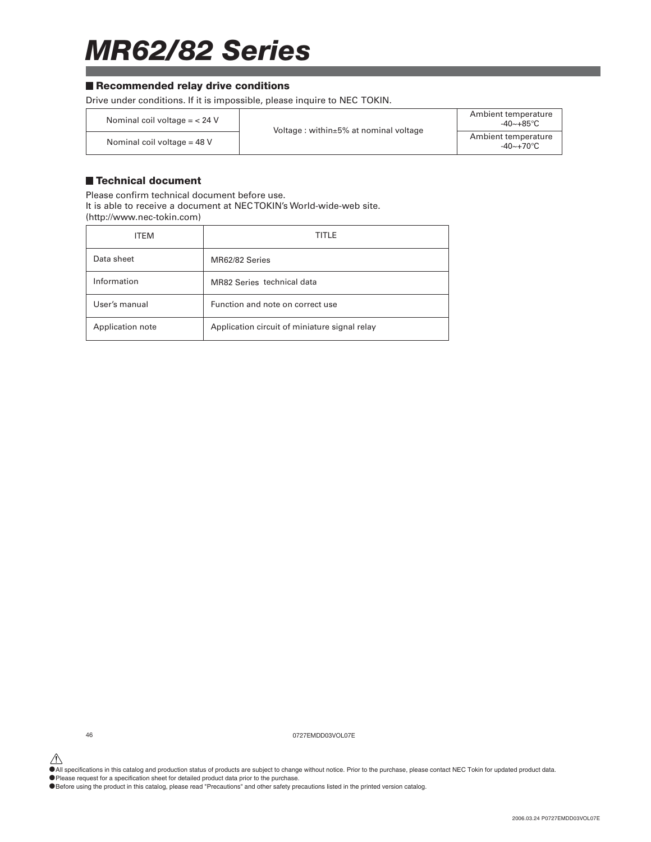# *MR62/82 Series*

### ■ Recommended relay drive conditions

Drive under conditions. If it is impossible, please inquire to NEC TOKIN.

| Nominal coil voltage $=$ < 24 V | Voltage: within $\pm$ 5% at nominal voltage | Ambient temperature<br>-40~+85°C                |
|---------------------------------|---------------------------------------------|-------------------------------------------------|
| Nominal coil voltage = $48$ V   |                                             | Ambient temperature<br>$-40 \sim +70^{\circ}$ C |

### **Technical document**

Please confirm technical document before use. It is able to receive a document at NEC TOKIN's World-wide-web site. (http://www.nec-tokin.com)

| <b>ITEM</b>      | TITLE                                         |
|------------------|-----------------------------------------------|
| Data sheet       | MR62/82 Series                                |
| Information      | MR82 Series technical data                    |
| User's manual    | Function and note on correct use              |
| Application note | Application circuit of miniature signal relay |

46 0727EMDD03VOL07E

△<br>●All specifications in this catalog and production status of products are subject to change without notice. Prior to the purchase, please contact NEC Tokin for updated product data.

•Please request for a specification sheet for detailed product data prior to the purchase.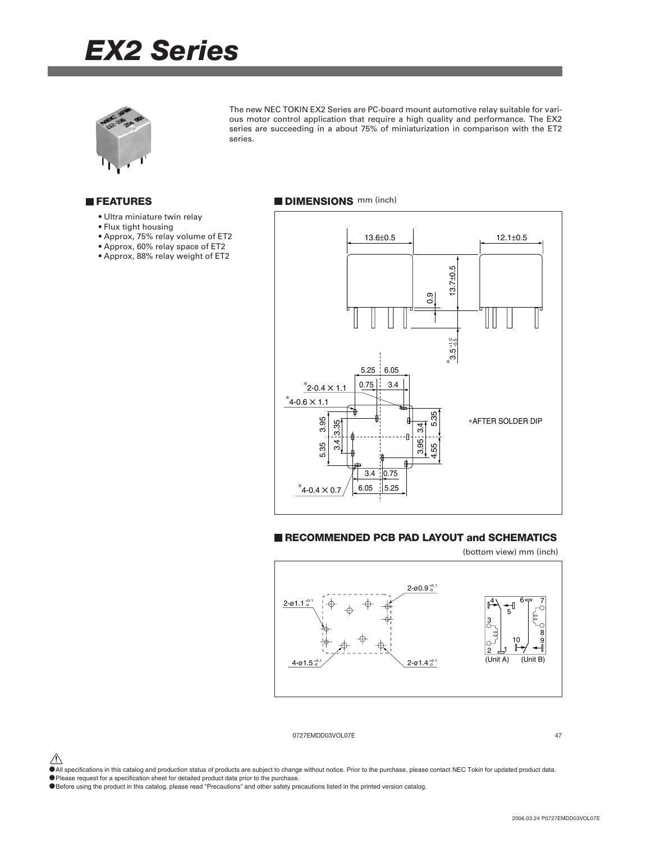# *EX2 Series*



The new NEC TOKIN EX2 Series are PC-board mount automotive relay suitable for various motor control application that require a high quality and performance. The EX2 series are succeeding in a about 75% of miniaturization in comparison with the ET2 series.

### **FEATURES**

- Ultra miniature twin relay
- Flux tight housing
- Approx, 75% relay volume of ET2
- Approx, 60% relay space of ET2
- Approx, 88% relay weight of ET2

### **DIMENSIONS** mm (inch)



### **RECOMMENDED PCB PAD LAYOUT and SCHEMATICS**

(bottom view) mm (inch)



0727EMDD03VOL07E 47

 $\hat{\triangle}$  All specifications in this catalog and production status of products are subject to change without notice. Prior to the purchase, please contact NEC Tokin for updated product data.

•Please request for a specification sheet for detailed product data prior to the purchase.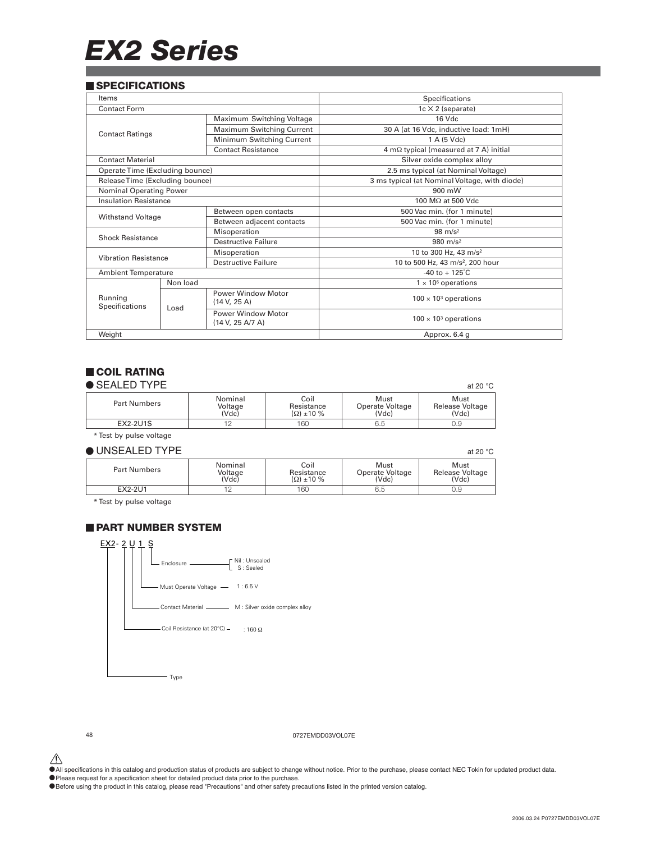# *EX2 Series*

### **SPECIFICATIONS**

| Items                           |          |                                               | Specifications                                |  |
|---------------------------------|----------|-----------------------------------------------|-----------------------------------------------|--|
| Contact Form                    |          |                                               | $1c \times 2$ (separate)                      |  |
|                                 |          | Maximum Switching Voltage                     | 16 Vdc                                        |  |
| <b>Contact Ratings</b>          |          | Maximum Switching Current                     | 30 A (at 16 Vdc, inductive load: 1mH)         |  |
|                                 |          | Minimum Switching Current                     | 1 A (5 Vdc)                                   |  |
|                                 |          | <b>Contact Resistance</b>                     | 4 mΩ typical (measured at 7 A) initial        |  |
| <b>Contact Material</b>         |          |                                               | Silver oxide complex alloy                    |  |
| Operate Time (Excluding bounce) |          |                                               | 2.5 ms typical (at Nominal Voltage)           |  |
| Release Time (Excluding bounce) |          |                                               | 3 ms typical (at Nominal Voltage, with diode) |  |
| Nominal Operating Power         |          |                                               | 900 mW                                        |  |
| <b>Insulation Resistance</b>    |          |                                               | 100 MΩ at 500 Vdc                             |  |
|                                 |          | Between open contacts                         | 500 Vac min. (for 1 minute)                   |  |
| <b>Withstand Voltage</b>        |          | Between adjacent contacts                     | 500 Vac min. (for 1 minute)                   |  |
|                                 |          | Misoperation                                  | $98 \text{ m/s}^2$                            |  |
| <b>Shock Resistance</b>         |          | Destructive Failure                           | 980 $m/s^2$                                   |  |
|                                 |          | Misoperation                                  | 10 to 300 Hz, 43 m/s <sup>2</sup>             |  |
| <b>Vibration Resistance</b>     |          | Destructive Failure                           | 10 to 500 Hz, 43 m/s <sup>2</sup> , 200 hour  |  |
| <b>Ambient Temperature</b>      |          |                                               | $-40$ to $+125^{\circ}$ C                     |  |
|                                 | Non load |                                               | $1 \times 10^6$ operations                    |  |
| Running<br>Specifications       | Load     | <b>Power Window Motor</b><br>(14 V, 25 A)     | $100 \times 10^3$ operations                  |  |
|                                 |          | <b>Power Window Motor</b><br>(14 V, 25 A/7 A) | $100 \times 10^3$ operations                  |  |
| Weight                          |          |                                               | Approx. 6.4 g                                 |  |

### **COIL RATING**

| $\bullet$ SEALED TYPE |  |  |  |  |
|-----------------------|--|--|--|--|
|-----------------------|--|--|--|--|

| $\bullet$ SEALED TYPE |                             |                                      |                                  | at 20 $\degree$ C                |
|-----------------------|-----------------------------|--------------------------------------|----------------------------------|----------------------------------|
| <b>Part Numbers</b>   | Nominal<br>Voltage<br>(Vdc) | Coil<br>Resistance<br>$\Omega$ ±10 % | Must<br>Operate Voltage<br>(Vdc) | Must<br>Release Voltage<br>(Vdc) |
| EX2-2U1S              |                             | 160                                  | 6.5                              | 0.9                              |

\* Test by pulse voltage

### $\bullet$  UNSEALED TYPE at 20 °C

| Part Numbers | Nominal<br>Voltage<br>(Vdc) | Coil<br>Resistance<br>$(\Omega)$ ±10 % | Must<br>Operate Voltage<br>(Vdc) | Must<br>Release Voltage<br>(Vdc) |
|--------------|-----------------------------|----------------------------------------|----------------------------------|----------------------------------|
| EX2-2U1      | <b>__</b>                   | 160                                    | 6.5                              | J.Y                              |

\* Test by pulse voltage

### **PART NUMBER SYSTEM**



48 0727EMDD03VOL07E

 $\hat{\P}$  All specifications in this catalog and production status of products are subject to change without notice. Prior to the purchase, please contact NEC Tokin for updated product data.

• Please request for a specification sheet for detailed product data prior to the purchase.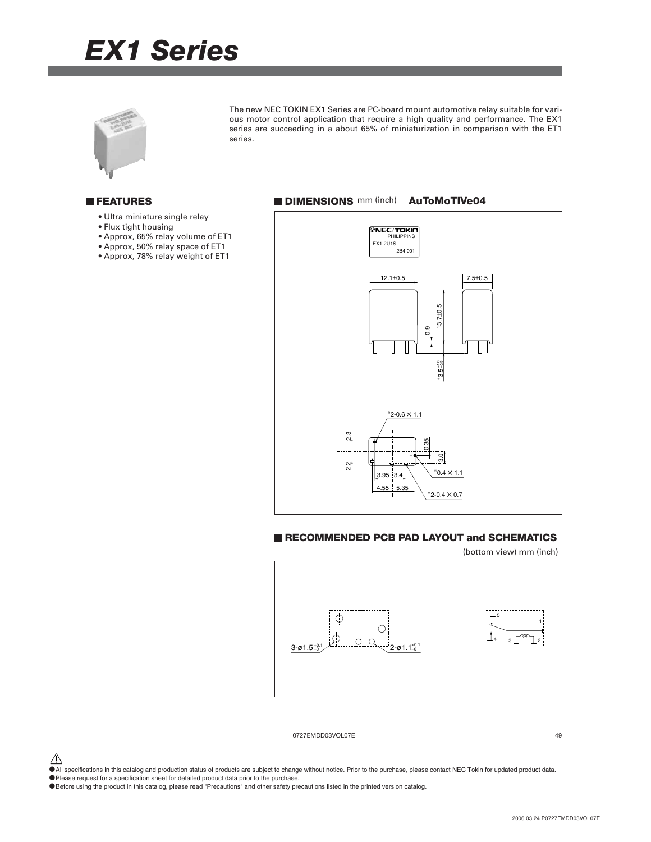# *EX1 Series*



The new NEC TOKIN EX1 Series are PC-board mount automotive relay suitable for various motor control application that require a high quality and performance. The EX1 series are succeeding in a about 65% of miniaturization in comparison with the ET1 series.

### **FEATURES**

- Ultra miniature single relay
- Flux tight housing
- Approx, 65% relay volume of ET1
- Approx, 50% relay space of ET1
- Approx, 78% relay weight of ET1



### **RECOMMENDED PCB PAD LAYOUT and SCHEMATICS**





0727EMDD03VOL07E 49

- $\hat{\triangle}$  All specifications in this catalog and production status of products are subject to change without notice. Prior to the purchase, please contact NEC Tokin for updated product data.
- •Please request for a specification sheet for detailed product data prior to the purchase.
- •Before using the product in this catalog, please read "Precautions" and other safety precautions listed in the printed version catalog.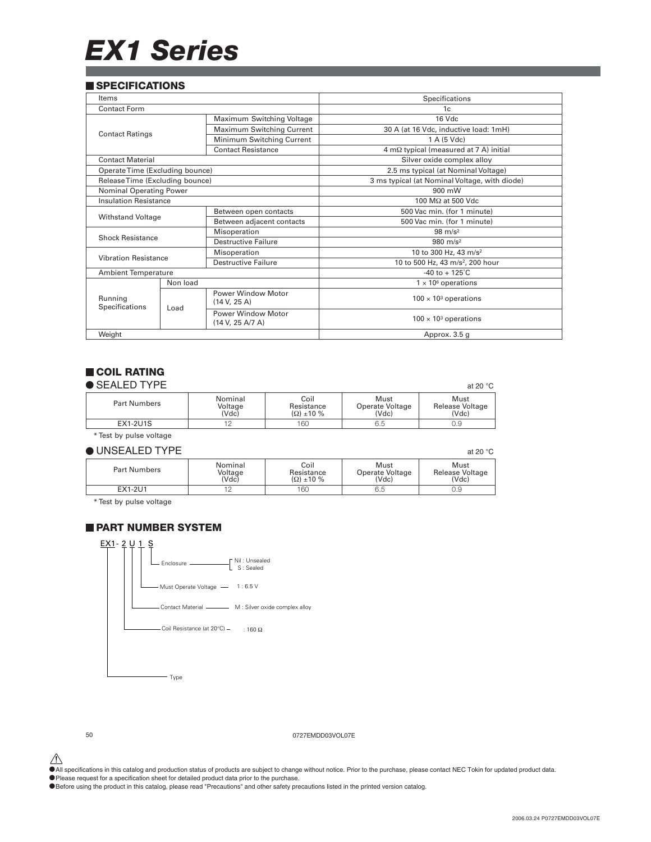# *EX1 Series*

### **SPECIFICATIONS**

| Items                           |          |                                               | Specifications                                        |  |
|---------------------------------|----------|-----------------------------------------------|-------------------------------------------------------|--|
| <b>Contact Form</b>             |          |                                               | 1c                                                    |  |
|                                 |          | Maximum Switching Voltage                     | 16 Vdc                                                |  |
|                                 |          | Maximum Switching Current                     | 30 A (at 16 Vdc, inductive load: 1mH)                 |  |
| <b>Contact Ratings</b>          |          | Minimum Switching Current                     | 1 A (5 Vdc)                                           |  |
|                                 |          | <b>Contact Resistance</b>                     | $4 \text{ m}\Omega$ typical (measured at 7 A) initial |  |
| <b>Contact Material</b>         |          |                                               | Silver oxide complex alloy                            |  |
| Operate Time (Excluding bounce) |          |                                               | 2.5 ms typical (at Nominal Voltage)                   |  |
| Release Time (Excluding bounce) |          |                                               | 3 ms typical (at Nominal Voltage, with diode)         |  |
| <b>Nominal Operating Power</b>  |          |                                               | 900 mW                                                |  |
| <b>Insulation Resistance</b>    |          |                                               | 100 MΩ at 500 Vdc                                     |  |
|                                 |          | Between open contacts                         | 500 Vac min. (for 1 minute)                           |  |
| <b>Withstand Voltage</b>        |          | Between adjacent contacts                     | 500 Vac min. (for 1 minute)                           |  |
| <b>Shock Resistance</b>         |          | Misoperation                                  | $98 \text{ m/s}^2$                                    |  |
|                                 |          | Destructive Failure                           | 980 $m/s^2$                                           |  |
|                                 |          | Misoperation                                  | 10 to 300 Hz, 43 m/s <sup>2</sup>                     |  |
| <b>Vibration Resistance</b>     |          | <b>Destructive Failure</b>                    | 10 to 500 Hz, 43 m/s <sup>2</sup> , 200 hour          |  |
| <b>Ambient Temperature</b>      |          |                                               | $-40$ to $+125^{\circ}$ C                             |  |
|                                 | Non load |                                               | $1 \times 10^6$ operations                            |  |
| Running<br>Specifications       | Load     | <b>Power Window Motor</b><br>(14 V, 25 A)     | $100 \times 10^3$ operations                          |  |
|                                 |          | <b>Power Window Motor</b><br>(14 V, 25 A/7 A) | $100 \times 10^3$ operations                          |  |
| Weight                          |          |                                               | Approx. 3.5 g                                         |  |

### **COIL RATING**

|  | $\bullet$ SEALED TYPE |  |  |  |  |  |
|--|-----------------------|--|--|--|--|--|
|--|-----------------------|--|--|--|--|--|

| $\bullet$ SEALED TYPE |                             |                                      |                                  | at 20 $\degree$ C                |
|-----------------------|-----------------------------|--------------------------------------|----------------------------------|----------------------------------|
| <b>Part Numbers</b>   | Nominal<br>Voltage<br>(Vdc) | Coil<br>Resistance<br>$\Omega$ ±10 % | Must<br>Operate Voltage<br>(Vdc) | Must<br>Release Voltage<br>(Vdc) |
| <b>EX1-2U1S</b>       |                             | 160                                  | 6.5                              | 0.9                              |

\* Test by pulse voltage

### $\bullet$  UNSEALED TYPE at 20 °C

| Part Numbers | Nominal<br>Voltage<br>(Vdc) | Coil<br>Resistance<br>$\Omega$ ±10 % | Must<br>Operate Voltage<br>(Vdc) | Must<br>Release Voltage<br>Vdc |
|--------------|-----------------------------|--------------------------------------|----------------------------------|--------------------------------|
| EX1-2U1      | <b>__</b>                   | 160                                  | 6.5                              | J.Y                            |

\* Test by pulse voltage

### **PART NUMBER SYSTEM**



50 0727EMDD03VOL07E

 $\hat{\P}$  All specifications in this catalog and production status of products are subject to change without notice. Prior to the purchase, please contact NEC Tokin for updated product data.

• Please request for a specification sheet for detailed product data prior to the purchase.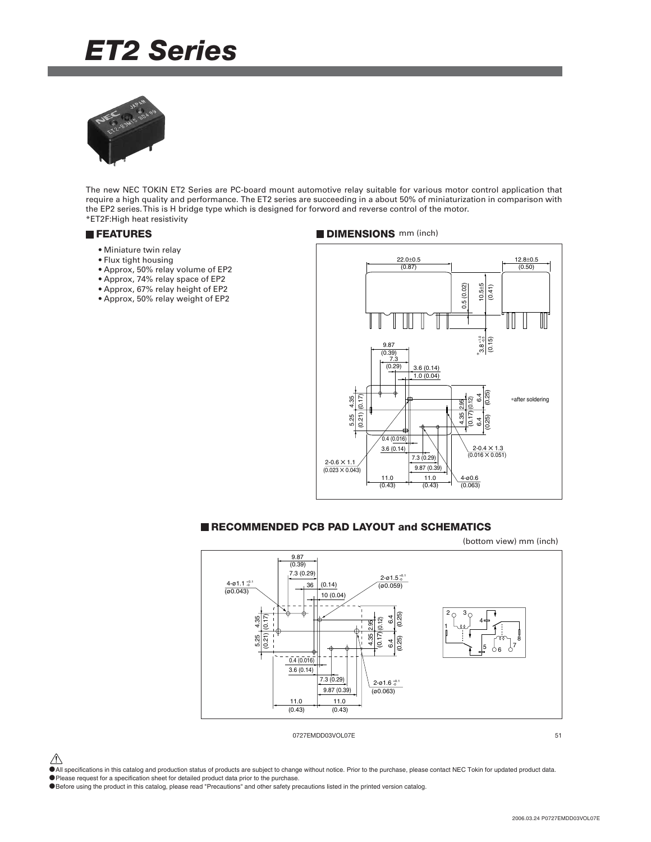## *ET2 Series*



The new NEC TOKIN ET2 Series are PC-board mount automotive relay suitable for various motor control application that require a high quality and performance. The ET2 series are succeeding in a about 50% of miniaturization in comparison with the EP2 series. This is H bridge type which is designed for forword and reverse control of the motor. \*ET2F:High heat resistivity

- Miniature twin relay
- Flux tight housing
- Approx, 50% relay volume of EP2
- Approx, 74% relay space of EP2
- Approx, 67% relay height of EP2
- Approx, 50% relay weight of EP2

### **FEATURES DIMENSIONS** mm (inch)



### **RECOMMENDED PCB PAD LAYOUT and SCHEMATICS**



 $\hat{\triangle}$  All specifications in this catalog and production status of products are subject to change without notice. Prior to the purchase, please contact NEC Tokin for updated product data.

- •Please request for a specification sheet for detailed product data prior to the purchase.
- •Before using the product in this catalog, please read "Precautions" and other safety precautions listed in the printed version catalog.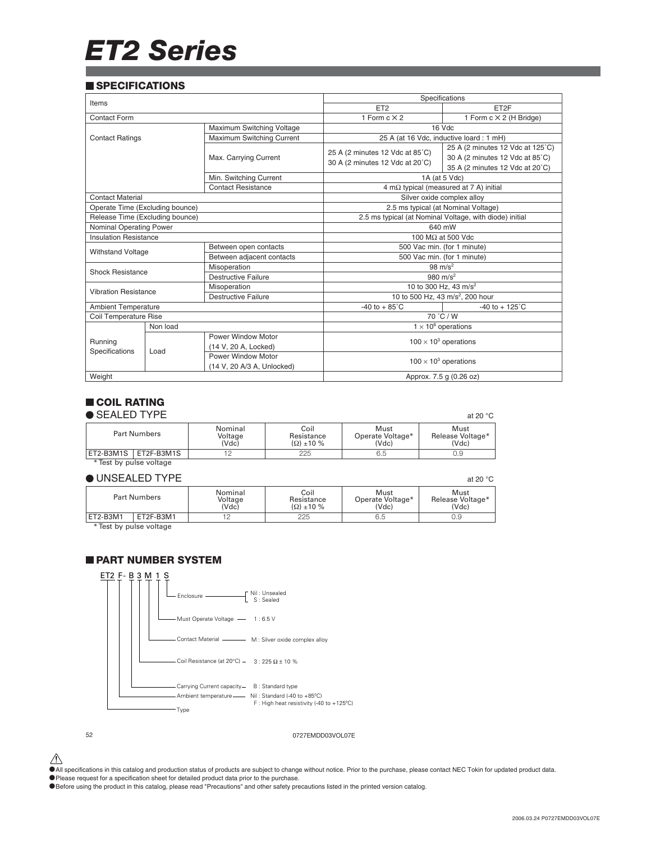# *ET2 Series*

### **SPECIFICATIONS**

| Items                           |                                 | Specifications             |                                   |                                                         |  |
|---------------------------------|---------------------------------|----------------------------|-----------------------------------|---------------------------------------------------------|--|
|                                 |                                 |                            | ET <sub>2</sub>                   | ET2F                                                    |  |
| Contact Form                    |                                 |                            | 1 Form $c \times 2$               | 1 Form $c \times 2$ (H Bridge)                          |  |
|                                 |                                 | Maximum Switching Voltage  |                                   | 16 Vdc                                                  |  |
| <b>Contact Ratings</b>          |                                 | Maximum Switching Current  |                                   | 25 A (at 16 Vdc, inductive loard : 1 mH)                |  |
|                                 |                                 |                            | 25 A (2 minutes 12 Vdc at 85°C)   | 25 A (2 minutes 12 Vdc at 125°C)                        |  |
|                                 |                                 | Max. Carrying Current      | 30 A (2 minutes 12 Vdc at 20°C)   | 30 A (2 minutes 12 Vdc at 85°C)                         |  |
|                                 |                                 |                            |                                   | 35 A (2 minutes 12 Vdc at 20°C)                         |  |
|                                 |                                 | Min. Switching Current     |                                   | 1A (at 5 Vdc)                                           |  |
|                                 |                                 | <b>Contact Resistance</b>  |                                   | $4 \text{ m}\Omega$ typical (measured at 7 A) initial   |  |
| <b>Contact Material</b>         |                                 |                            |                                   | Silver oxide complex alloy                              |  |
| Operate Time (Excluding bounce) |                                 |                            |                                   | 2.5 ms typical (at Nominal Voltage)                     |  |
|                                 | Release Time (Excluding bounce) |                            |                                   | 2.5 ms typical (at Nominal Voltage, with diode) initial |  |
| Nominal Operating Power         |                                 |                            | 640 mW                            |                                                         |  |
| <b>Insulation Resistance</b>    |                                 |                            | 100 $M\Omega$ at 500 Vdc          |                                                         |  |
| <b>Withstand Voltage</b>        |                                 | Between open contacts      | 500 Vac min. (for 1 minute)       |                                                         |  |
|                                 |                                 | Between adjacent contacts  | 500 Vac min. (for 1 minute)       |                                                         |  |
| <b>Shock Resistance</b>         |                                 | Misoperation               | $98 \text{ m/s}^2$                |                                                         |  |
|                                 |                                 | Destructive Failure        | 980 $m/s^2$                       |                                                         |  |
| <b>Vibration Resistance</b>     |                                 | Misoperation               | 10 to 300 Hz, 43 m/s <sup>2</sup> |                                                         |  |
|                                 |                                 | <b>Destructive Failure</b> |                                   | 10 to 500 Hz, 43 m/s <sup>2</sup> , 200 hour            |  |
| <b>Ambient Temperature</b>      |                                 |                            | $-40$ to $+85^{\circ}$ C          | $-40$ to $+125^{\circ}$ C                               |  |
| Coil Temperature Rise           |                                 |                            |                                   | 70 °C / W                                               |  |
|                                 | Non load                        |                            |                                   | $1 \times 10^6$ operations                              |  |
| Running                         |                                 | <b>Power Window Motor</b>  |                                   |                                                         |  |
|                                 |                                 | (14 V, 20 A, Locked)       |                                   | $100 \times 10^3$ operations                            |  |
| Specifications                  | Load                            | Power Window Motor         |                                   |                                                         |  |
|                                 |                                 | (14 V, 20 A/3 A, Unlocked) |                                   | $100 \times 10^3$ operations                            |  |
| Weight                          |                                 |                            |                                   | Approx. 7.5 g (0.26 oz)                                 |  |

### **COIL RATING**

### $\bullet$  SEALED TYPE at 20 °C.

| ♥ ∪∟⌒∟∟レ lll ㄴ          |                             |                                      |                                   | at zu U                           |
|-------------------------|-----------------------------|--------------------------------------|-----------------------------------|-----------------------------------|
| <b>Part Numbers</b>     | Nominal<br>Voltage<br>(Vdc) | Coil<br>Resistance<br>$\Omega$ ±10 % | Must<br>Operate Voltage*<br>(Vdc) | Must<br>Release Voltage*<br>(Vdc) |
| ET2-B3M1S<br>ET2F-B3M1S |                             | 225                                  | 6.5                               | 0.9                               |

### $\bullet$  UNSEALED TYPE at 20 °C. \* Test by pulse voltage

|                   |                     |                             |                                      |                                   | at zu v                           |
|-------------------|---------------------|-----------------------------|--------------------------------------|-----------------------------------|-----------------------------------|
|                   | <b>Part Numbers</b> | Nominal<br>Voltage<br>(Vdc) | Coil<br>Resistance<br>$\Omega$ ±10 % | Must<br>Operate Voltage*<br>(Vdc) | Must<br>Release Voltage*<br>(Vdc) |
| ET2-B3M1          | ET2F-B3M1           |                             | 225                                  | 6.5                               | 0.9                               |
| $\cdots$ $\cdots$ |                     |                             |                                      |                                   |                                   |

\* Test by pulse voltage

### **PART NUMBER SYSTEM**



52 0727EMDD03VOL07E

 $\hat{\P}$  All specifications in this catalog and production status of products are subject to change without notice. Prior to the purchase, please contact NEC Tokin for updated product data.

• Please request for a specification sheet for detailed product data prior to the purchase.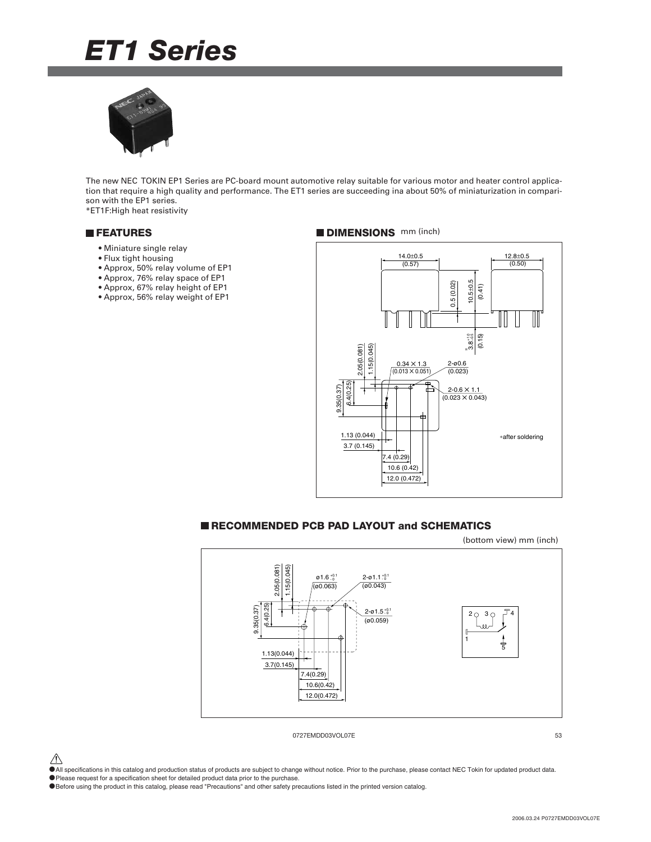# *ET1 Series*



The new NEC TOKIN EP1 Series are PC-board mount automotive relay suitable for various motor and heater control application that require a high quality and performance. The ET1 series are succeeding ina about 50% of miniaturization in comparison with the EP1 series.

\*ET1F:High heat resistivity

- Miniature single relay
- Flux tight housing
- Approx, 50% relay volume of EP1
- Approx, 76% relay space of EP1
- Approx, 67% relay height of EP1
- Approx, 56% relay weight of EP1

### **FEATURES DIMENSIONS** mm (inch)



### **RECOMMENDED PCB PAD LAYOUT and SCHEMATICS**

(bottom view) mm (inch)



0727EMDD03VOL07E 53

 $\hat{\triangle}$  All specifications in this catalog and production status of products are subject to change without notice. Prior to the purchase, please contact NEC Tokin for updated product data.

•Please request for a specification sheet for detailed product data prior to the purchase.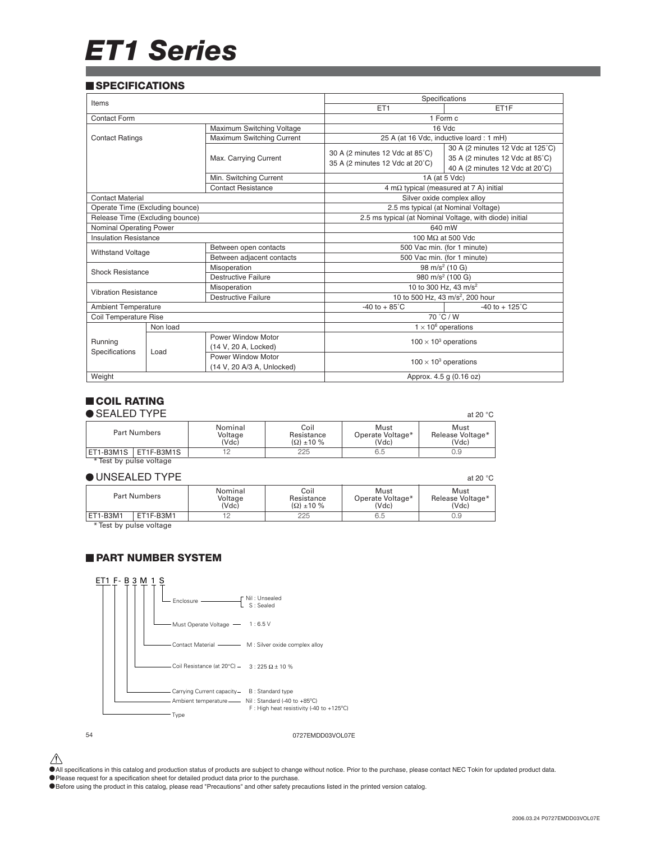# *ET1 Series*

### **SPECIFICATIONS**

| Items                           |                                 | Specifications             |                                 |                                                         |  |
|---------------------------------|---------------------------------|----------------------------|---------------------------------|---------------------------------------------------------|--|
|                                 |                                 |                            | ET <sub>1</sub>                 | ET1F                                                    |  |
| Contact Form                    |                                 |                            |                                 | 1 Form c                                                |  |
| Maximum Switching Voltage       |                                 |                            | 16 Vdc                          |                                                         |  |
| <b>Contact Ratings</b>          |                                 | Maximum Switching Current  |                                 | 25 A (at 16 Vdc, inductive loard : 1 mH)                |  |
|                                 |                                 |                            | 30 A (2 minutes 12 Vdc at 85°C) | 30 A (2 minutes 12 Vdc at 125°C)                        |  |
|                                 |                                 | Max. Carrying Current      | 35 A (2 minutes 12 Vdc at 20°C) | 35 A (2 minutes 12 Vdc at 85°C)                         |  |
|                                 |                                 |                            |                                 | 40 A (2 minutes 12 Vdc at 20°C)                         |  |
|                                 |                                 | Min. Switching Current     |                                 | 1A (at 5 Vdc)                                           |  |
|                                 |                                 | <b>Contact Resistance</b>  |                                 | 4 m $\Omega$ typical (measured at 7 A) initial          |  |
| <b>Contact Material</b>         |                                 |                            |                                 | Silver oxide complex alloy                              |  |
| Operate Time (Excluding bounce) |                                 |                            |                                 | 2.5 ms typical (at Nominal Voltage)                     |  |
|                                 | Release Time (Excluding bounce) |                            |                                 | 2.5 ms typical (at Nominal Voltage, with diode) initial |  |
| Nominal Operating Power         |                                 |                            | 640 mW                          |                                                         |  |
| <b>Insulation Resistance</b>    |                                 |                            | 100 M $\Omega$ at 500 Vdc       |                                                         |  |
| <b>Withstand Voltage</b>        |                                 | Between open contacts      | 500 Vac min. (for 1 minute)     |                                                         |  |
|                                 |                                 | Between adjacent contacts  | 500 Vac min. (for 1 minute)     |                                                         |  |
| Shock Resistance                |                                 | Misoperation               |                                 | 98 m/s <sup>2</sup> (10 G)                              |  |
|                                 |                                 | <b>Destructive Failure</b> |                                 | 980 m/s <sup>2</sup> (100 G)                            |  |
| <b>Vibration Resistance</b>     |                                 | Misoperation               |                                 | 10 to 300 Hz, 43 m/s <sup>2</sup>                       |  |
|                                 |                                 | <b>Destructive Failure</b> |                                 | 10 to 500 Hz, 43 m/s <sup>2</sup> , 200 hour            |  |
| <b>Ambient Temperature</b>      |                                 |                            | $-40$ to $+85^{\circ}$ C        | $-40$ to $+125^{\circ}$ C                               |  |
| Coil Temperature Rise           |                                 |                            | 70 °C / W                       |                                                         |  |
|                                 | Non load                        |                            |                                 | $1 \times 10^6$ operations                              |  |
| Running                         |                                 | Power Window Motor         |                                 | $100 \times 10^3$ operations                            |  |
| Specifications                  | Load                            | (14 V, 20 A, Locked)       |                                 |                                                         |  |
|                                 |                                 | Power Window Motor         |                                 | $100 \times 10^3$ operations                            |  |
|                                 |                                 | (14 V, 20 A/3 A, Unlocked) |                                 |                                                         |  |
| Weight                          |                                 |                            | Approx. 4.5 g (0.16 oz)         |                                                         |  |

### **COIL RATING**

| $\bullet$ SEALED TYPE   |                             |                                      |                                   | at 20 $°C$                        |  |
|-------------------------|-----------------------------|--------------------------------------|-----------------------------------|-----------------------------------|--|
| <b>Part Numbers</b>     | Nominal<br>Voltage<br>(Vdc) | Coil<br>Resistance<br>$\Omega$ ±10 % | Must<br>Operate Voltage*<br>(Vdc) | Must<br>Release Voltage*<br>(Vdc) |  |
| ET1-B3M1S   ET1F-B3M1S  |                             | 225                                  | 6.5                               | J.9                               |  |
| * Test by pulse voltage |                             |                                      |                                   |                                   |  |

### $\bullet$  UNSEALED TYPE at 20 °C

|          |                     |                           |                                      |                                   | at zu v                           |
|----------|---------------------|---------------------------|--------------------------------------|-----------------------------------|-----------------------------------|
|          | <b>Part Numbers</b> | Nominal<br>Voltage<br>Vdc | Coil<br>Resistance<br>$\Omega$ ±10 % | Must<br>Operate Voltage*<br>(Vdc) | Must<br>Release Voltage*<br>(Vdc) |
| ET1-B3M1 | ET1F-B3M1           |                           | 225                                  | 6.5                               | 0.9                               |

\* Test by pulse voltage

### **PART NUMBER SYSTEM**



 $\hat{\P}$  All specifications in this catalog and production status of products are subject to change without notice. Prior to the purchase, please contact NEC Tokin for updated product data.

• Please request for a specification sheet for detailed product data prior to the purchase.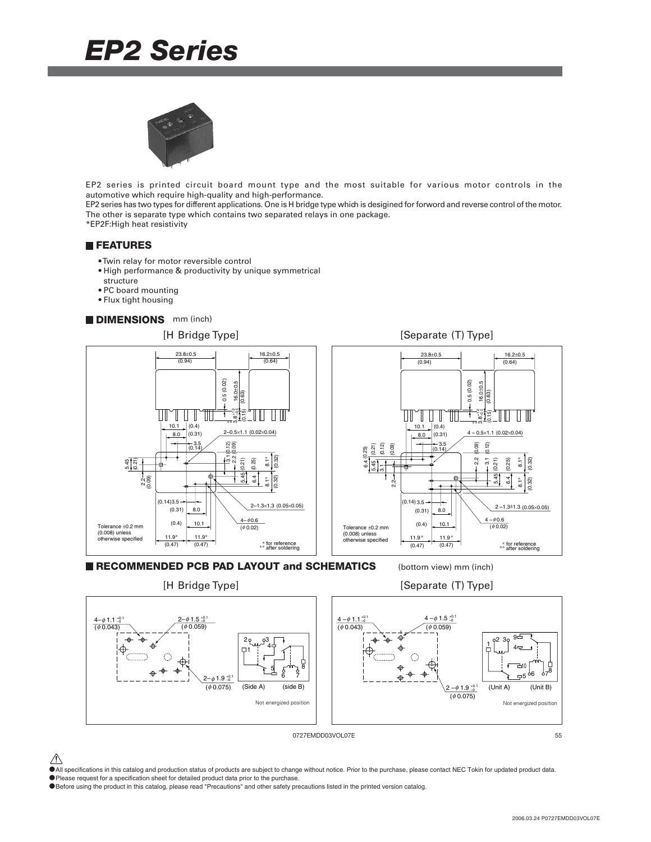## *EP2 Series*



EP2 series is printed circuit board mount type and the most suitable for various motor controls in the automotive which require high-quality and high-performance.

EP2 series has two types for different applications. One is H bridge type which is desigined for forword and reverse control of the motor. The other is separate type which contains two separated relays in one package. \*EP2F:High heat resistivity

**FEATURES**

- Twin relay for motor reversible control
- High performance & productivity by unique symmetrical
- structure
- PC board mounting
- Flux tight housing

### **DIMENSIONS** mm (inch)



**RECOMMENDED PCB PAD LAYOUT and SCHEMATICS** (bottom view) mm (inch)

[H Bridge Type] [Separate (T) Type]



0727EMDD03VOL07E 55

- $\hat{\triangle}$  All specifications in this catalog and production status of products are subject to change without notice. Prior to the purchase, please contact NEC Tokin for updated product data.
- •Please request for a specification sheet for detailed product data prior to the purchase.
- •Before using the product in this catalog, please read "Precautions" and other safety precautions listed in the printed version catalog.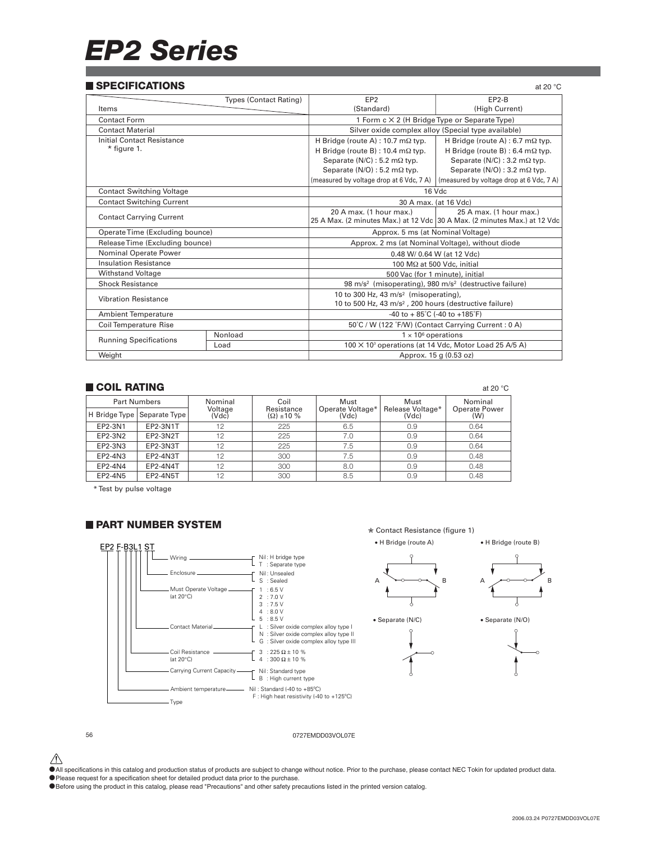# *EP2 Series*

### **SPECIFICATIONS SPECIFICATIONS**

| at zu v                       |                                                                                |                                                                     |  |  |
|-------------------------------|--------------------------------------------------------------------------------|---------------------------------------------------------------------|--|--|
| <b>Types (Contact Rating)</b> | EP <sub>2</sub>                                                                | EP2-B                                                               |  |  |
|                               | (Standard)                                                                     | (High Current)                                                      |  |  |
|                               | 1 Form c × 2 (H Bridge Type or Separate Type)                                  |                                                                     |  |  |
|                               |                                                                                | Silver oxide complex alloy (Special type available)                 |  |  |
|                               | H Bridge (route A) : 10.7 m $\Omega$ typ.                                      | H Bridge (route A) : 6.7 m $\Omega$ typ.                            |  |  |
|                               | H Bridge (route B) : $10.4 \text{ m}\Omega$ typ.                               | H Bridge (route B) : 6.4 m $\Omega$ typ.                            |  |  |
|                               | Separate ( $N/C$ ) : 5.2 m $\Omega$ typ.                                       | Separate ( $N/C$ ) : 3.2 m $\Omega$ typ.                            |  |  |
|                               | Separate ( $N/O$ ) : 5.2 m $\Omega$ typ.                                       | Separate (N/O) : 3.2 m $\Omega$ typ.                                |  |  |
|                               | (measured by voltage drop at 6 Vdc, 7 A)                                       | (measured by voltage drop at 6 Vdc, 7 A)                            |  |  |
|                               | 16 Vdc                                                                         |                                                                     |  |  |
|                               | 30 A max. (at 16 Vdc)                                                          |                                                                     |  |  |
|                               | 20 A max. (1 hour max.)                                                        | 25 A max. (1 hour max.)                                             |  |  |
|                               | 25 A Max. (2 minutes Max.) at 12 Vdc 30 A Max. (2 minutes Max.) at 12 Vdc      |                                                                     |  |  |
|                               | Approx. 5 ms (at Nominal Voltage)                                              |                                                                     |  |  |
|                               | Approx. 2 ms (at Nominal Voltage), without diode                               |                                                                     |  |  |
|                               | 0.48 W/ 0.64 W (at 12 Vdc)                                                     |                                                                     |  |  |
|                               |                                                                                | 100 MΩ at 500 Vdc, initial                                          |  |  |
|                               | 500 Vac (for 1 minute), initial                                                |                                                                     |  |  |
|                               | 98 m/s <sup>2</sup> (misoperating), 980 m/s <sup>2</sup> (destructive failure) |                                                                     |  |  |
|                               | 10 to 300 Hz, 43 m/s <sup>2</sup> (misoperating),                              |                                                                     |  |  |
| <b>Vibration Resistance</b>   |                                                                                | 10 to 500 Hz, 43 m/s <sup>2</sup> , 200 hours (destructive failure) |  |  |
| <b>Ambient Temperature</b>    |                                                                                |                                                                     |  |  |
|                               | 50°C / W (122 °F/W) (Contact Carrying Current: 0 A)                            |                                                                     |  |  |
| Nonload                       | $1 \times 10^6$ operations                                                     |                                                                     |  |  |
|                               |                                                                                | 100 X 10 <sup>3</sup> operations (at 14 Vdc, Motor Load 25 A/5 A)   |  |  |
|                               |                                                                                | Approx. 15 g (0.53 oz)                                              |  |  |
|                               |                                                                                | -40 to + $85^{\circ}$ C (-40 to +185 $^{\circ}$ F)                  |  |  |

### **COIL RATING**  $\qquad \qquad \text{a} \, 20^{\circ} \text{C}$

| <b>Part Numbers</b> |                 | Nominal          | Coil                               | Must                      | Must                      | Nominal                     |  |
|---------------------|-----------------|------------------|------------------------------------|---------------------------|---------------------------|-----------------------------|--|
| H Bridge Type       | Separate Type   | Voltage<br>(Vdc) | Resistance<br>$(\Omega) \pm 10 \%$ | Operate Voltage*<br>(Vdc) | Release Voltage*<br>(Vdc) | <b>Operate Power</b><br>(W) |  |
| EP2-3N1             | EP2-3N1T        | 12               | 225                                | 6.5                       | 0.9                       | 0.64                        |  |
| EP2-3N2             | EP2-3N2T        | 12               | 225                                | 7.0                       | 0.9                       | 0.64                        |  |
| EP2-3N3             | EP2-3N3T        | 12               | 225                                | 7.5                       | 0.9                       | 0.64                        |  |
| EP2-4N3             | EP2-4N3T        | 12               | 300                                | 7.5                       | 0.9                       | 0.48                        |  |
| EP2-4N4             | EP2-4N4T        | 12               | 300                                | 8.0                       | 0.9                       | 0.48                        |  |
| EP2-4N5             | <b>EP2-4N5T</b> | 12               | 300                                | 8.5                       | 0.9                       | 0.48                        |  |

\* Test by pulse voltage

### **PART NUMBER SYSTEM**



✮ Contact Resistance (figure 1)

• H Bridge (route A) • H Bridge (route B)



• Separate (N/C) • Separate (N/O)







### 56 0727EMDD03VOL07E

 $\hat{\P}$  All specifications in this catalog and production status of products are subject to change without notice. Prior to the purchase, please contact NEC Tokin for updated product data.

• The premium share in the calling and product called product data prior to the purchase.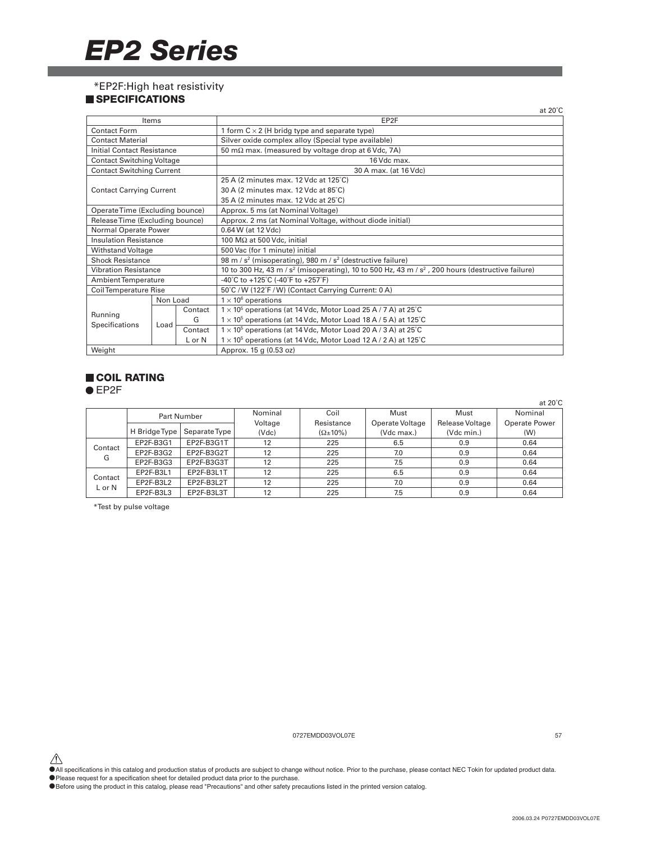## *EP2 Series*

\*EP2F:High heat resistivity

### **SPECIFICATIONS**

|                                   |          |         | at $20^{\circ}$ C                                                                                                         |  |  |  |
|-----------------------------------|----------|---------|---------------------------------------------------------------------------------------------------------------------------|--|--|--|
|                                   | Items    |         | EP2F                                                                                                                      |  |  |  |
| <b>Contact Form</b>               |          |         | 1 form $C \times 2$ (H bridg type and separate type)                                                                      |  |  |  |
| <b>Contact Material</b>           |          |         | Silver oxide complex alloy (Special type available)                                                                       |  |  |  |
| <b>Initial Contact Resistance</b> |          |         | 50 m $\Omega$ max. (measured by voltage drop at 6 Vdc, 7A)                                                                |  |  |  |
| <b>Contact Switching Voltage</b>  |          |         | 16 Vdc max.                                                                                                               |  |  |  |
| <b>Contact Switching Current</b>  |          |         | 30 A max. (at 16 Vdc)                                                                                                     |  |  |  |
|                                   |          |         | 25 A (2 minutes max, 12 Vdc at 125°C)                                                                                     |  |  |  |
| <b>Contact Carrying Current</b>   |          |         | 30 A (2 minutes max. 12 Vdc at 85°C)                                                                                      |  |  |  |
|                                   |          |         | 35 A (2 minutes max. 12 Vdc at 25°C)                                                                                      |  |  |  |
| Operate Time (Excluding bounce)   |          |         | Approx. 5 ms (at Nominal Voltage)                                                                                         |  |  |  |
| Release Time (Excluding bounce)   |          |         | Approx. 2 ms (at Nominal Voltage, without diode initial)                                                                  |  |  |  |
| Normal Operate Power              |          |         | 0.64 W (at 12 Vdc)                                                                                                        |  |  |  |
| <b>Insulation Resistance</b>      |          |         | 100 $M\Omega$ at 500 Vdc, initial                                                                                         |  |  |  |
| Withstand Voltage                 |          |         | 500 Vac (for 1 minute) initial                                                                                            |  |  |  |
| <b>Shock Resistance</b>           |          |         | 98 m / $s^2$ (misoperating), 980 m / $s^2$ (destructive failure)                                                          |  |  |  |
| <b>Vibration Resistance</b>       |          |         | 10 to 300 Hz, 43 m / s <sup>2</sup> (misoperating), 10 to 500 Hz, 43 m / s <sup>2</sup> , 200 hours (destructive failure) |  |  |  |
| Ambient Temperature               |          |         | -40°C to +125°C (-40°F to +257°F)                                                                                         |  |  |  |
| <b>Coil Temperature Rise</b>      |          |         | 50°C / W (122°F / W) (Contact Carrying Current: 0 A)                                                                      |  |  |  |
|                                   | Non Load |         | $1 \times 10^6$ operations                                                                                                |  |  |  |
|                                   |          | Contact | $1 \times 10^5$ operations (at 14 Vdc, Motor Load 25 A / 7 A) at 25°C                                                     |  |  |  |
| Running                           |          | G       | $1 \times 10^5$ operations (at 14 Vdc, Motor Load 18 A / 5 A) at 125°C                                                    |  |  |  |
| Specifications                    | Load     | Contact | $1 \times 10^5$ operations (at 14 Vdc, Motor Load 20 A / 3 A) at 25°C                                                     |  |  |  |
|                                   |          | L or N  | $1 \times 10^5$ operations (at 14 Vdc, Motor Load 12 A / 2 A) at 125°C                                                    |  |  |  |
| Weight                            |          |         | Approx. 15 g (0.53 oz)                                                                                                    |  |  |  |

### **COIL RATING**

● EP2F

|              |               |               |         |                     |                 |                 | at $20^{\circ}$ C |
|--------------|---------------|---------------|---------|---------------------|-----------------|-----------------|-------------------|
|              |               | Part Number   | Nominal | Coil                | Must            | Must            | Nominal           |
|              |               |               | Voltage | Resistance          | Operate Voltage | Release Voltage | Operate Power     |
|              | H Bridge Type | Separate Type | (Vdc)   | $(\Omega \pm 10\%)$ | (Vdc max.)      | (Vdc min.)      | (W)               |
|              | EP2F-B3G1     | EP2F-B3G1T    | 12      | 225                 | 6.5             | 0.9             | 0.64              |
| Contact<br>G | EP2F-B3G2     | EP2F-B3G2T    | 12      | 225                 | 7.0             | 0.9             | 0.64              |
|              | EP2F-B3G3     | EP2F-B3G3T    | 12      | 225                 | 7.5             | 0.9             | 0.64              |
| Contact      | EP2F-B3L1     | EP2F-B3L1T    | 12      | 225                 | 6.5             | 0.9             | 0.64              |
| L or N       | EP2F-B3L2     | EP2F-B3L2T    | 12      | 225                 | 7.0             | 0.9             | 0.64              |
|              | EP2F-B3L3     | EP2F-B3L3T    | 12      | 225                 | 7.5             | 0.9             | 0.64              |

\*Test by pulse voltage

0727EMDD03VOL07E 57

 $\hat{\P}$  All specifications in this catalog and production status of products are subject to change without notice. Prior to the purchase, please contact NEC Tokin for updated product data.

• Please request for a specification sheet for detailed product data prior to the purchase.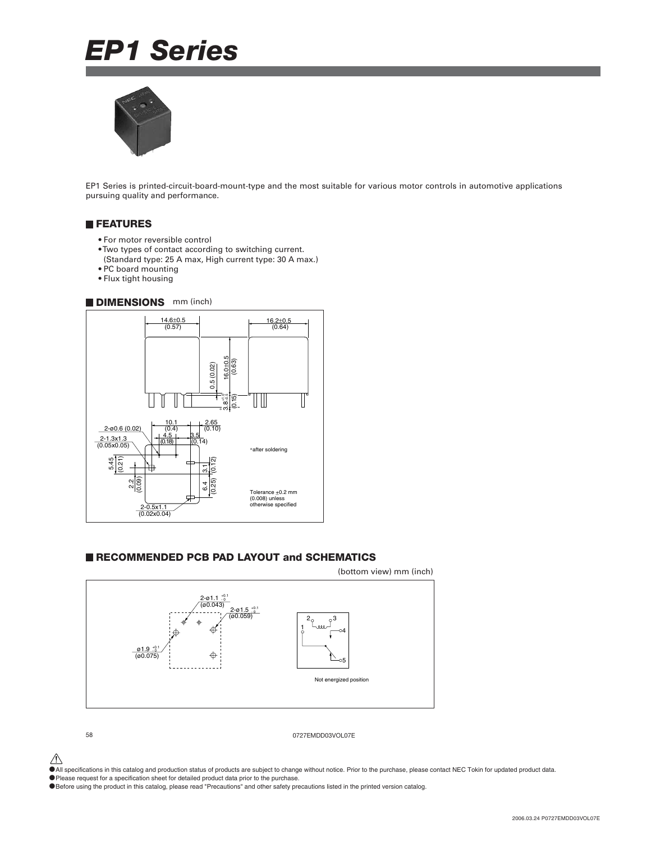# *EP1 Series*



EP1 Series is printed-circuit-board-mount-type and the most suitable for various motor controls in automotive applications pursuing quality and performance.

### **FEATURES**

- For motor reversible control
- Two types of contact according to switching current.
- (Standard type: 25 A max, High current type: 30 A max.)
- PC board mounting
- Flux tight housing

### **DIMENSIONS** mm (inch)



### **RECOMMENDED PCB PAD LAYOUT and SCHEMATICS**



58 0727EMDD03VOL07E

 $\hat{\triangle}$  All specifications in this catalog and production status of products are subject to change without notice. Prior to the purchase, please contact NEC Tokin for updated product data.

•Please request for a specification sheet for detailed product data prior to the purchase.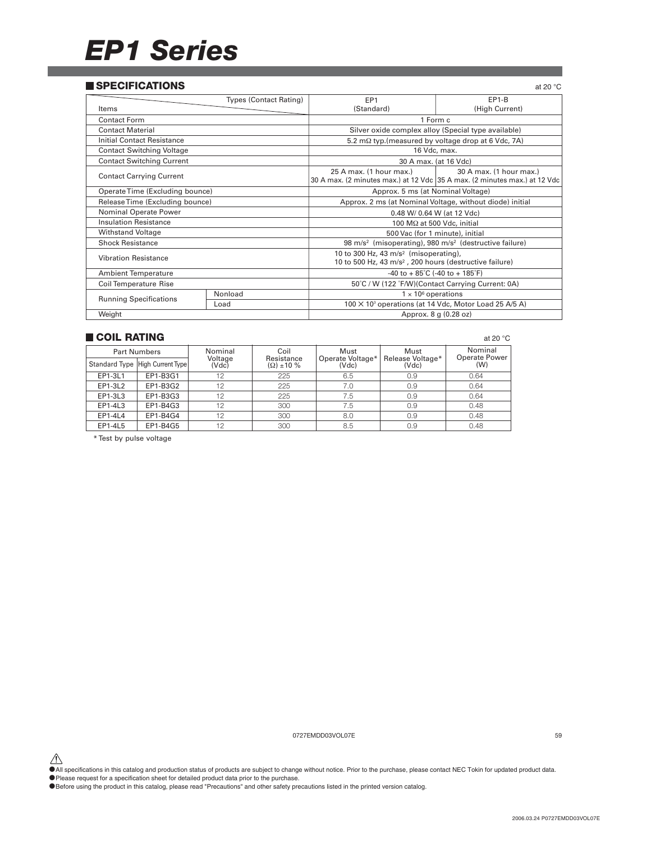## *EP1 Series*

### **SPECIFICATIONS SPECIFICATIONS**

| JE LUII IUAI IUNJ                 |                               |                                                                                                                                                                                                                                                                                                                  | at zu U                                                                   |  |  |
|-----------------------------------|-------------------------------|------------------------------------------------------------------------------------------------------------------------------------------------------------------------------------------------------------------------------------------------------------------------------------------------------------------|---------------------------------------------------------------------------|--|--|
|                                   | <b>Types (Contact Rating)</b> | EP <sub>1</sub>                                                                                                                                                                                                                                                                                                  | $EP1-B$                                                                   |  |  |
| Items                             |                               | (Standard)                                                                                                                                                                                                                                                                                                       | (High Current)                                                            |  |  |
| Contact Form                      |                               | 1 Form c                                                                                                                                                                                                                                                                                                         |                                                                           |  |  |
| <b>Contact Material</b>           |                               | Silver oxide complex alloy (Special type available)                                                                                                                                                                                                                                                              |                                                                           |  |  |
| <b>Initial Contact Resistance</b> |                               | 5.2 mΩ typ. (measured by voltage drop at 6 Vdc, 7A)                                                                                                                                                                                                                                                              |                                                                           |  |  |
| <b>Contact Switching Voltage</b>  |                               | 16 Vdc, max.                                                                                                                                                                                                                                                                                                     |                                                                           |  |  |
| <b>Contact Switching Current</b>  |                               | 30 A max. (at 16 Vdc)                                                                                                                                                                                                                                                                                            |                                                                           |  |  |
| <b>Contact Carrying Current</b>   |                               | 25 A max. (1 hour max.)                                                                                                                                                                                                                                                                                          | 30 A max. (1 hour max.)                                                   |  |  |
| Operate Time (Excluding bounce)   |                               | Approx. 5 ms (at Nominal Voltage)                                                                                                                                                                                                                                                                                |                                                                           |  |  |
| Release Time (Excluding bounce)   |                               | Approx. 2 ms (at Nominal Voltage, without diode) initial                                                                                                                                                                                                                                                         |                                                                           |  |  |
| Nominal Operate Power             |                               |                                                                                                                                                                                                                                                                                                                  |                                                                           |  |  |
| <b>Insulation Resistance</b>      |                               |                                                                                                                                                                                                                                                                                                                  |                                                                           |  |  |
| <b>Withstand Voltage</b>          |                               |                                                                                                                                                                                                                                                                                                                  |                                                                           |  |  |
| <b>Shock Resistance</b>           |                               |                                                                                                                                                                                                                                                                                                                  | 30 A max. (2 minutes max.) at 12 Vdc 35 A max. (2 minutes max.) at 12 Vdc |  |  |
| <b>Vibration Resistance</b>       |                               | 0.48 W/ 0.64 W (at 12 Vdc)<br>100 $M\Omega$ at 500 Vdc, initial<br>500 Vac (for 1 minute), initial<br>98 m/s <sup>2</sup> (misoperating), 980 m/s <sup>2</sup> (destructive failure)<br>10 to 300 Hz, 43 m/s <sup>2</sup> (misoperating),<br>10 to 500 Hz, 43 m/s <sup>2</sup> , 200 hours (destructive failure) |                                                                           |  |  |
| <b>Ambient Temperature</b>        |                               | -40 to + $85^{\circ}$ C (-40 to + 185 $^{\circ}$ F)                                                                                                                                                                                                                                                              |                                                                           |  |  |
| <b>Coil Temperature Rise</b>      |                               | 50°C / W (122 °F/W)(Contact Carrying Current: 0A)                                                                                                                                                                                                                                                                |                                                                           |  |  |
| <b>Running Specifications</b>     | Nonload                       | $1 \times 10^6$ operations                                                                                                                                                                                                                                                                                       |                                                                           |  |  |
|                                   | Load                          | 100 × 10 <sup>3</sup> operations (at 14 Vdc, Motor Load 25 A/5 A)                                                                                                                                                                                                                                                |                                                                           |  |  |
| Weight                            |                               |                                                                                                                                                                                                                                                                                                                  | Approx. 8 g (0.28 oz)                                                     |  |  |

### **COIL RATING COIL RATING**

| ___________         |                                 |                  |                                    |                           |                           | $\sim$                          |  |
|---------------------|---------------------------------|------------------|------------------------------------|---------------------------|---------------------------|---------------------------------|--|
| <b>Part Numbers</b> |                                 | Nominal          | Coil                               | Must                      | Must                      | Nominal<br><b>Operate Power</b> |  |
|                     | Standard Type High Current Type | Voltage<br>(Vdc) | Resistance<br>$(\Omega) \pm 10 \%$ | Operate Voltage*<br>(Vdc) | Release Voltage*<br>(Vdc) | (W)                             |  |
| EP1-3L1             | EP1-B3G1                        | 12               | 225                                | 6.5                       | 0.9                       | 0.64                            |  |
| EP1-3L2             | EP1-B3G2                        | 12               | 225                                | 7.0                       | 0.9                       | 0.64                            |  |
| EP1-3L3             | EP1-B3G3                        | 12               | 225                                | 7.5                       | 0.9                       | 0.64                            |  |
| EP1-4L3             | EP1-B4G3                        | 12               | 300                                | 7.5                       | 0.9                       | 0.48                            |  |
| EP1-4L4             | EP1-B4G4                        | 12               | 300                                | 8.0                       | 0.9                       | 0.48                            |  |
| EP1-4L5             | EP1-B4G5                        | 12               | 300                                | 8.5                       | 0.9                       | 0.48                            |  |

\* Test by pulse voltage

0727EMDD03VOL07E 59

 $\hat{\P}$  All specifications in this catalog and production status of products are subject to change without notice. Prior to the purchase, please contact NEC Tokin for updated product data.

• Please request for a specification sheet for detailed product data prior to the purchase.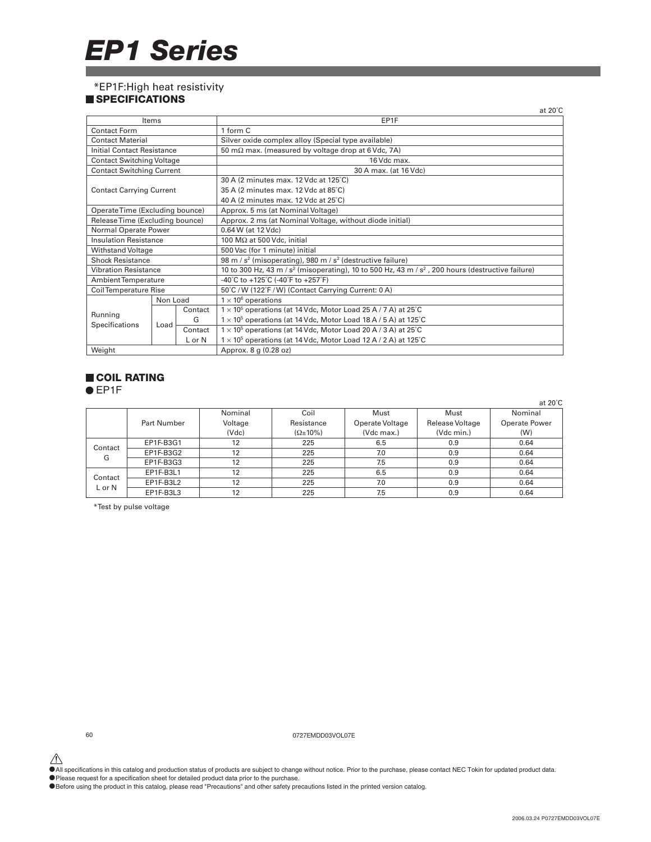# *EP1 Series*

### \*EP1F:High heat resistivity

### **SPECIFICATIONS**

|                                  |          |          | at $20^{\circ}$ C                                                                                       |  |  |  |  |
|----------------------------------|----------|----------|---------------------------------------------------------------------------------------------------------|--|--|--|--|
|                                  | Items    |          | EP1F                                                                                                    |  |  |  |  |
| <b>Contact Form</b>              |          |          | 1 form C                                                                                                |  |  |  |  |
| <b>Contact Material</b>          |          |          | Silver oxide complex alloy (Special type available)                                                     |  |  |  |  |
| Initial Contact Resistance       |          |          | 50 m $\Omega$ max. (measured by voltage drop at 6 Vdc, 7A)                                              |  |  |  |  |
| <b>Contact Switching Voltage</b> |          |          | 16 Vdc max.                                                                                             |  |  |  |  |
| <b>Contact Switching Current</b> |          |          | 30 A max. (at 16 Vdc)                                                                                   |  |  |  |  |
|                                  |          |          | 30 A (2 minutes max. 12 Vdc at 125°C)                                                                   |  |  |  |  |
| <b>Contact Carrying Current</b>  |          |          | 35 A (2 minutes max. 12 Vdc at 85°C)                                                                    |  |  |  |  |
|                                  |          |          | 40 A (2 minutes max. 12 Vdc at 25°C)                                                                    |  |  |  |  |
| Operate Time (Excluding bounce)  |          |          | Approx. 5 ms (at Nominal Voltage)                                                                       |  |  |  |  |
| Release Time (Excluding bounce)  |          |          | Approx. 2 ms (at Nominal Voltage, without diode initial)                                                |  |  |  |  |
| Normal Operate Power             |          |          | 0.64 W (at 12 Vdc)                                                                                      |  |  |  |  |
| <b>Insulation Resistance</b>     |          |          | 100 M $\Omega$ at 500 Vdc, initial                                                                      |  |  |  |  |
| Withstand Voltage                |          |          | 500 Vac (for 1 minute) initial                                                                          |  |  |  |  |
| <b>Shock Resistance</b>          |          |          | 98 m / $s^2$ (misoperating), 980 m / $s^2$ (destructive failure)                                        |  |  |  |  |
| <b>Vibration Resistance</b>      |          |          | 10 to 300 Hz, 43 m / $s^2$ (misoperating), 10 to 500 Hz, 43 m / $s^2$ , 200 hours (destructive failure) |  |  |  |  |
| Ambient Temperature              |          |          | -40°C to +125°C (-40°F to +257°F)                                                                       |  |  |  |  |
| <b>Coil Temperature Rise</b>     |          |          | 50°C / W (122°F / W) (Contact Carrying Current: 0 A)                                                    |  |  |  |  |
|                                  | Non Load |          | $1 \times 10^6$ operations                                                                              |  |  |  |  |
|                                  |          | Contact  | $1 \times 10^5$ operations (at 14 Vdc, Motor Load 25 A / 7 A) at 25°C                                   |  |  |  |  |
| Running                          |          | G        | $1 \times 10^5$ operations (at 14 Vdc, Motor Load 18 A / 5 A) at 125°C                                  |  |  |  |  |
| Specifications                   | Load     | Contact  | $1 \times 10^5$ operations (at 14 Vdc, Motor Load 20 A / 3 A) at 25°C                                   |  |  |  |  |
|                                  |          | $L$ or N | $1 \times 10^5$ operations (at 14 Vdc, Motor Load 12 A / 2 A) at 125°C                                  |  |  |  |  |
| Weight                           |          |          | Approx. 8 g (0.28 oz)                                                                                   |  |  |  |  |

### **COIL RATING**

● EP1F

|         |             |         |                     |                 |                 | at $20^{\circ}$ C    |
|---------|-------------|---------|---------------------|-----------------|-----------------|----------------------|
|         |             | Nominal | Coil                | Must            | Must            | Nominal              |
|         | Part Number | Voltage | Resistance          | Operate Voltage | Release Voltage | <b>Operate Power</b> |
|         |             | (Vdc)   | $(\Omega \pm 10\%)$ | (Vdc max.)      | (Vdc min.)      | (W)                  |
| Contact | EP1F-B3G1   | 12      | 225                 | 6.5             | 0.9             | 0.64                 |
| G       | EP1F-B3G2   | 12      | 225                 | 7.0             | 0.9             | 0.64                 |
|         | EP1F-B3G3   | 12      | 225                 | 7.5             | 0.9             | 0.64                 |
| Contact | EP1F-B3L1   | 12      | 225                 | 6.5             | 0.9             | 0.64                 |
| L or N  | EP1F-B3L2   | 12      | 225                 | 7.0             | 0.9             | 0.64                 |
|         | EP1F-B3L3   | 12      | 225                 | 7.5             | 0.9             | 0.64                 |

\*Test by pulse voltage

60 0727EMDD03VOL07E

All specifications in this catalog and production status of products are subject to change without notice. Prior to the purchase, please contact NEC Tokin for updated product data.<br>• Please request for a specification shee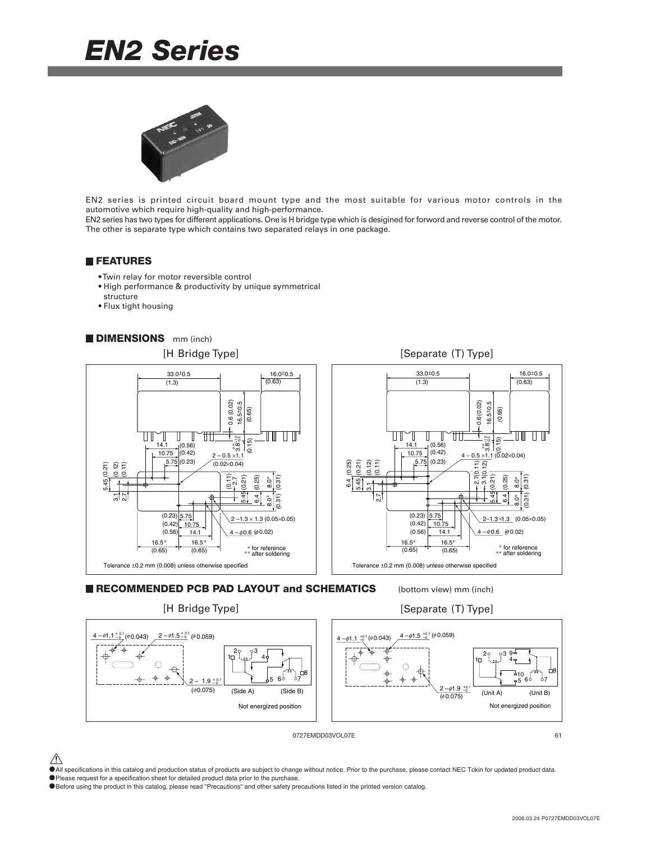## *EN2 Series*



EN2 series is printed circuit board mount type and the most suitable for various motor controls in the automotive which require high-quality and high-performance.

EN2 series has two types for different applications. One is H bridge type which is desigined for forword and reverse control of the motor. The other is separate type which contains two separated relays in one package.

### **FEATURES**

- Twin relay for motor reversible control
- High performance & productivity by unique symmetrical
- structure
- Flux tight housing







[Separate (T) Type]



0727EMDD03VOL07E 61

- $\hat{\triangle}$  All specifications in this catalog and production status of products are subject to change without notice. Prior to the purchase, please contact NEC Tokin for updated product data.
- •Please request for a specification sheet for detailed product data prior to the purchase.
- •Before using the product in this catalog, please read "Precautions" and other safety precautions listed in the printed version catalog.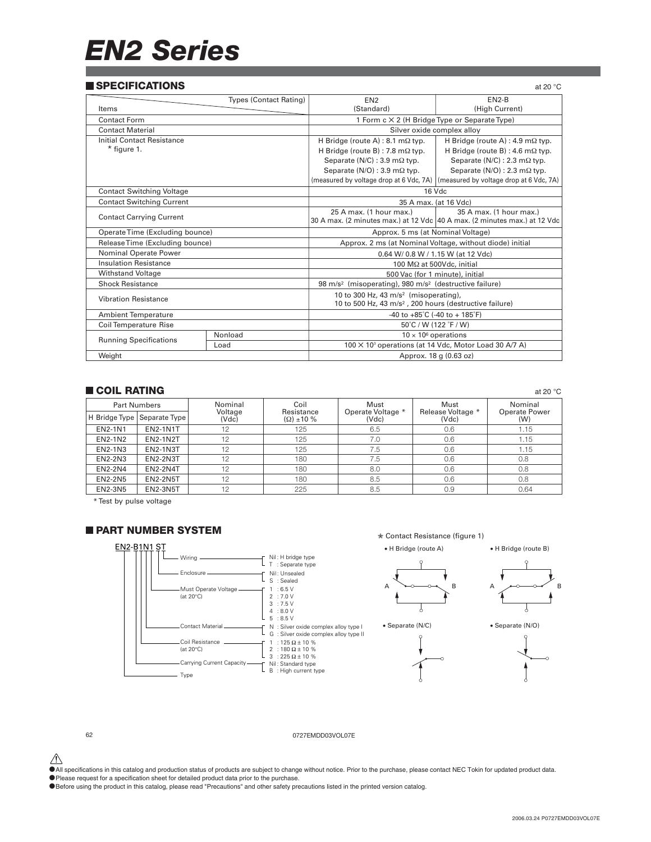# *EN2 Series*

### **SPECIFICATIONS SPECIFICATIONS**

| JE LUII IUAI IUNJ<br>ai zu v     |                               |                                                                                |                                               |  |  |
|----------------------------------|-------------------------------|--------------------------------------------------------------------------------|-----------------------------------------------|--|--|
|                                  | <b>Types (Contact Rating)</b> | $EN2-B$<br>EN <sub>2</sub>                                                     |                                               |  |  |
| Items                            |                               | (High Current)<br>(Standard)                                                   |                                               |  |  |
| <b>Contact Form</b>              |                               |                                                                                | 1 Form c × 2 (H Bridge Type or Separate Type) |  |  |
| <b>Contact Material</b>          |                               | Silver oxide complex alloy                                                     |                                               |  |  |
| Initial Contact Resistance       |                               | H Bridge (route A) : 8.1 m $\Omega$ typ.                                       | H Bridge (route A) : 4.9 m $\Omega$ typ.      |  |  |
| $*$ figure 1.                    |                               | H Bridge (route B) : 7.8 m $\Omega$ typ.                                       | H Bridge (route B) : 4.6 m $\Omega$ typ.      |  |  |
|                                  |                               | Separate (N/C) : 3.9 m $\Omega$ typ.                                           | Separate ( $N/C$ ) : 2.3 m $\Omega$ typ.      |  |  |
|                                  |                               | Separate ( $N/O$ ) : 3.9 m $\Omega$ typ.                                       | Separate (N/O) : 2.3 m $\Omega$ typ.          |  |  |
|                                  |                               | (measured by voltage drop at 6 Vdc, 7A)                                        | (measured by voltage drop at 6 Vdc, 7A)       |  |  |
| <b>Contact Switching Voltage</b> |                               | 16 Vdc                                                                         |                                               |  |  |
| <b>Contact Switching Current</b> |                               | 35 A max. (at 16 Vdc)                                                          |                                               |  |  |
|                                  |                               | 25 A max. (1 hour max.)                                                        | 35 A max. (1 hour max.)                       |  |  |
| <b>Contact Carrying Current</b>  |                               | 30 A max. (2 minutes max.) at 12 Vdc 40 A max. (2 minutes max.) at 12 Vdc      |                                               |  |  |
| Operate Time (Excluding bounce)  |                               | Approx. 5 ms (at Nominal Voltage)                                              |                                               |  |  |
| Release Time (Excluding bounce)  |                               | Approx. 2 ms (at Nominal Voltage, without diode) initial                       |                                               |  |  |
| Nominal Operate Power            |                               | 0.64 W/ 0.8 W / 1.15 W (at 12 Vdc)                                             |                                               |  |  |
| <b>Insulation Resistance</b>     |                               |                                                                                | 100 MΩ at 500Vdc, initial                     |  |  |
| <b>Withstand Voltage</b>         |                               | 500 Vac (for 1 minute), initial                                                |                                               |  |  |
| <b>Shock Resistance</b>          |                               | 98 m/s <sup>2</sup> (misoperating), 980 m/s <sup>2</sup> (destructive failure) |                                               |  |  |
| <b>Vibration Resistance</b>      |                               | 10 to 300 Hz, 43 m/s <sup>2</sup> (misoperating),                              |                                               |  |  |
|                                  |                               | 10 to 500 Hz, 43 m/s <sup>2</sup> , 200 hours (destructive failure)            |                                               |  |  |
| <b>Ambient Temperature</b>       |                               | -40 to $+85^{\circ}$ C (-40 to $+185^{\circ}$ F)                               |                                               |  |  |
| Coil Temperature Rise            |                               | 50°C / W (122 °F / W)                                                          |                                               |  |  |
| <b>Running Specifications</b>    | Nonload                       | $10 \times 10^6$ operations                                                    |                                               |  |  |
|                                  | Load                          | 100 × 10 <sup>3</sup> operations (at 14 Vdc, Motor Load 30 A/7 A)              |                                               |  |  |
| Weight                           |                               |                                                                                | Approx. 18 g (0.63 oz)                        |  |  |
|                                  |                               |                                                                                |                                               |  |  |

### **COIL RATING COIL RATING**

|                | <b>Part Numbers</b>           | Nominal          | Coil                               | Must                       | Must                       | Nominal              |
|----------------|-------------------------------|------------------|------------------------------------|----------------------------|----------------------------|----------------------|
|                | H Bridge Type   Separate Type | Voltage<br>(Vdc) | Resistance<br>$(\Omega) \pm 10 \%$ | Operate Voltage *<br>(Vdc) | Release Voltage *<br>(Vdc) | Operate Power<br>(W) |
| <b>EN2-1N1</b> | <b>EN2-1N1T</b>               | 12               | 125                                | 6.5                        | 0.6                        | 1.15                 |
| <b>EN2-1N2</b> | <b>EN2-1N2T</b>               | 12               | 125                                | 7.0                        | 0.6                        | 1.15                 |
| EN2-1N3        | <b>EN2-1N3T</b>               | 12               | 125                                | 7.5                        | 0.6                        | 1.15                 |
| EN2-2N3        | <b>EN2-2N3T</b>               | 12               | 180                                | 7.5                        | 0.6                        | 0.8                  |
| <b>EN2-2N4</b> | <b>EN2-2N4T</b>               | 12               | 180                                | 8.0                        | 0.6                        | 0.8                  |
| <b>EN2-2N5</b> | <b>EN2-2N5T</b>               | 12               | 180                                | 8.5                        | 0.6                        | 0.8                  |
| <b>EN2-3N5</b> | <b>EN2-3N5T</b>               | 12               | 225                                | 8.5                        | 0.9                        | 0.64                 |

\* Test by pulse voltage

### **PART NUMBER SYSTEM**



### ✮ Contact Resistance (figure 1)

• H Bridge (route A) • H Bridge (route B)







### 62 0727EMDD03VOL07E

- $\hat{\P}$  All specifications in this catalog and production status of products are subject to change without notice. Prior to the purchase, please contact NEC Tokin for updated product data.
- The premium state in the calling and precision sheet for detailed product data prior to the purchase.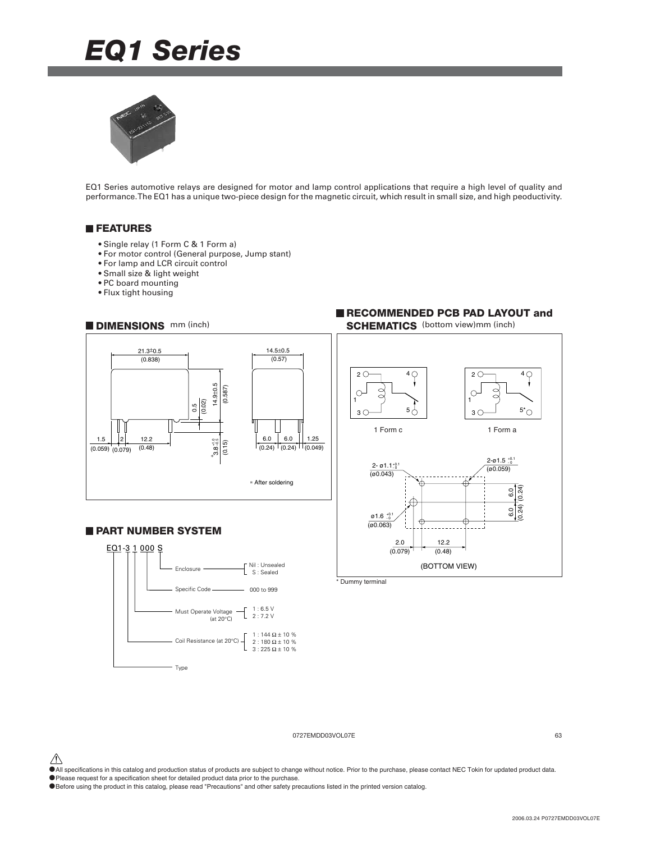# *EQ1 Series*



EQ1 Series automotive relays are designed for motor and lamp control applications that require a high level of quality and performance. The EQ1 has a unique two-piece design for the magnetic circuit, which result in small size, and high peoductivity.

### **FEATURES**

- Single relay (1 Form C & 1 Form a)
- For motor control (General purpose, Jump stant)
- For lamp and LCR circuit control
- Small size & light weight
- PC board mounting
- Flux tight housing



### **PART NUMBER SYSTEM**



### **RECOMMENDED PCB PAD LAYOUT and DIMENSIONS** mm (inch) **SCHEMATICS** (bottom view)mm (inch)



\* Dummy terminal

### 0727EMDD03VOL07E 63

 $\hat{\triangle}$  All specifications in this catalog and production status of products are subject to change without notice. Prior to the purchase, please contact NEC Tokin for updated product data.

•Please request for a specification sheet for detailed product data prior to the purchase.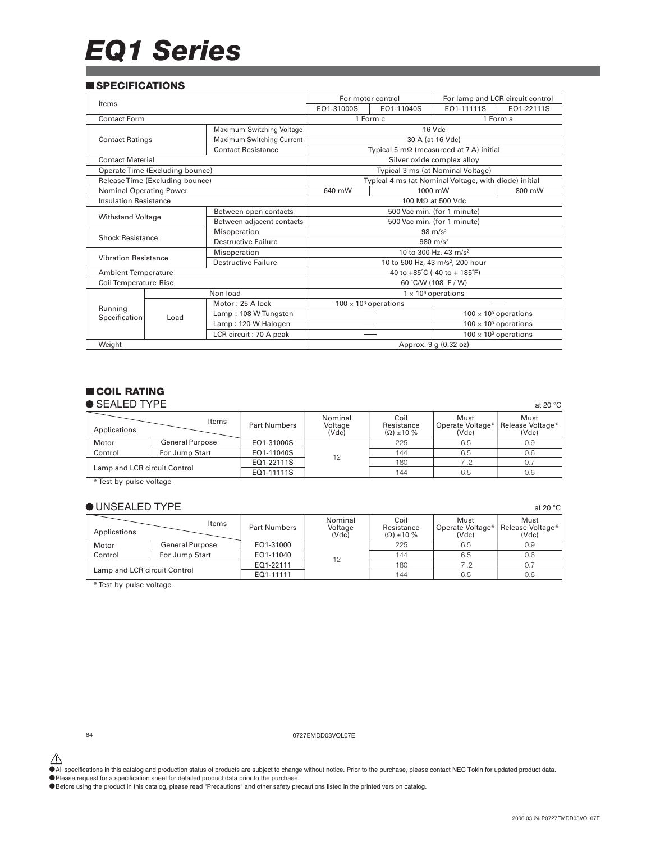# *EQ1 Series*

### **SPECIFICATIONS**

|                              |                                 |                           |                                                      | For lamp and LCR circuit control<br>For motor control |                                                       |                              |  |
|------------------------------|---------------------------------|---------------------------|------------------------------------------------------|-------------------------------------------------------|-------------------------------------------------------|------------------------------|--|
| Items                        |                                 |                           | EQ1-31000S<br>EQ1-11111S<br>EQ1-11040S<br>EQ1-22111S |                                                       |                                                       |                              |  |
| Contact Form                 |                                 |                           |                                                      | 1 Form c                                              |                                                       | 1 Form a                     |  |
|                              |                                 | Maximum Switching Voltage |                                                      |                                                       | 16 Vdc                                                |                              |  |
| <b>Contact Ratings</b>       |                                 | Maximum Switching Current |                                                      |                                                       | 30 A (at 16 Vdc)                                      |                              |  |
|                              |                                 | <b>Contact Resistance</b> | Typical 5 $m\Omega$ (measureed at 7 A) initial       |                                                       |                                                       |                              |  |
| <b>Contact Material</b>      |                                 |                           |                                                      |                                                       | Silver oxide complex alloy                            |                              |  |
|                              | Operate Time (Excluding bounce) |                           |                                                      |                                                       | Typical 3 ms (at Nominal Voltage)                     |                              |  |
|                              | Release Time (Excluding bounce) |                           |                                                      |                                                       | Typical 4 ms (at Nominal Voltage, with diode) initial |                              |  |
| Nominal Operating Power      |                                 |                           | 640 mW                                               |                                                       | 1000 mW                                               | 800 mW                       |  |
| <b>Insulation Resistance</b> |                                 |                           | 100 MΩ at 500 Vdc                                    |                                                       |                                                       |                              |  |
|                              |                                 | Between open contacts     | 500 Vac min. (for 1 minute)                          |                                                       |                                                       |                              |  |
| <b>Withstand Voltage</b>     |                                 | Between adjacent contacts | 500 Vac min. (for 1 minute)                          |                                                       |                                                       |                              |  |
|                              |                                 | Misoperation              | $98 \text{ m/s}^2$                                   |                                                       |                                                       |                              |  |
| <b>Shock Resistance</b>      |                                 | Destructive Failure       | 980 $m/s^2$                                          |                                                       |                                                       |                              |  |
| <b>Vibration Resistance</b>  |                                 | Misoperation              | 10 to 300 Hz, 43 m/s <sup>2</sup>                    |                                                       |                                                       |                              |  |
|                              |                                 | Destructive Failure       |                                                      |                                                       | 10 to 500 Hz, 43 m/s <sup>2</sup> , 200 hour          |                              |  |
| <b>Ambient Temperature</b>   |                                 |                           | -40 to $+85^{\circ}$ C (-40 to $+185^{\circ}$ F)     |                                                       |                                                       |                              |  |
| <b>Coil Temperature Rise</b> |                                 |                           |                                                      |                                                       | 60 °C/W (108 °F / W)                                  |                              |  |
|                              |                                 | Non load                  |                                                      |                                                       | $1 \times 10^6$ operations                            |                              |  |
| Running                      |                                 | Motor: 25 A lock          |                                                      | $100 \times 10^3$ operations                          |                                                       |                              |  |
| Specification                | Load                            | Lamp: 108 W Tungsten      |                                                      |                                                       |                                                       | $100 \times 10^3$ operations |  |
|                              |                                 | Lamp: 120 W Halogen       |                                                      |                                                       |                                                       | $100 \times 10^3$ operations |  |
|                              |                                 | LCR circuit: 70 A peak    |                                                      |                                                       |                                                       | $100 \times 10^3$ operations |  |
| Weight                       |                                 |                           | Approx. 9 g (0.32 oz)                                |                                                       |                                                       |                              |  |

### **COIL RATING**

| $\bullet$ SEALED TYPE        |                        |                     |                             |                                            |                                   | at 20 $\degree$ C                 |
|------------------------------|------------------------|---------------------|-----------------------------|--------------------------------------------|-----------------------------------|-----------------------------------|
| Applications                 | Items                  | <b>Part Numbers</b> | Nominal<br>Voltage<br>(Vdc) | Coil<br>Resistance<br>$(\Omega) \pm 10 \%$ | Must<br>Operate Voltage*<br>(Vdc) | Must<br>Release Voltage*<br>(Vdc) |
| Motor                        | <b>General Purpose</b> | EQ1-31000S          |                             | 225                                        | 6.5                               | 0.9                               |
| Control                      | For Jump Start         | EQ1-11040S          | 12                          | 144                                        | 6.5                               | 0.6                               |
| Lamp and LCR circuit Control |                        | EQ1-22111S          |                             | 180                                        | 7.2                               | 0.7                               |
|                              |                        | EQ1-11111S          |                             | 144                                        | 6.5                               | 0.6                               |

\* Test by pulse voltage

### $\bullet$  UNSEALED TYPE at 20 °C

| Applications                 | Items                  | <b>Part Numbers</b> | Nominal<br>Voltage<br>(Vdc) | Coil<br>Resistance<br>$(\Omega) \pm 10 \%$ | Must<br>Operate Voltage*<br>(Vdc) | Must<br>Release Voltage*<br>(Vdc) |
|------------------------------|------------------------|---------------------|-----------------------------|--------------------------------------------|-----------------------------------|-----------------------------------|
| Motor                        | <b>General Purpose</b> | EQ1-31000           |                             | 225                                        | 6.5                               | 0.9                               |
| Control                      | For Jump Start         | EQ1-11040           | 12                          | 144                                        | 6.5                               | 0.6                               |
| Lamp and LCR circuit Control |                        | EQ1-22111           |                             | 180                                        | 7.2                               |                                   |
|                              |                        | EQ1-11111           |                             | 144                                        | 6.5                               | 0.6                               |

\* Test by pulse voltage

64 0727EMDD03VOL07E

All specifications in this catalog and production status of products are subject to change without notice. Prior to the purchase, please contact NEC Tokin for updated product data.<br>• Please request for a specification shee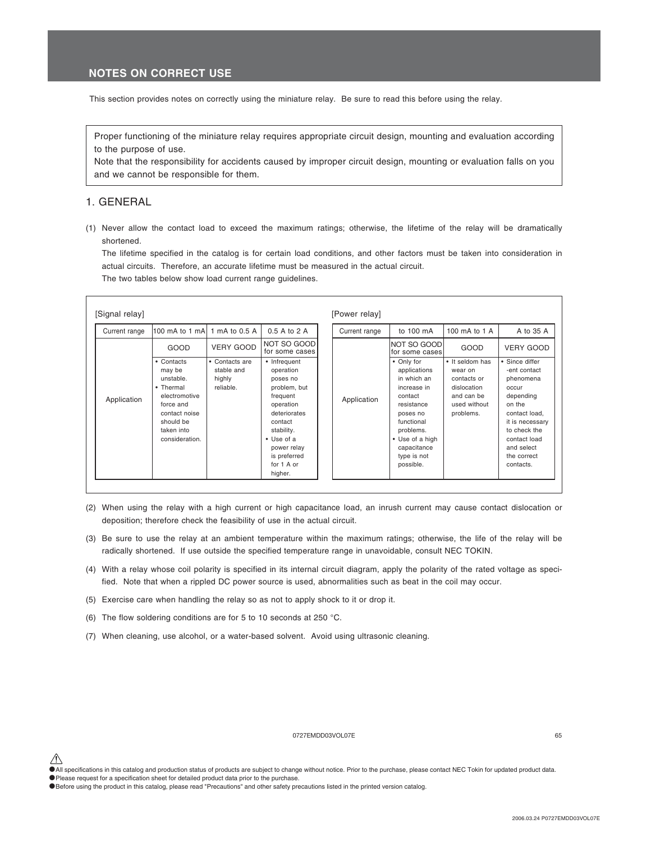### **NOTES ON CORRECT USE**

This section provides notes on correctly using the miniature relay. Be sure to read this before using the relay.

Proper functioning of the miniature relay requires appropriate circuit design, mounting and evaluation according to the purpose of use.

Note that the responsibility for accidents caused by improper circuit design, mounting or evaluation falls on you and we cannot be responsible for them.

### 1. GENERAL

(1) Never allow the contact load to exceed the maximum ratings; otherwise, the lifetime of the relay will be dramatically shortened.

The lifetime specified in the catalog is for certain load conditions, and other factors must be taken into consideration in actual circuits. Therefore, an accurate lifetime must be measured in the actual circuit.

The two tables below show load current range guidelines.

| [Signal relay] |                                                                                                                                            |                                                     |                                                                                                                                                                                                       | [Power relay] |                                                                                                                                                                                        |                                                                                                     |                                                                                                                                                                                           |
|----------------|--------------------------------------------------------------------------------------------------------------------------------------------|-----------------------------------------------------|-------------------------------------------------------------------------------------------------------------------------------------------------------------------------------------------------------|---------------|----------------------------------------------------------------------------------------------------------------------------------------------------------------------------------------|-----------------------------------------------------------------------------------------------------|-------------------------------------------------------------------------------------------------------------------------------------------------------------------------------------------|
| Current range  | 100 mA to 1 mA 1 mA to 0.5 A                                                                                                               |                                                     | 0.5 A to 2 A                                                                                                                                                                                          | Current range | to 100 mA                                                                                                                                                                              | 100 mA to 1 A                                                                                       | A to 35 A                                                                                                                                                                                 |
| Application    | GOOD                                                                                                                                       | <b>VERY GOOD</b>                                    | NOT SO GOOD<br>for some cases                                                                                                                                                                         | Application   | INOT SO GOOD<br>for some cases                                                                                                                                                         | GOOD                                                                                                | <b>VERY GOOD</b>                                                                                                                                                                          |
|                | • Contacts<br>may be<br>unstable.<br>• Thermal<br>electromotive<br>force and<br>contact noise<br>should be<br>taken into<br>consideration. | • Contacts are<br>stable and<br>highly<br>reliable. | • Infrequent<br>operation<br>poses no<br>problem, but<br>frequent<br>operation<br>deteriorates<br>contact<br>stability.<br>$\bullet$ Use of a<br>power relay<br>is preferred<br>for 1 A or<br>higher. |               | • Only for<br>applications<br>in which an<br>increase in<br>contact<br>resistance<br>poses no<br>functional<br>problems.<br>• Use of a high<br>capacitance<br>type is not<br>possible. | • It seldom has<br>wear on<br>contacts or<br>dislocation<br>and can be<br>used without<br>problems. | • Since differ<br>-ent contact<br>phenomena<br>OCCUL<br>depending<br>on the<br>contact load.<br>it is necessary<br>to check the<br>contact load<br>and select<br>the correct<br>contacts. |

- (2) When using the relay with a high current or high capacitance load, an inrush current may cause contact dislocation or deposition; therefore check the feasibility of use in the actual circuit.
- (3) Be sure to use the relay at an ambient temperature within the maximum ratings; otherwise, the life of the relay will be radically shortened. If use outside the specified temperature range in unavoidable, consult NEC TOKIN.
- (4) With a relay whose coil polarity is specified in its internal circuit diagram, apply the polarity of the rated voltage as specified. Note that when a rippled DC power source is used, abnormalities such as beat in the coil may occur.
- (5) Exercise care when handling the relay so as not to apply shock to it or drop it.
- (6) The flow soldering conditions are for 5 to 10 seconds at 250 °C.
- (7) When cleaning, use alcohol, or a water-based solvent. Avoid using ultrasonic cleaning.

### 0727EMDD03VOL07E 65

<sup>•</sup>All specifications in this catalog and production status of products are subject to change without notice. Prior to the purchase, please contact NEC Tokin for updated product data.

<sup>•</sup>Please request for a specification sheet for detailed product data prior to the purchase.

<sup>•</sup>Before using the product in this catalog, please read "Precautions" and other safety precautions listed in the printed version catalog.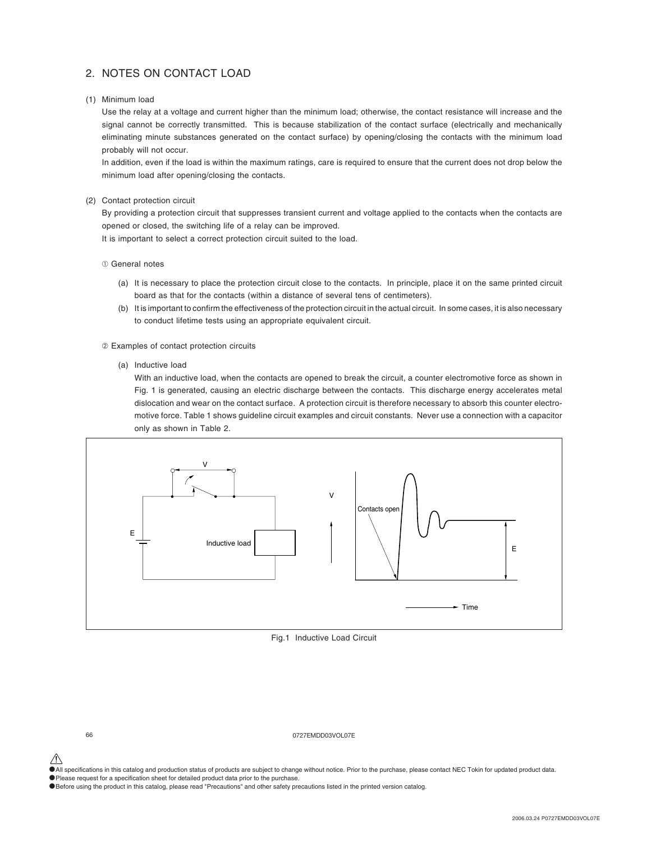### 2. NOTES ON CONTACT LOAD

(1) Minimum load

Use the relay at a voltage and current higher than the minimum load; otherwise, the contact resistance will increase and the signal cannot be correctly transmitted. This is because stabilization of the contact surface (electrically and mechanically eliminating minute substances generated on the contact surface) by opening/closing the contacts with the minimum load probably will not occur.

In addition, even if the load is within the maximum ratings, care is required to ensure that the current does not drop below the minimum load after opening/closing the contacts.

### (2) Contact protection circuit

By providing a protection circuit that suppresses transient current and voltage applied to the contacts when the contacts are opened or closed, the switching life of a relay can be improved.

It is important to select a correct protection circuit suited to the load.

- ➀ General notes
	- (a) It is necessary to place the protection circuit close to the contacts. In principle, place it on the same printed circuit board as that for the contacts (within a distance of several tens of centimeters).
	- (b) It is important to confirm the effectiveness of the protection circuit in the actual circuit. In some cases, it is also necessary to conduct lifetime tests using an appropriate equivalent circuit.
- ➁ Examples of contact protection circuits
	- (a) Inductive load

With an inductive load, when the contacts are opened to break the circuit, a counter electromotive force as shown in Fig. 1 is generated, causing an electric discharge between the contacts. This discharge energy accelerates metal dislocation and wear on the contact surface. A protection circuit is therefore necessary to absorb this counter electromotive force. Table 1 shows guideline circuit examples and circuit constants. Never use a connection with a capacitor only as shown in Table 2.



Fig.1 Inductive Load Circuit

66 0727EMDD03VOL07E

•All specifications in this catalog and production status of products are subject to change without notice. Prior to the purchase, please contact NEC Tokin for updated product data.

•Please request for a specification sheet for detailed product data prior to the purchase.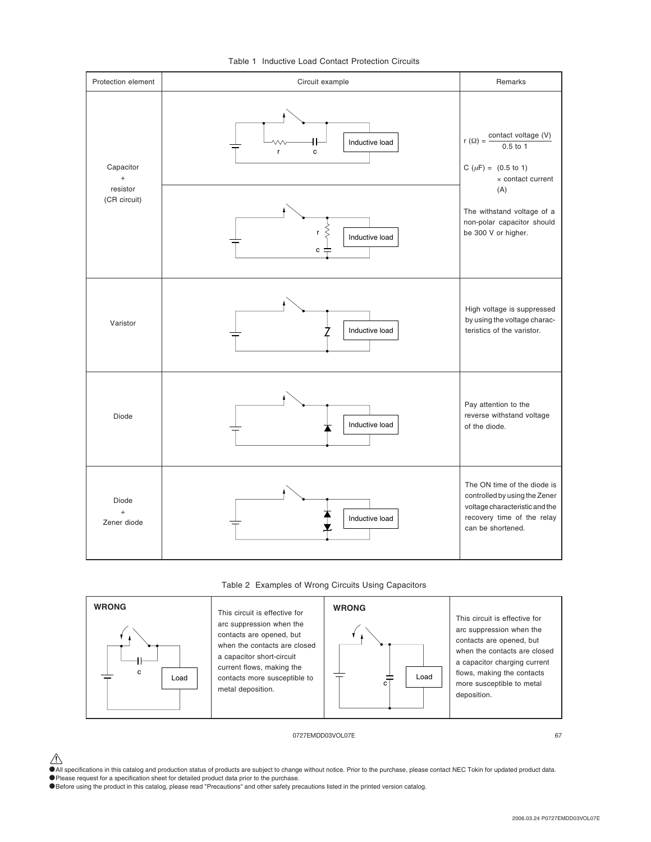

### Table 1 Inductive Load Contact Protection Circuits





0727EMDD03VOL07E 67

extion on this catalog and production status of products are subject to change without notice. Prior to the purchase, please contact NEC Tokin for updated product data. •Please request for a specification sheet for detailed product data prior to the purchase.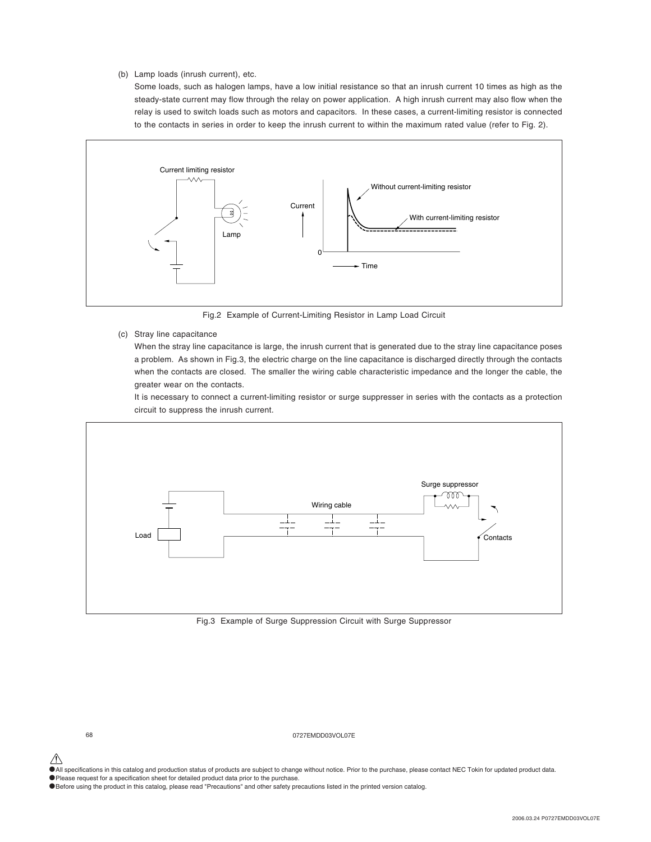### (b) Lamp loads (inrush current), etc.

Some loads, such as halogen lamps, have a low initial resistance so that an inrush current 10 times as high as the steady-state current may flow through the relay on power application. A high inrush current may also flow when the relay is used to switch loads such as motors and capacitors. In these cases, a current-limiting resistor is connected to the contacts in series in order to keep the inrush current to within the maximum rated value (refer to Fig. 2).



Fig.2 Example of Current-Limiting Resistor in Lamp Load Circuit

(c) Stray line capacitance

When the stray line capacitance is large, the inrush current that is generated due to the stray line capacitance poses a problem. As shown in Fig.3, the electric charge on the line capacitance is discharged directly through the contacts when the contacts are closed. The smaller the wiring cable characteristic impedance and the longer the cable, the greater wear on the contacts.

It is necessary to connect a current-limiting resistor or surge suppresser in series with the contacts as a protection circuit to suppress the inrush current.



Fig.3 Example of Surge Suppression Circuit with Surge Suppressor

68 0727EMDD03VOL07E

- $\hat{\P}$  All specifications in this catalog and production status of products are subject to change without notice. Prior to the purchase, please contact NEC Tokin for updated product data.
- •Please request for a specification sheet for detailed product data prior to the purchase.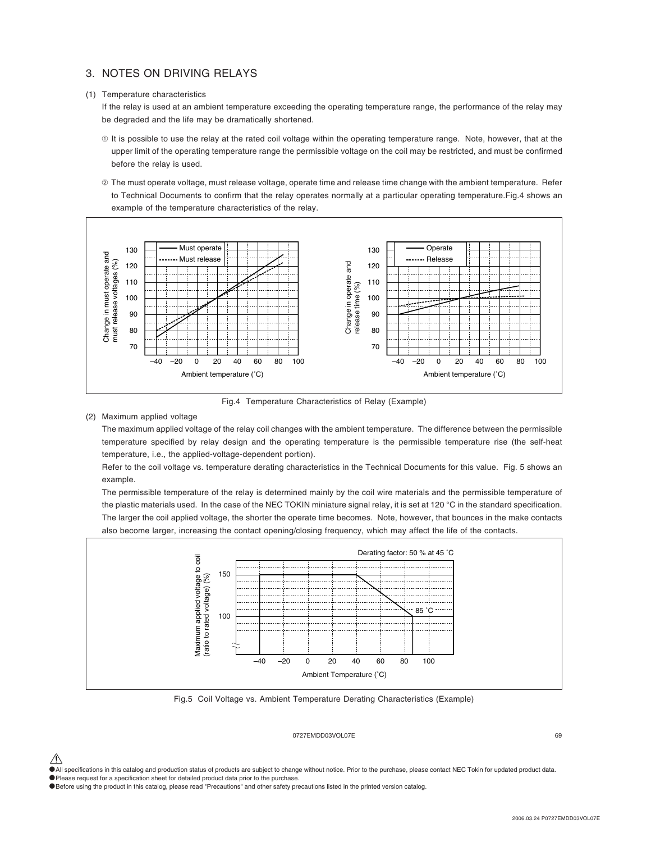### 3. NOTES ON DRIVING RELAYS

### (1) Temperature characteristics

If the relay is used at an ambient temperature exceeding the operating temperature range, the performance of the relay may be degraded and the life may be dramatically shortened.

- ➀ It is possible to use the relay at the rated coil voltage within the operating temperature range. Note, however, that at the upper limit of the operating temperature range the permissible voltage on the coil may be restricted, and must be confirmed before the relay is used.
- ➁ The must operate voltage, must release voltage, operate time and release time change with the ambient temperature. Refer to Technical Documents to confirm that the relay operates normally at a particular operating temperature.Fig.4 shows an example of the temperature characteristics of the relay.



Fig.4 Temperature Characteristics of Relay (Example)

### (2) Maximum applied voltage

The maximum applied voltage of the relay coil changes with the ambient temperature. The difference between the permissible temperature specified by relay design and the operating temperature is the permissible temperature rise (the self-heat temperature, i.e., the applied-voltage-dependent portion).

Refer to the coil voltage vs. temperature derating characteristics in the Technical Documents for this value. Fig. 5 shows an example.

The permissible temperature of the relay is determined mainly by the coil wire materials and the permissible temperature of the plastic materials used. In the case of the NEC TOKIN miniature signal relay, it is set at 120 °C in the standard specification. The larger the coil applied voltage, the shorter the operate time becomes. Note, however, that bounces in the make contacts also become larger, increasing the contact opening/closing frequency, which may affect the life of the contacts.



Fig.5 Coil Voltage vs. Ambient Temperature Derating Characteristics (Example)

### 0727EMDD03VOL07E 69

•All specifications in this catalog and production status of products are subject to change without notice. Prior to the purchase, please contact NEC Tokin for updated product data.

•Please request for a specification sheet for detailed product data prior to the purchase.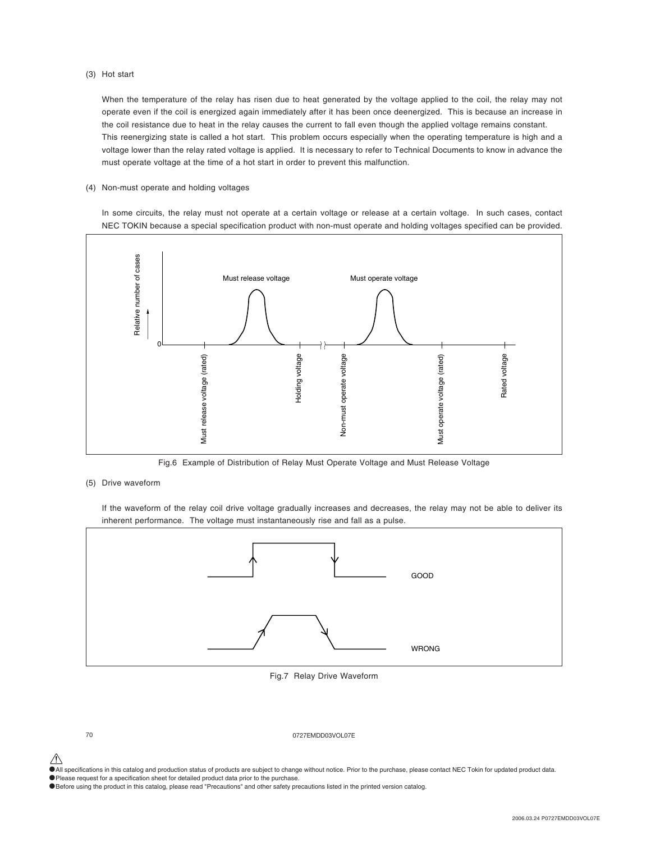### (3) Hot start

When the temperature of the relay has risen due to heat generated by the voltage applied to the coil, the relay may not operate even if the coil is energized again immediately after it has been once deenergized. This is because an increase in the coil resistance due to heat in the relay causes the current to fall even though the applied voltage remains constant. This reenergizing state is called a hot start. This problem occurs especially when the operating temperature is high and a voltage lower than the relay rated voltage is applied. It is necessary to refer to Technical Documents to know in advance the must operate voltage at the time of a hot start in order to prevent this malfunction.

### (4) Non-must operate and holding voltages

In some circuits, the relay must not operate at a certain voltage or release at a certain voltage. In such cases, contact NEC TOKIN because a special specification product with non-must operate and holding voltages specified can be provided.



Fig.6 Example of Distribution of Relay Must Operate Voltage and Must Release Voltage

### (5) Drive waveform

If the waveform of the relay coil drive voltage gradually increases and decreases, the relay may not be able to deliver its inherent performance. The voltage must instantaneously rise and fall as a pulse.



Fig.7 Relay Drive Waveform

70 0727EMDD03VOL07E

 $\hat{\P}$  All specifications in this catalog and production status of products are subject to change without notice. Prior to the purchase, please contact NEC Tokin for updated product data.

•Please request for a specification sheet for detailed product data prior to the purchase.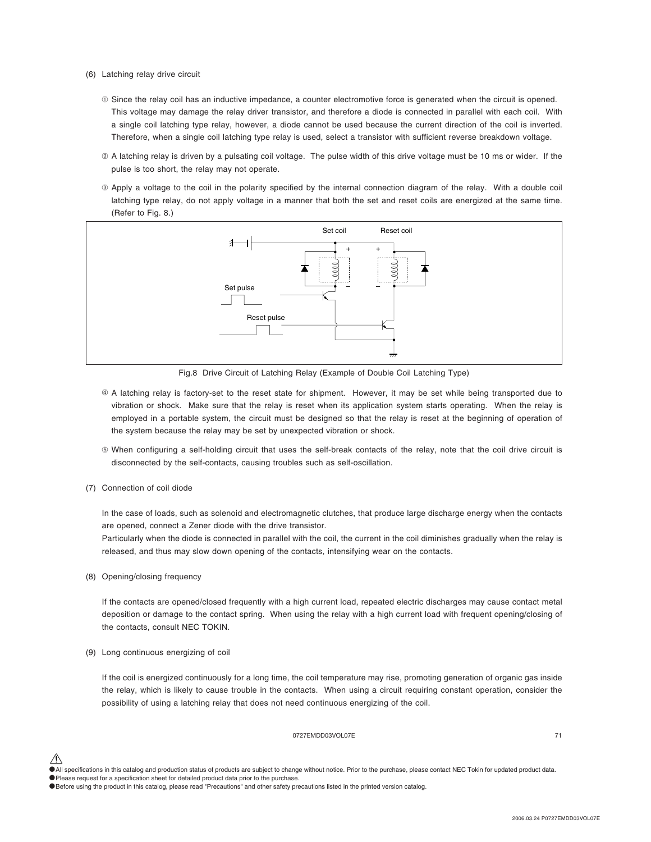- (6) Latching relay drive circuit
	- ➀ Since the relay coil has an inductive impedance, a counter electromotive force is generated when the circuit is opened. This voltage may damage the relay driver transistor, and therefore a diode is connected in parallel with each coil. With a single coil latching type relay, however, a diode cannot be used because the current direction of the coil is inverted. Therefore, when a single coil latching type relay is used, select a transistor with sufficient reverse breakdown voltage.
	- ➁ A latching relay is driven by a pulsating coil voltage. The pulse width of this drive voltage must be 10 ms or wider. If the pulse is too short, the relay may not operate.
	- ➂ Apply a voltage to the coil in the polarity specified by the internal connection diagram of the relay. With a double coil latching type relay, do not apply voltage in a manner that both the set and reset coils are energized at the same time. (Refer to Fig. 8.)



Fig.8 Drive Circuit of Latching Relay (Example of Double Coil Latching Type)

- A latching relay is factory-set to the reset state for shipment. However, it may be set while being transported due to ➃vibration or shock. Make sure that the relay is reset when its application system starts operating. When the relay is employed in a portable system, the circuit must be designed so that the relay is reset at the beginning of operation of the system because the relay may be set by unexpected vibration or shock.
- ➄ When configuring a self-holding circuit that uses the self-break contacts of the relay, note that the coil drive circuit is disconnected by the self-contacts, causing troubles such as self-oscillation.
- (7) Connection of coil diode

In the case of loads, such as solenoid and electromagnetic clutches, that produce large discharge energy when the contacts are opened, connect a Zener diode with the drive transistor.

Particularly when the diode is connected in parallel with the coil, the current in the coil diminishes gradually when the relay is released, and thus may slow down opening of the contacts, intensifying wear on the contacts.

(8) Opening/closing frequency

If the contacts are opened/closed frequently with a high current load, repeated electric discharges may cause contact metal deposition or damage to the contact spring. When using the relay with a high current load with frequent opening/closing of the contacts, consult NEC TOKIN.

(9) Long continuous energizing of coil

If the coil is energized continuously for a long time, the coil temperature may rise, promoting generation of organic gas inside the relay, which is likely to cause trouble in the contacts. When using a circuit requiring constant operation, consider the possibility of using a latching relay that does not need continuous energizing of the coil.

### 0727EMDD03VOL07E 71

•All specifications in this catalog and production status of products are subject to change without notice. Prior to the purchase, please contact NEC Tokin for updated product data. •Please request for a specification sheet for detailed product data prior to the purchase.

<sup>•</sup>Before using the product in this catalog, please read "Precautions" and other safety precautions listed in the printed version catalog.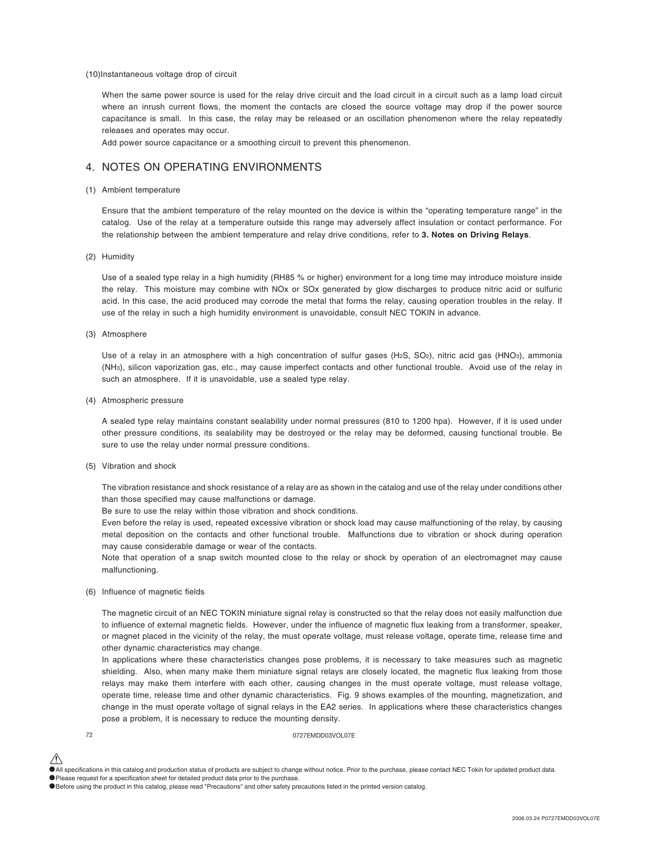### (10)Instantaneous voltage drop of circuit

When the same power source is used for the relay drive circuit and the load circuit in a circuit such as a lamp load circuit where an inrush current flows, the moment the contacts are closed the source voltage may drop if the power source capacitance is small. In this case, the relay may be released or an oscillation phenomenon where the relay repeatedly releases and operates may occur.

Add power source capacitance or a smoothing circuit to prevent this phenomenon.

### 4. NOTES ON OPERATING ENVIRONMENTS

#### (1) Ambient temperature

Ensure that the ambient temperature of the relay mounted on the device is within the "operating temperature range" in the catalog. Use of the relay at a temperature outside this range may adversely affect insulation or contact performance. For the relationship between the ambient temperature and relay drive conditions, refer to **3. Notes on Driving Relays**.

### (2) Humidity

Use of a sealed type relay in a high humidity (RH85 % or higher) environment for a long time may introduce moisture inside the relay. This moisture may combine with NOx or SOx generated by glow discharges to produce nitric acid or sulfuric acid. In this case, the acid produced may corrode the metal that forms the relay, causing operation troubles in the relay. If use of the relay in such a high humidity environment is unavoidable, consult NEC TOKIN in advance.

### (3) Atmosphere

Use of a relay in an atmosphere with a high concentration of sulfur gases (H2S, SO<sub>2</sub>), nitric acid gas (HNO<sub>3</sub>), ammonia (NH3), silicon vaporization gas, etc., may cause imperfect contacts and other functional trouble. Avoid use of the relay in such an atmosphere. If it is unavoidable, use a sealed type relay.

#### (4) Atmospheric pressure

A sealed type relay maintains constant sealability under normal pressures (810 to 1200 hpa). However, if it is used under other pressure conditions, its sealability may be destroyed or the relay may be deformed, causing functional trouble. Be sure to use the relay under normal pressure conditions.

### (5) Vibration and shock

The vibration resistance and shock resistance of a relay are as shown in the catalog and use of the relay under conditions other than those specified may cause malfunctions or damage.

Be sure to use the relay within those vibration and shock conditions.

Even before the relay is used, repeated excessive vibration or shock load may cause malfunctioning of the relay, by causing metal deposition on the contacts and other functional trouble. Malfunctions due to vibration or shock during operation may cause considerable damage or wear of the contacts.

Note that operation of a snap switch mounted close to the relay or shock by operation of an electromagnet may cause malfunctioning.

### (6) Influence of magnetic fields

The magnetic circuit of an NEC TOKIN miniature signal relay is constructed so that the relay does not easily malfunction due to influence of external magnetic fields. However, under the influence of magnetic flux leaking from a transformer, speaker, or magnet placed in the vicinity of the relay, the must operate voltage, must release voltage, operate time, release time and other dynamic characteristics may change.

In applications where these characteristics changes pose problems, it is necessary to take measures such as magnetic shielding. Also, when many make them miniature signal relays are closely located, the magnetic flux leaking from those relays may make them interfere with each other, causing changes in the must operate voltage, must release voltage, operate time, release time and other dynamic characteristics. Fig. 9 shows examples of the mounting, magnetization, and change in the must operate voltage of signal relays in the EA2 series. In applications where these characteristics changes pose a problem, it is necessary to reduce the mounting density.

72 0727EMDD03VOL07E

<sup>•</sup>All specifications in this catalog and production status of products are subject to change without notice. Prior to the purchase, please contact NEC Tokin for updated product data. •Please request for a specification sheet for detailed product data prior to the purchase.

<sup>•</sup>Before using the product in this catalog, please read "Precautions" and other safety precautions listed in the printed version catalog.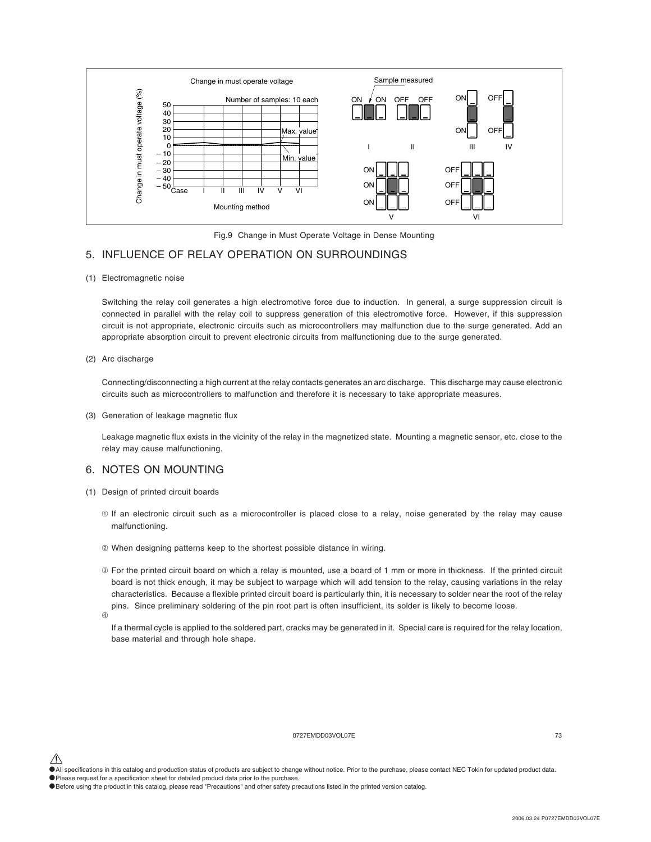

Fig.9 Change in Must Operate Voltage in Dense Mounting

## 5. INFLUENCE OF RELAY OPERATION ON SURROUNDINGS

(1) Electromagnetic noise

Switching the relay coil generates a high electromotive force due to induction. In general, a surge suppression circuit is connected in parallel with the relay coil to suppress generation of this electromotive force. However, if this suppression circuit is not appropriate, electronic circuits such as microcontrollers may malfunction due to the surge generated. Add an appropriate absorption circuit to prevent electronic circuits from malfunctioning due to the surge generated.

#### (2) Arc discharge

Connecting/disconnecting a high current at the relay contacts generates an arc discharge. This discharge may cause electronic circuits such as microcontrollers to malfunction and therefore it is necessary to take appropriate measures.

(3) Generation of leakage magnetic flux

Leakage magnetic flux exists in the vicinity of the relay in the magnetized state. Mounting a magnetic sensor, etc. close to the relay may cause malfunctioning.

## 6. NOTES ON MOUNTING

- (1) Design of printed circuit boards
	- ➀ If an electronic circuit such as a microcontroller is placed close to a relay, noise generated by the relay may cause malfunctioning.
	- ➁ When designing patterns keep to the shortest possible distance in wiring.
	- ➂ For the printed circuit board on which a relay is mounted, use a board of 1 mm or more in thickness. If the printed circuit board is not thick enough, it may be subject to warpage which will add tension to the relay, causing variations in the relay characteristics. Because a flexible printed circuit board is particularly thin, it is necessary to solder near the root of the relay pins. Since preliminary soldering of the pin root part is often insufficient, its solder is likely to become loose.
	- $\overline{a}$

If a thermal cycle is applied to the soldered part, cracks may be generated in it. Special care is required for the relay location, base material and through hole shape.

#### 0727EMDD03VOL07E 73

<sup>•</sup>All specifications in this catalog and production status of products are subject to change without notice. Prior to the purchase, please contact NEC Tokin for updated product data. •Please request for a specification sheet for detailed product data prior to the purchase.

<sup>•</sup>Before using the product in this catalog, please read "Precautions" and other safety precautions listed in the printed version catalog.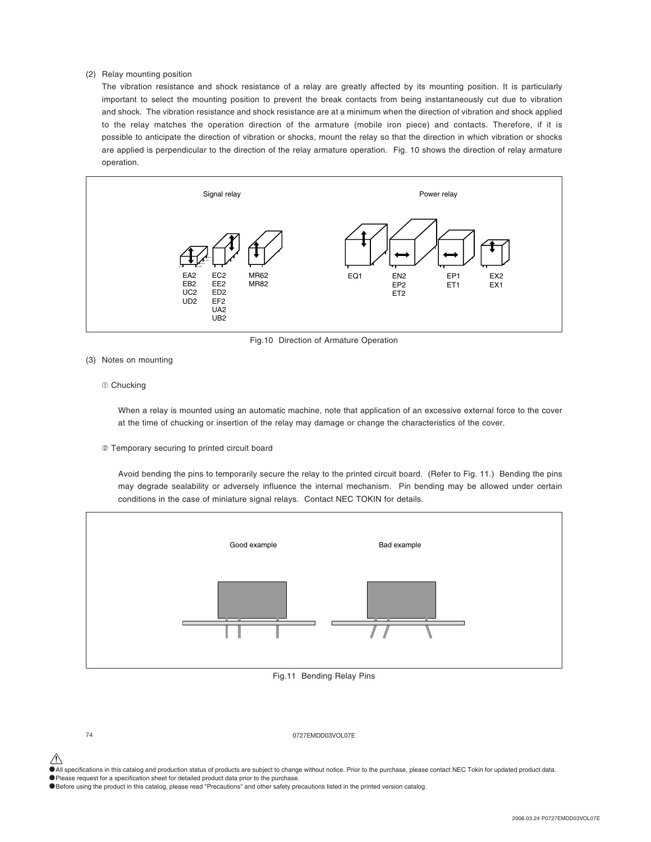### (2) Relay mounting position

The vibration resistance and shock resistance of a relay are greatly affected by its mounting position. It is particularly important to select the mounting position to prevent the break contacts from being instantaneously cut due to vibration and shock. The vibration resistance and shock resistance are at a minimum when the direction of vibration and shock applied to the relay matches the operation direction of the armature (mobile iron piece) and contacts. Therefore, if it is possible to anticipate the direction of vibration or shocks, mount the relay so that the direction in which vibration or shocks are applied is perpendicular to the direction of the relay armature operation. Fig. 10 shows the direction of relay armature operation.



Fig.10 Direction of Armature Operation

#### (3) Notes on mounting

#### ➀ Chucking

When a relay is mounted using an automatic machine, note that application of an excessive external force to the cover at the time of chucking or insertion of the relay may damage or change the characteristics of the cover.

#### ➁ Temporary securing to printed circuit board

Avoid bending the pins to temporarily secure the relay to the printed circuit board. (Refer to Fig. 11.) Bending the pins may degrade sealability or adversely influence the internal mechanism. Pin bending may be allowed under certain conditions in the case of miniature signal relays. Contact NEC TOKIN for details.



#### Fig.11 Bending Relay Pins

74 0727EMDD03VOL07E

•All specifications in this catalog and production status of products are subject to change without notice. Prior to the purchase, please contact NEC Tokin for updated product data.

•Please request for a specification sheet for detailed product data prior to the purchase.

•Before using the product in this catalog, please read "Precautions" and other safety precautions listed in the printed version catalog.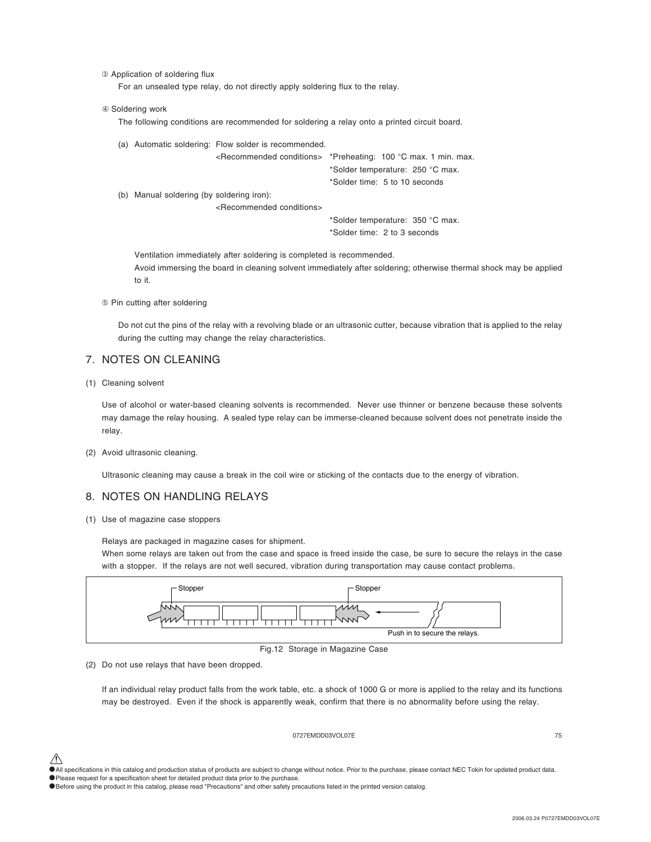➂ Application of soldering flux

For an unsealed type relay, do not directly apply soldering flux to the relay.

#### $@$  Soldering work

The following conditions are recommended for soldering a relay onto a printed circuit board.

|                                           | (a) Automatic soldering: Flow solder is recommended. |                                                                                |
|-------------------------------------------|------------------------------------------------------|--------------------------------------------------------------------------------|
|                                           |                                                      | <recommended conditions=""> *Preheating: 100 °C max. 1 min. max.</recommended> |
|                                           |                                                      | *Solder temperature: 250 °C max.                                               |
|                                           |                                                      | *Solder time: 5 to 10 seconds                                                  |
| (b) Manual soldering (by soldering iron): |                                                      |                                                                                |
|                                           | <recommended conditions=""></recommended>            |                                                                                |
|                                           |                                                      | *Solder temperature: 350 °C max.                                               |
|                                           |                                                      | *Solder time: 2 to 3 seconds                                                   |
|                                           |                                                      |                                                                                |

Ventilation immediately after soldering is completed is recommended. Avoid immersing the board in cleaning solvent immediately after soldering; otherwise thermal shock may be applied to it.

➄ Pin cutting after soldering

Do not cut the pins of the relay with a revolving blade or an ultrasonic cutter, because vibration that is applied to the relay during the cutting may change the relay characteristics.

## 7. NOTES ON CLEANING

(1) Cleaning solvent

Use of alcohol or water-based cleaning solvents is recommended. Never use thinner or benzene because these solvents may damage the relay housing. A sealed type relay can be immerse-cleaned because solvent does not penetrate inside the relay.

#### (2) Avoid ultrasonic cleaning.

Ultrasonic cleaning may cause a break in the coil wire or sticking of the contacts due to the energy of vibration.

## 8. NOTES ON HANDLING RELAYS

(1) Use of magazine case stoppers

Relays are packaged in magazine cases for shipment.

When some relays are taken out from the case and space is freed inside the case, be sure to secure the relays in the case with a stopper. If the relays are not well secured, vibration during transportation may cause contact problems.



Fig.12 Storage in Magazine Case

(2) Do not use relays that have been dropped.

If an individual relay product falls from the work table, etc. a shock of 1000 G or more is applied to the relay and its functions may be destroyed. Even if the shock is apparently weak, confirm that there is no abnormality before using the relay.

### 0727EMDD03VOL07E 75

•All specifications in this catalog and production status of products are subject to change without notice. Prior to the purchase, please contact NEC Tokin for updated product data. •Please request for a specification sheet for detailed product data prior to the purchase.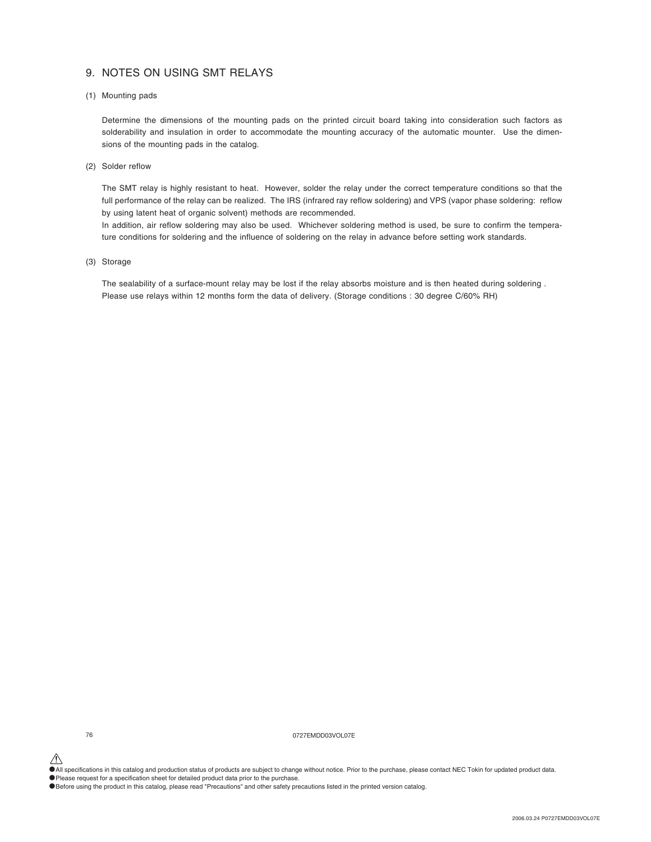# 9. NOTES ON USING SMT RELAYS

#### (1) Mounting pads

Determine the dimensions of the mounting pads on the printed circuit board taking into consideration such factors as solderability and insulation in order to accommodate the mounting accuracy of the automatic mounter. Use the dimensions of the mounting pads in the catalog.

(2) Solder reflow

The SMT relay is highly resistant to heat. However, solder the relay under the correct temperature conditions so that the full performance of the relay can be realized. The IRS (infrared ray reflow soldering) and VPS (vapor phase soldering: reflow by using latent heat of organic solvent) methods are recommended.

In addition, air reflow soldering may also be used. Whichever soldering method is used, be sure to confirm the temperature conditions for soldering and the influence of soldering on the relay in advance before setting work standards.

(3) Storage

The sealability of a surface-mount relay may be lost if the relay absorbs moisture and is then heated during soldering. Please use relays within 12 months form the data of delivery. (Storage conditions : 30 degree C/60% RH)

76 0727EMDD03VOL07E

 $\hat{\P}$  All specifications in this catalog and production status of products are subject to change without notice. Prior to the purchase, please contact NEC Tokin for updated product data.

•Please request for a specification sheet for detailed product data prior to the purchase.

•Before using the product in this catalog, please read "Precautions" and other safety precautions listed in the printed version catalog.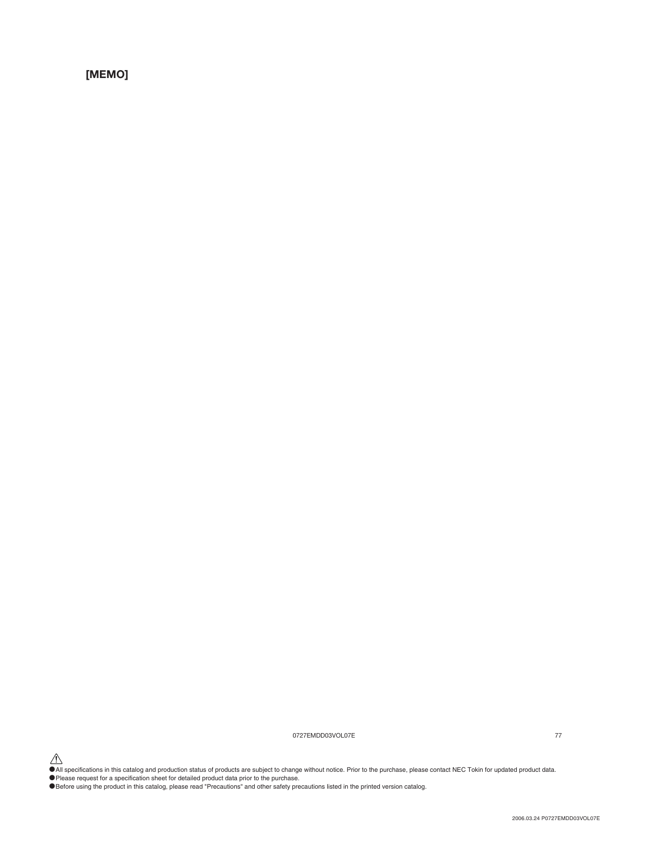**[MEMO]**

0727EMDD03VOL07E 77

All specifications in this catalog and production status of products are subject to change without notice. Prior to the purchase, please contact NEC Tokin for updated product data.<br>• Please request for a specification shee

• Frease request for a specification sheet for detailed product data phon to the purchase.<br>• Before using the product in this catalog, please read "Precautions" and other safety precautions listed in the printed version ca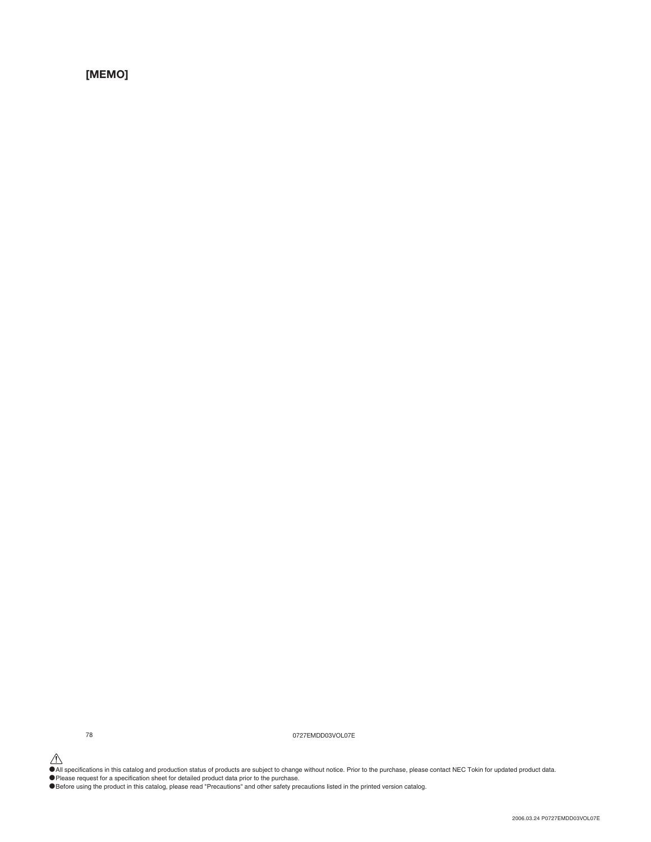**[MEMO]**

78 0727EMDD03VOL07E

All specifications in this catalog and production status of products are subject to change without notice. Prior to the purchase, please contact NEC Tokin for updated product data.<br>• Please request for a specification shee

• Frease request for a specification sheet for detailed product data phon to the purchase.<br>• Before using the product in this catalog, please read "Precautions" and other safety precautions listed in the printed version ca